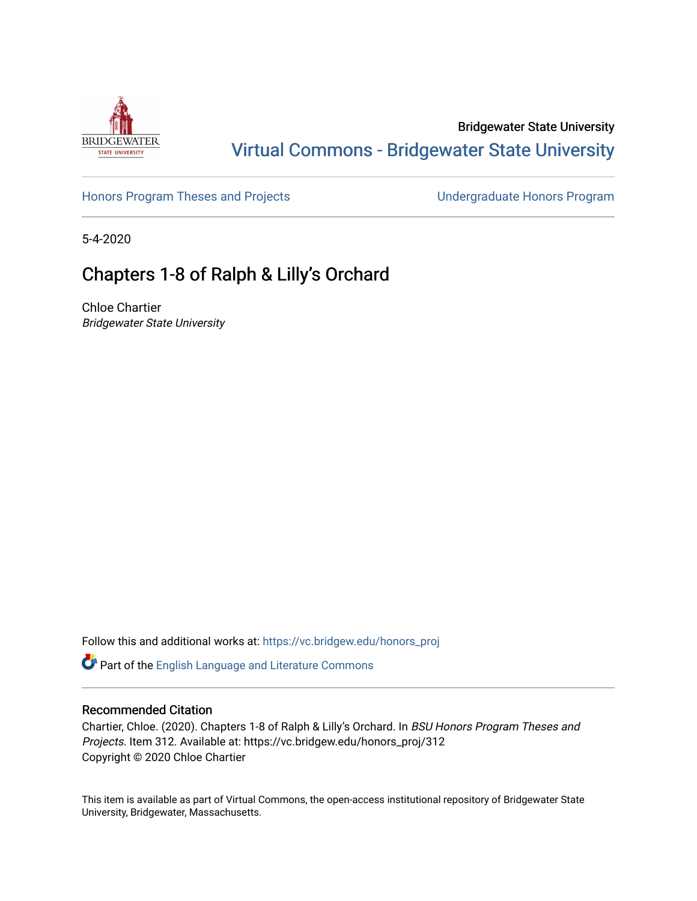

## Bridgewater State University [Virtual Commons - Bridgewater State University](https://vc.bridgew.edu/)

[Honors Program Theses and Projects](https://vc.bridgew.edu/honors_proj) [Undergraduate Honors Program](https://vc.bridgew.edu/honors) 

5-4-2020

# Chapters 1-8 of Ralph & Lilly's Orchard

Chloe Chartier Bridgewater State University

Follow this and additional works at: [https://vc.bridgew.edu/honors\\_proj](https://vc.bridgew.edu/honors_proj?utm_source=vc.bridgew.edu%2Fhonors_proj%2F312&utm_medium=PDF&utm_campaign=PDFCoverPages)

Part of the [English Language and Literature Commons](http://network.bepress.com/hgg/discipline/455?utm_source=vc.bridgew.edu%2Fhonors_proj%2F312&utm_medium=PDF&utm_campaign=PDFCoverPages)

### Recommended Citation

Chartier, Chloe. (2020). Chapters 1-8 of Ralph & Lilly's Orchard. In BSU Honors Program Theses and Projects. Item 312. Available at: https://vc.bridgew.edu/honors\_proj/312 Copyright © 2020 Chloe Chartier

This item is available as part of Virtual Commons, the open-access institutional repository of Bridgewater State University, Bridgewater, Massachusetts.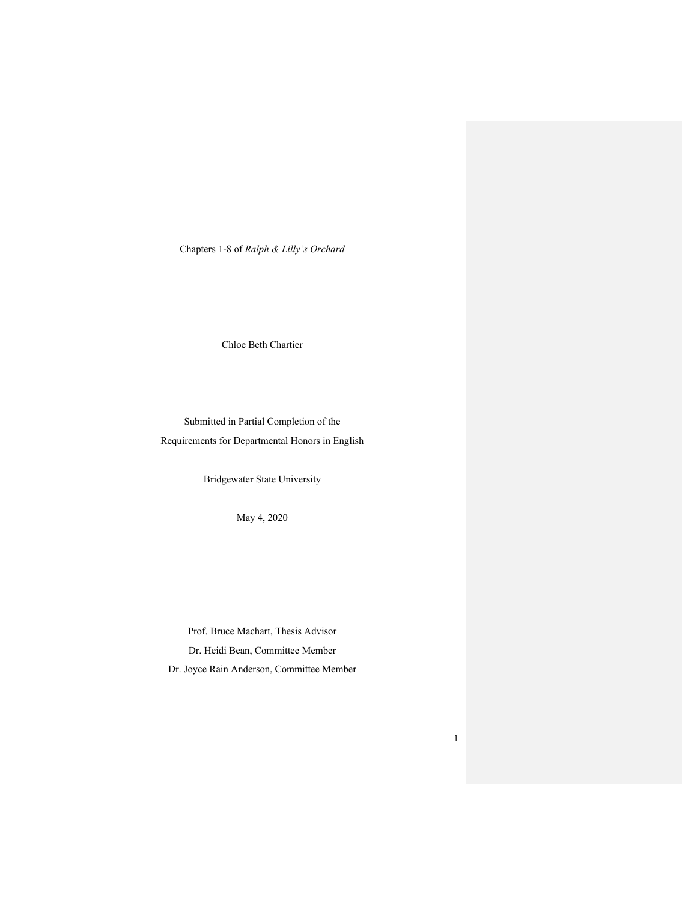Chapters 1-8 of *Ralph & Lilly's Orchard*

Chloe Beth Chartier

Submitted in Partial Completion of the Requirements for Departmental Honors in English

Bridgewater State University

May 4, 2020

Prof. Bruce Machart, Thesis Advisor Dr. Heidi Bean, Committee Member Dr. Joyce Rain Anderson, Committee Member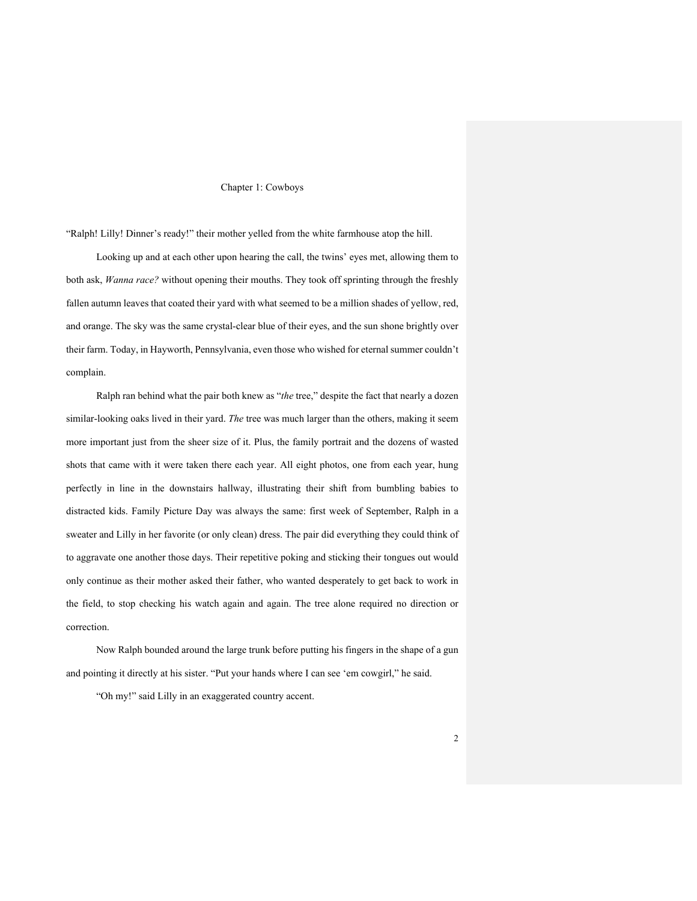#### Chapter 1: Cowboys

"Ralph! Lilly! Dinner's ready!" their mother yelled from the white farmhouse atop the hill.

Looking up and at each other upon hearing the call, the twins' eyes met, allowing them to both ask, *Wanna race?* without opening their mouths. They took off sprinting through the freshly fallen autumn leaves that coated their yard with what seemed to be a million shades of yellow, red, and orange. The sky was the same crystal-clear blue of their eyes, and the sun shone brightly over their farm. Today, in Hayworth, Pennsylvania, even those who wished for eternal summer couldn't complain.

Ralph ran behind what the pair both knew as "*the* tree," despite the fact that nearly a dozen similar-looking oaks lived in their yard. *The* tree was much larger than the others, making it seem more important just from the sheer size of it. Plus, the family portrait and the dozens of wasted shots that came with it were taken there each year. All eight photos, one from each year, hung perfectly in line in the downstairs hallway, illustrating their shift from bumbling babies to distracted kids. Family Picture Day was always the same: first week of September, Ralph in a sweater and Lilly in her favorite (or only clean) dress. The pair did everything they could think of to aggravate one another those days. Their repetitive poking and sticking their tongues out would only continue as their mother asked their father, who wanted desperately to get back to work in the field, to stop checking his watch again and again. The tree alone required no direction or correction.

Now Ralph bounded around the large trunk before putting his fingers in the shape of a gun and pointing it directly at his sister. "Put your hands where I can see 'em cowgirl," he said.

"Oh my!" said Lilly in an exaggerated country accent.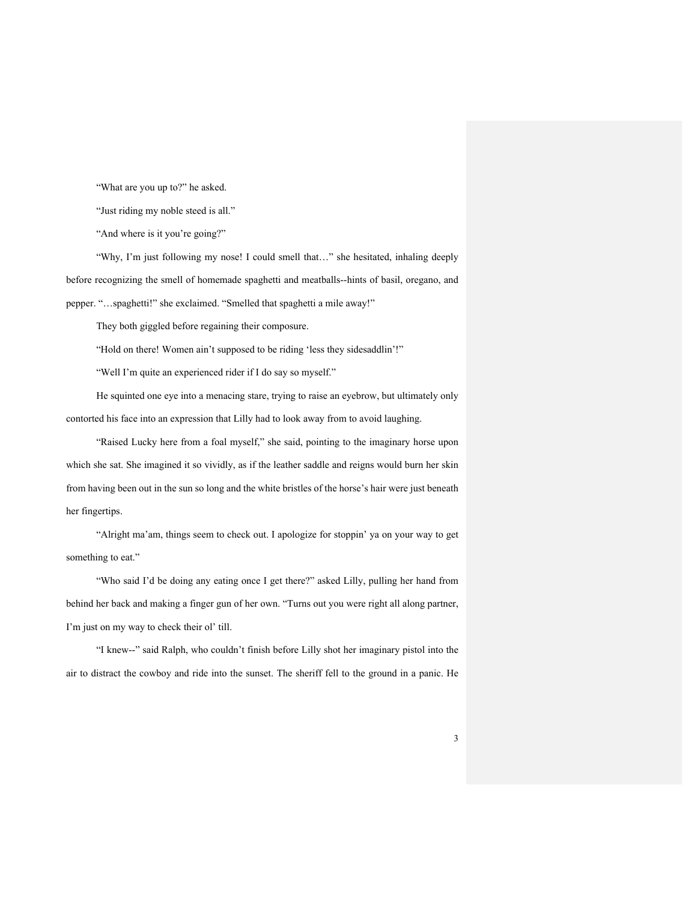"What are you up to?" he asked.

"Just riding my noble steed is all."

"And where is it you're going?"

"Why, I'm just following my nose! I could smell that…" she hesitated, inhaling deeply before recognizing the smell of homemade spaghetti and meatballs--hints of basil, oregano, and pepper. "…spaghetti!" she exclaimed. "Smelled that spaghetti a mile away!"

They both giggled before regaining their composure.

"Hold on there! Women ain't supposed to be riding 'less they sidesaddlin'!"

"Well I'm quite an experienced rider if I do say so myself."

He squinted one eye into a menacing stare, trying to raise an eyebrow, but ultimately only contorted his face into an expression that Lilly had to look away from to avoid laughing.

"Raised Lucky here from a foal myself," she said, pointing to the imaginary horse upon which she sat. She imagined it so vividly, as if the leather saddle and reigns would burn her skin from having been out in the sun so long and the white bristles of the horse's hair were just beneath her fingertips.

"Alright ma'am, things seem to check out. I apologize for stoppin' ya on your way to get something to eat."

"Who said I'd be doing any eating once I get there?" asked Lilly, pulling her hand from behind her back and making a finger gun of her own. "Turns out you were right all along partner, I'm just on my way to check their ol' till.

"I knew--" said Ralph, who couldn't finish before Lilly shot her imaginary pistol into the air to distract the cowboy and ride into the sunset. The sheriff fell to the ground in a panic. He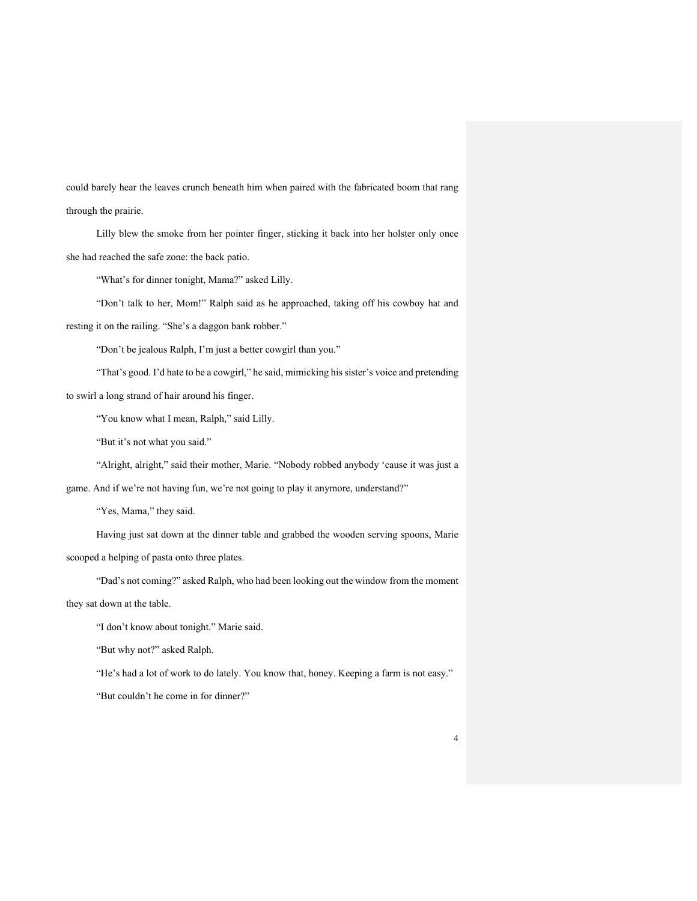could barely hear the leaves crunch beneath him when paired with the fabricated boom that rang through the prairie.

Lilly blew the smoke from her pointer finger, sticking it back into her holster only once she had reached the safe zone: the back patio.

"What's for dinner tonight, Mama?" asked Lilly.

"Don't talk to her, Mom!" Ralph said as he approached, taking off his cowboy hat and resting it on the railing. "She's a daggon bank robber."

"Don't be jealous Ralph, I'm just a better cowgirl than you."

"That's good. I'd hate to be a cowgirl," he said, mimicking his sister's voice and pretending to swirl a long strand of hair around his finger.

"You know what I mean, Ralph," said Lilly.

"But it's not what you said."

"Alright, alright," said their mother, Marie. "Nobody robbed anybody 'cause it was just a

game. And if we're not having fun, we're not going to play it anymore, understand?"

"Yes, Mama," they said.

Having just sat down at the dinner table and grabbed the wooden serving spoons, Marie scooped a helping of pasta onto three plates.

"Dad's not coming?" asked Ralph, who had been looking out the window from the moment

they sat down at the table.

"I don't know about tonight." Marie said.

"But why not?" asked Ralph.

"He's had a lot of work to do lately. You know that, honey. Keeping a farm is not easy."

"But couldn't he come in for dinner?"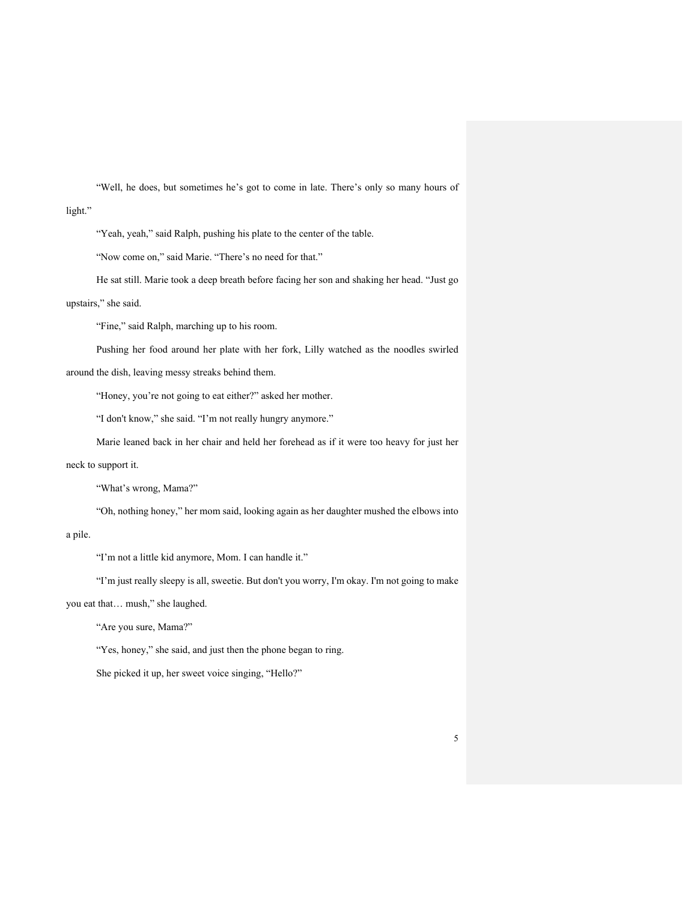"Well, he does, but sometimes he's got to come in late. There's only so many hours of light."

"Yeah, yeah," said Ralph, pushing his plate to the center of the table.

"Now come on," said Marie. "There's no need for that."

He sat still. Marie took a deep breath before facing her son and shaking her head. "Just go

#### upstairs," she said.

"Fine," said Ralph, marching up to his room.

Pushing her food around her plate with her fork, Lilly watched as the noodles swirled around the dish, leaving messy streaks behind them.

"Honey, you're not going to eat either?" asked her mother.

"I don't know," she said. "I'm not really hungry anymore."

Marie leaned back in her chair and held her forehead as if it were too heavy for just her neck to support it.

"What's wrong, Mama?"

"Oh, nothing honey," her mom said, looking again as her daughter mushed the elbows into

a pile.

"I'm not a little kid anymore, Mom. I can handle it."

"I'm just really sleepy is all, sweetie. But don't you worry, I'm okay. I'm not going to make

you eat that… mush," she laughed.

"Are you sure, Mama?"

"Yes, honey," she said, and just then the phone began to ring.

She picked it up, her sweet voice singing, "Hello?"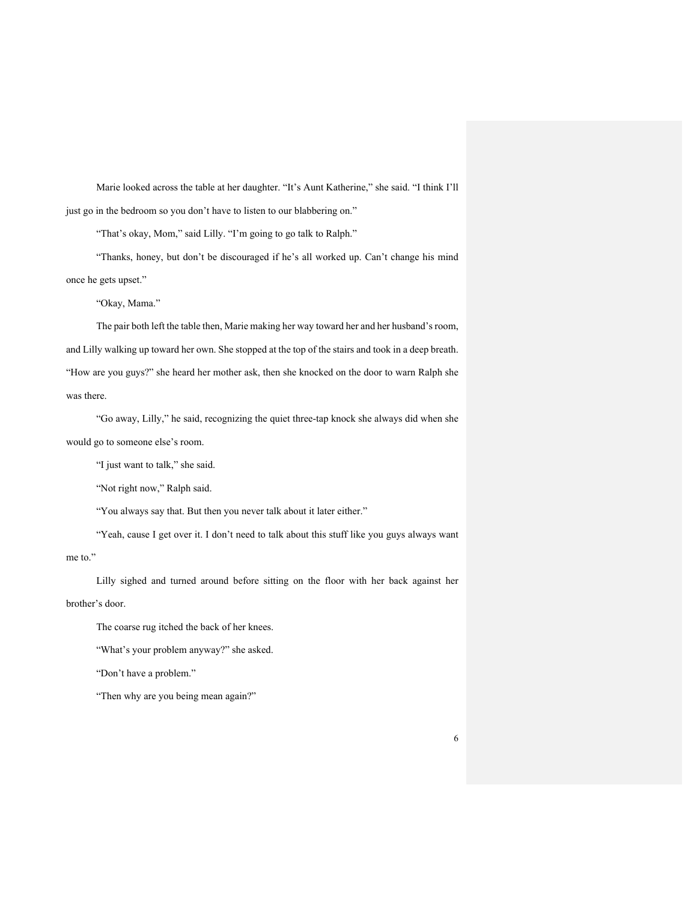Marie looked across the table at her daughter. "It's Aunt Katherine," she said. "I think I'll just go in the bedroom so you don't have to listen to our blabbering on."

"That's okay, Mom," said Lilly. "I'm going to go talk to Ralph."

"Thanks, honey, but don't be discouraged if he's all worked up. Can't change his mind once he gets upset."

"Okay, Mama."

The pair both left the table then, Marie making her way toward her and her husband's room, and Lilly walking up toward her own. She stopped at the top of the stairs and took in a deep breath. "How are you guys?" she heard her mother ask, then she knocked on the door to warn Ralph she was there.

"Go away, Lilly," he said, recognizing the quiet three-tap knock she always did when she would go to someone else's room.

"I just want to talk," she said.

"Not right now," Ralph said.

"You always say that. But then you never talk about it later either."

"Yeah, cause I get over it. I don't need to talk about this stuff like you guys always want

me to."

Lilly sighed and turned around before sitting on the floor with her back against her brother's door.

The coarse rug itched the back of her knees.

"What's your problem anyway?" she asked.

"Don't have a problem."

"Then why are you being mean again?"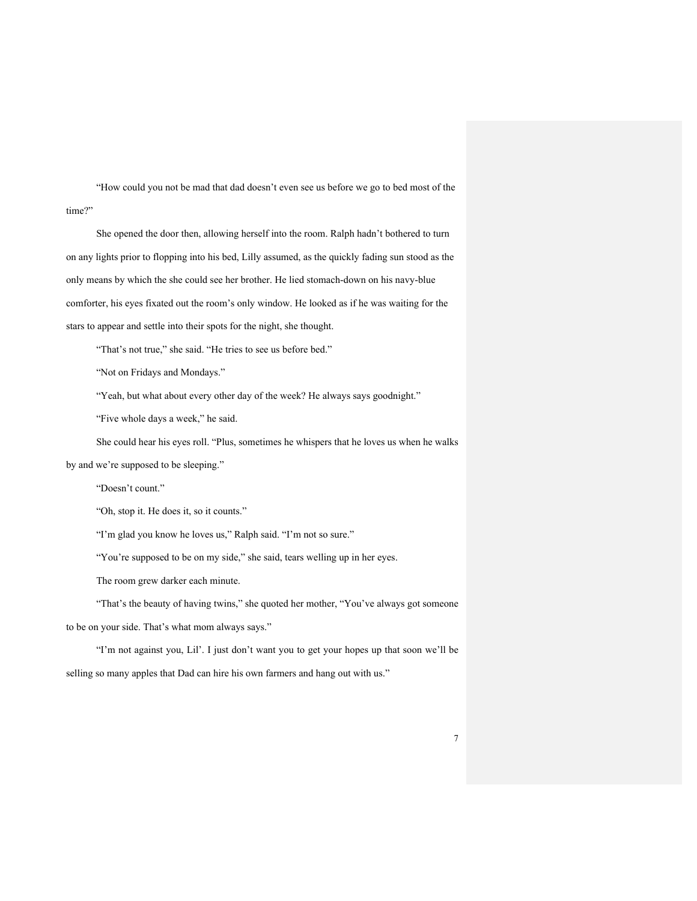"How could you not be mad that dad doesn't even see us before we go to bed most of the time?"

She opened the door then, allowing herself into the room. Ralph hadn't bothered to turn on any lights prior to flopping into his bed, Lilly assumed, as the quickly fading sun stood as the only means by which the she could see her brother. He lied stomach-down on his navy-blue comforter, his eyes fixated out the room's only window. He looked as if he was waiting for the stars to appear and settle into their spots for the night, she thought.

"That's not true," she said. "He tries to see us before bed."

"Not on Fridays and Mondays."

"Yeah, but what about every other day of the week? He always says goodnight."

"Five whole days a week," he said.

She could hear his eyes roll. "Plus, sometimes he whispers that he loves us when he walks by and we're supposed to be sleeping."

"Doesn't count."

"Oh, stop it. He does it, so it counts."

"I'm glad you know he loves us," Ralph said. "I'm not so sure."

"You're supposed to be on my side," she said, tears welling up in her eyes.

The room grew darker each minute.

"That's the beauty of having twins," she quoted her mother, "You've always got someone to be on your side. That's what mom always says."

"I'm not against you, Lil'. I just don't want you to get your hopes up that soon we'll be selling so many apples that Dad can hire his own farmers and hang out with us."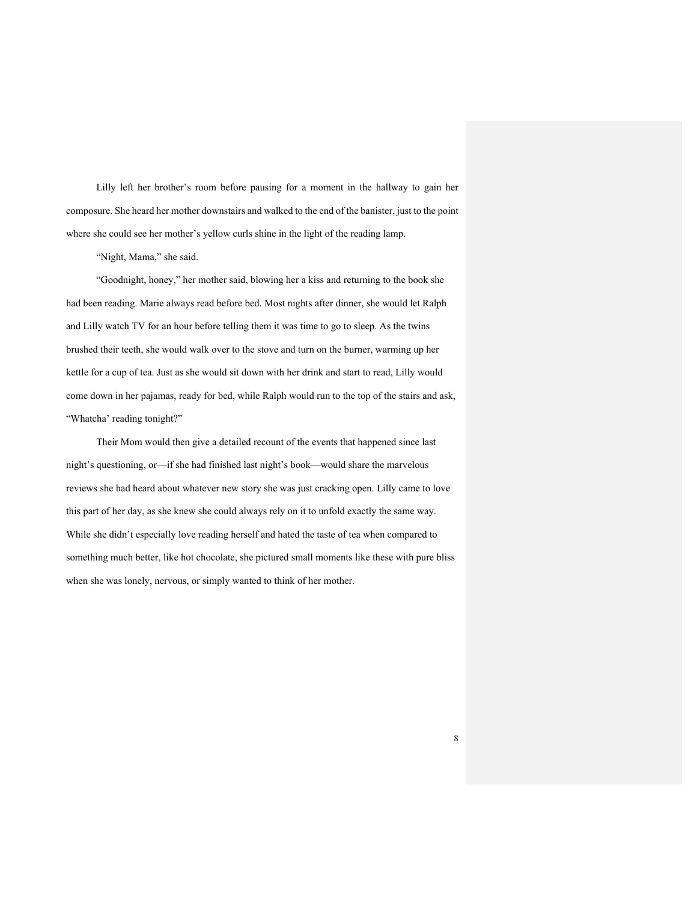Lilly left her brother's room before pausing for a moment in the hallway to gain her composure. She heard her mother downstairs and walked to the end of the banister, just to the point where she could see her mother's yellow curls shine in the light of the reading lamp.

"Night, Mama," she said.

"Goodnight, honey," her mother said, blowing her a kiss and returning to the book she had been reading. Marie always read before bed. Most nights after dinner, she would let Ralph and Lilly watch TV for an hour before telling them it was time to go to sleep. As the twins brushed their teeth, she would walk over to the stove and turn on the burner, warming up her kettle for a cup of tea. Just as she would sit down with her drink and start to read, Lilly would come down in her pajamas, ready for bed, while Ralph would run to the top of the stairs and ask, "Whatcha' reading tonight?"

Their Mom would then give a detailed recount of the events that happened since last night's questioning, or—if she had finished last night's book—would share the marvelous reviews she had heard about whatever new story she was just cracking open. Lilly came to love this part of her day, as she knew she could always rely on it to unfold exactly the same way. While she didn't especially love reading herself and hated the taste of tea when compared to something much better, like hot chocolate, she pictured small moments like these with pure bliss when she was lonely, nervous, or simply wanted to think of her mother.

8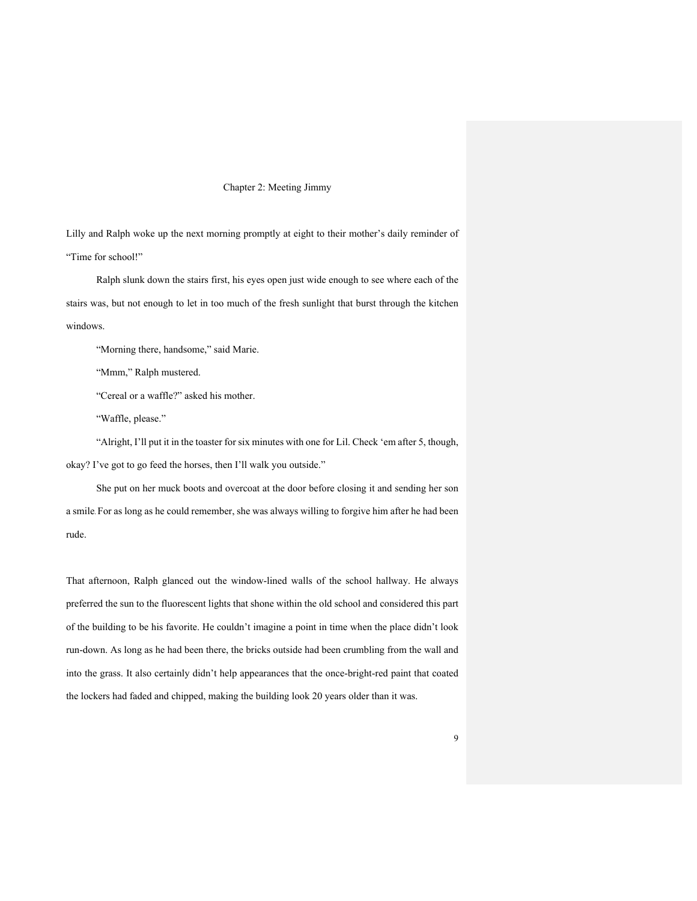#### Chapter 2: Meeting Jimmy

Lilly and Ralph woke up the next morning promptly at eight to their mother's daily reminder of "Time for school!"

Ralph slunk down the stairs first, his eyes open just wide enough to see where each of the stairs was, but not enough to let in too much of the fresh sunlight that burst through the kitchen windows.

"Morning there, handsome," said Marie.

"Mmm," Ralph mustered.

"Cereal or a waffle?" asked his mother.

"Waffle, please."

"Alright, I'll put it in the toaster for six minutes with one for Lil. Check 'em after 5, though, okay? I've got to go feed the horses, then I'll walk you outside."

She put on her muck boots and overcoat at the door before closing it and sending her son a smile. For as long as he could remember, she was always willing to forgive him after he had been rude.

That afternoon, Ralph glanced out the window-lined walls of the school hallway. He always preferred the sun to the fluorescent lights that shone within the old school and considered this part of the building to be his favorite. He couldn't imagine a point in time when the place didn't look run-down. As long as he had been there, the bricks outside had been crumbling from the wall and into the grass. It also certainly didn't help appearances that the once-bright-red paint that coated the lockers had faded and chipped, making the building look 20 years older than it was.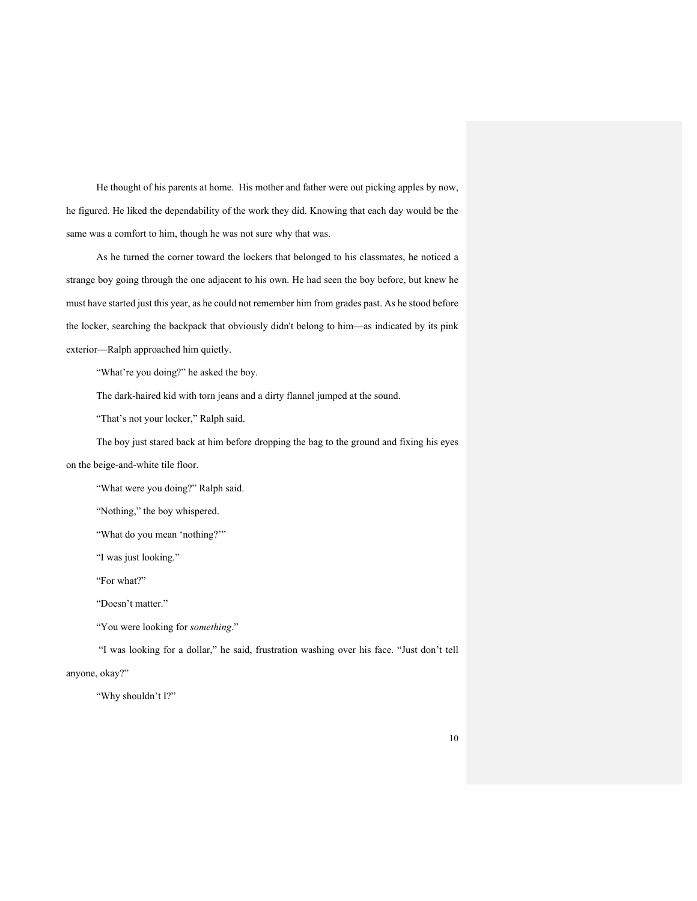He thought of his parents at home. His mother and father were out picking apples by now, he figured. He liked the dependability of the work they did. Knowing that each day would be the same was a comfort to him, though he was not sure why that was.

As he turned the corner toward the lockers that belonged to his classmates, he noticed a strange boy going through the one adjacent to his own. He had seen the boy before, but knew he must have started just this year, as he could not remember him from grades past. As he stood before the locker, searching the backpack that obviously didn't belong to him—as indicated by its pink exterior—Ralph approached him quietly.

"What're you doing?" he asked the boy.

The dark-haired kid with torn jeans and a dirty flannel jumped at the sound.

"That's not your locker," Ralph said.

The boy just stared back at him before dropping the bag to the ground and fixing his eyes on the beige-and-white tile floor.

"What were you doing?" Ralph said.

"Nothing," the boy whispered.

"What do you mean 'nothing?'"

"I was just looking."

"For what?"

"Doesn't matter."

"You were looking for *something*."

"I was looking for a dollar," he said, frustration washing over his face. "Just don't tell

anyone, okay?"

"Why shouldn't I?"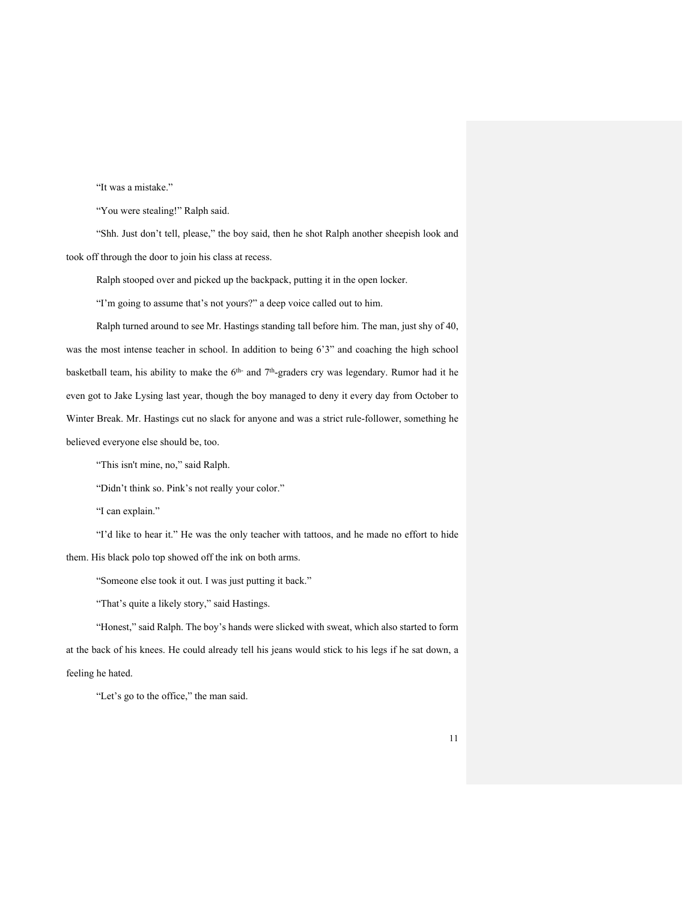"It was a mistake."

"You were stealing!" Ralph said.

"Shh. Just don't tell, please," the boy said, then he shot Ralph another sheepish look and took off through the door to join his class at recess.

Ralph stooped over and picked up the backpack, putting it in the open locker.

"I'm going to assume that's not yours?" a deep voice called out to him.

Ralph turned around to see Mr. Hastings standing tall before him. The man, just shy of 40, was the most intense teacher in school. In addition to being 6'3" and coaching the high school basketball team, his ability to make the 6<sup>th-</sup> and 7<sup>th</sup>-graders cry was legendary. Rumor had it he even got to Jake Lysing last year, though the boy managed to deny it every day from October to Winter Break. Mr. Hastings cut no slack for anyone and was a strict rule-follower, something he believed everyone else should be, too.

"This isn't mine, no," said Ralph.

"Didn't think so. Pink's not really your color."

"I can explain."

"I'd like to hear it." He was the only teacher with tattoos, and he made no effort to hide them. His black polo top showed off the ink on both arms.

"Someone else took it out. I was just putting it back."

"That's quite a likely story," said Hastings.

"Honest," said Ralph. The boy's hands were slicked with sweat, which also started to form at the back of his knees. He could already tell his jeans would stick to his legs if he sat down, a feeling he hated.

"Let's go to the office," the man said.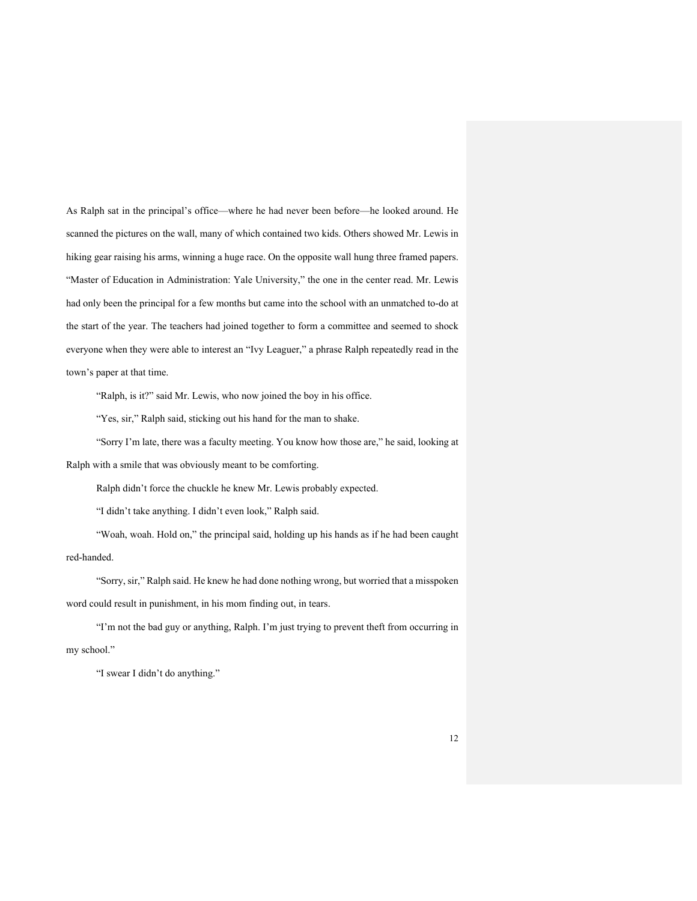As Ralph sat in the principal's office—where he had never been before—he looked around. He scanned the pictures on the wall, many of which contained two kids. Others showed Mr. Lewis in hiking gear raising his arms, winning a huge race. On the opposite wall hung three framed papers. "Master of Education in Administration: Yale University," the one in the center read. Mr. Lewis had only been the principal for a few months but came into the school with an unmatched to-do at the start of the year. The teachers had joined together to form a committee and seemed to shock everyone when they were able to interest an "Ivy Leaguer," a phrase Ralph repeatedly read in the town's paper at that time.

"Ralph, is it?" said Mr. Lewis, who now joined the boy in his office.

"Yes, sir," Ralph said, sticking out his hand for the man to shake.

"Sorry I'm late, there was a faculty meeting. You know how those are," he said, looking at Ralph with a smile that was obviously meant to be comforting.

Ralph didn't force the chuckle he knew Mr. Lewis probably expected.

"I didn't take anything. I didn't even look," Ralph said.

"Woah, woah. Hold on," the principal said, holding up his hands as if he had been caught red-handed.

"Sorry, sir," Ralph said. He knew he had done nothing wrong, but worried that a misspoken word could result in punishment, in his mom finding out, in tears.

"I'm not the bad guy or anything, Ralph. I'm just trying to prevent theft from occurring in my school."

"I swear I didn't do anything."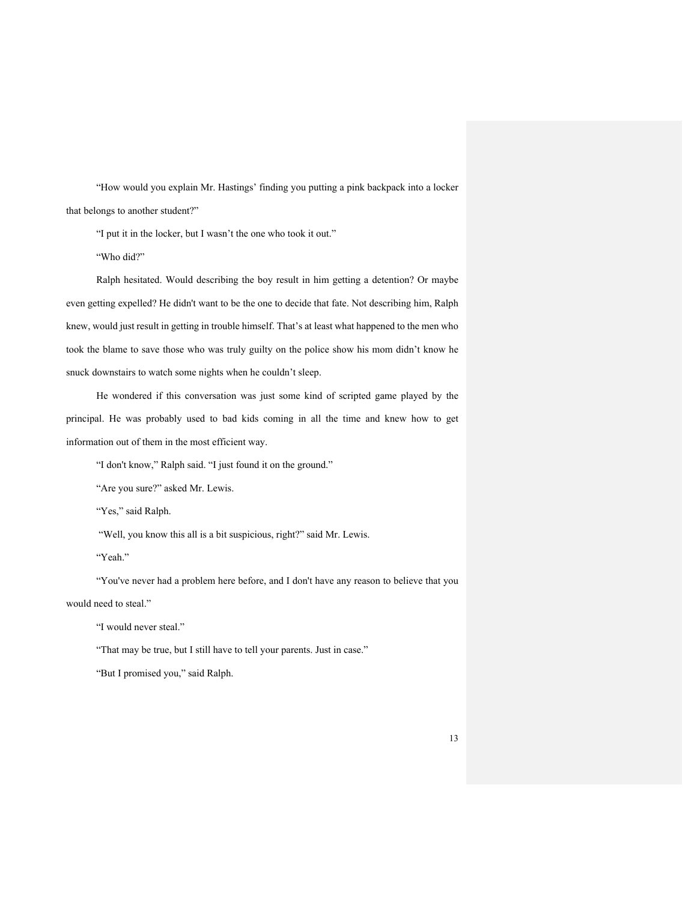"How would you explain Mr. Hastings' finding you putting a pink backpack into a locker that belongs to another student?"

"I put it in the locker, but I wasn't the one who took it out."

"Who did?"

Ralph hesitated. Would describing the boy result in him getting a detention? Or maybe even getting expelled? He didn't want to be the one to decide that fate. Not describing him, Ralph knew, would just result in getting in trouble himself. That's at least what happened to the men who took the blame to save those who was truly guilty on the police show his mom didn't know he snuck downstairs to watch some nights when he couldn't sleep.

He wondered if this conversation was just some kind of scripted game played by the principal. He was probably used to bad kids coming in all the time and knew how to get information out of them in the most efficient way.

"I don't know," Ralph said. "I just found it on the ground."

"Are you sure?" asked Mr. Lewis.

"Yes," said Ralph.

"Well, you know this all is a bit suspicious, right?" said Mr. Lewis.

"Yeah."

"You've never had a problem here before, and I don't have any reason to believe that you

would need to steal."

"I would never steal."

"That may be true, but I still have to tell your parents. Just in case."

"But I promised you," said Ralph.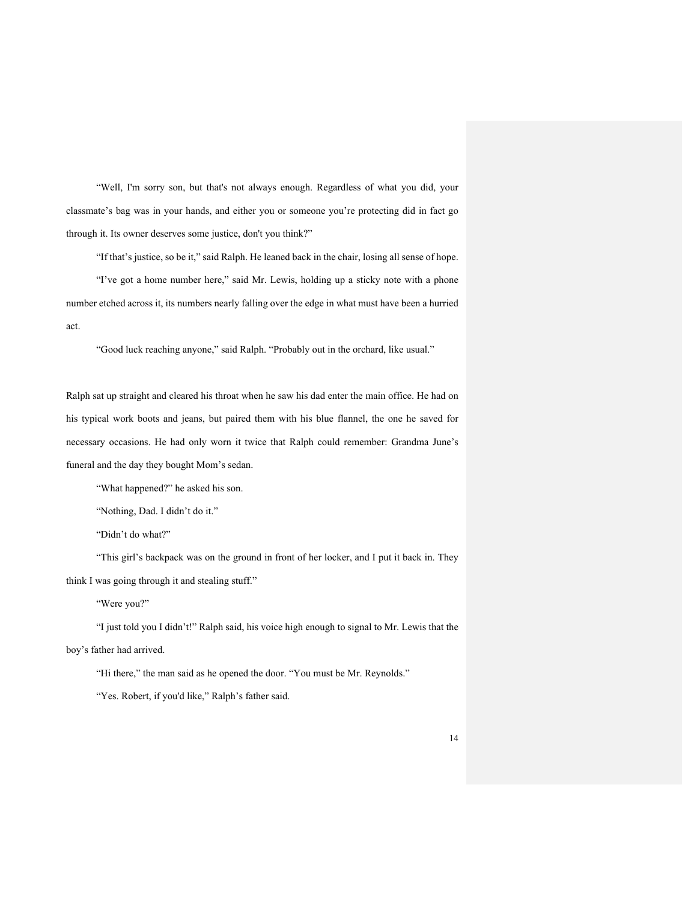"Well, I'm sorry son, but that's not always enough. Regardless of what you did, your classmate's bag was in your hands, and either you or someone you're protecting did in fact go through it. Its owner deserves some justice, don't you think?"

"If that's justice, so be it," said Ralph. He leaned back in the chair, losing all sense of hope. "I've got a home number here," said Mr. Lewis, holding up a sticky note with a phone number etched across it, its numbers nearly falling over the edge in what must have been a hurried act.

"Good luck reaching anyone," said Ralph. "Probably out in the orchard, like usual."

Ralph sat up straight and cleared his throat when he saw his dad enter the main office. He had on his typical work boots and jeans, but paired them with his blue flannel, the one he saved for necessary occasions. He had only worn it twice that Ralph could remember: Grandma June's funeral and the day they bought Mom's sedan.

"What happened?" he asked his son.

"Nothing, Dad. I didn't do it."

"Didn't do what?"

"This girl's backpack was on the ground in front of her locker, and I put it back in. They think I was going through it and stealing stuff."

"Were you?"

"I just told you I didn't!" Ralph said, his voice high enough to signal to Mr. Lewis that the boy's father had arrived.

"Hi there," the man said as he opened the door. "You must be Mr. Reynolds."

"Yes. Robert, if you'd like," Ralph's father said.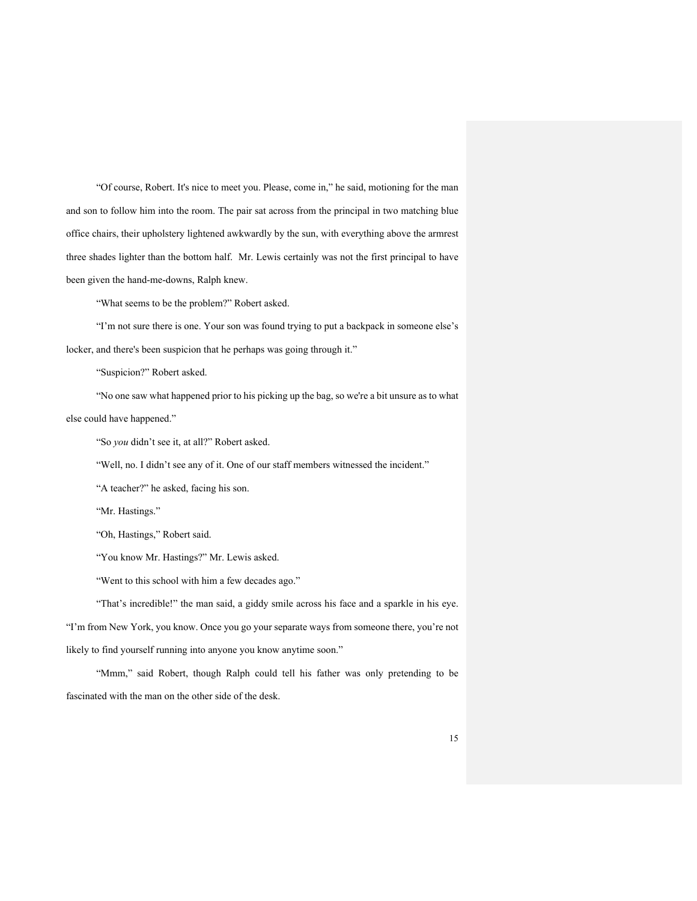"Of course, Robert. It's nice to meet you. Please, come in," he said, motioning for the man and son to follow him into the room. The pair sat across from the principal in two matching blue office chairs, their upholstery lightened awkwardly by the sun, with everything above the armrest three shades lighter than the bottom half. Mr. Lewis certainly was not the first principal to have been given the hand-me-downs, Ralph knew.

"What seems to be the problem?" Robert asked.

"I'm not sure there is one. Your son was found trying to put a backpack in someone else's locker, and there's been suspicion that he perhaps was going through it."

"Suspicion?" Robert asked.

"No one saw what happened prior to his picking up the bag, so we're a bit unsure as to what else could have happened."

"So *you* didn't see it, at all?" Robert asked.

"Well, no. I didn't see any of it. One of our staff members witnessed the incident."

"A teacher?" he asked, facing his son.

"Mr. Hastings."

"Oh, Hastings," Robert said.

"You know Mr. Hastings?" Mr. Lewis asked.

"Went to this school with him a few decades ago."

"That's incredible!" the man said, a giddy smile across his face and a sparkle in his eye. "I'm from New York, you know. Once you go your separate ways from someone there, you're not likely to find yourself running into anyone you know anytime soon."

"Mmm," said Robert, though Ralph could tell his father was only pretending to be fascinated with the man on the other side of the desk.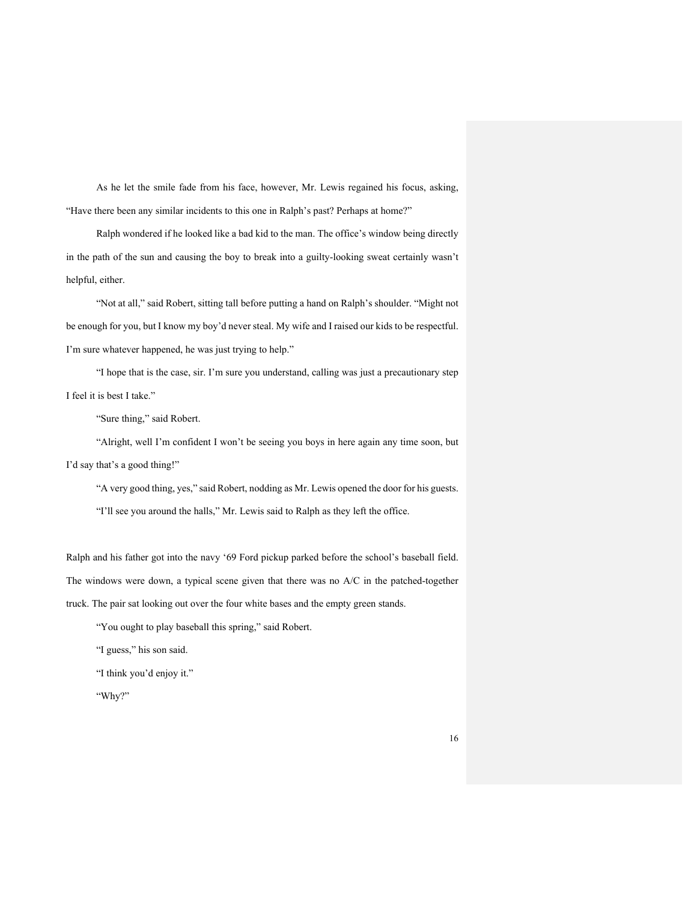As he let the smile fade from his face, however, Mr. Lewis regained his focus, asking, "Have there been any similar incidents to this one in Ralph's past? Perhaps at home?"

Ralph wondered if he looked like a bad kid to the man. The office's window being directly in the path of the sun and causing the boy to break into a guilty-looking sweat certainly wasn't helpful, either.

"Not at all," said Robert, sitting tall before putting a hand on Ralph's shoulder. "Might not be enough for you, but I know my boy'd never steal. My wife and I raised our kids to be respectful. I'm sure whatever happened, he was just trying to help."

"I hope that is the case, sir. I'm sure you understand, calling was just a precautionary step I feel it is best I take."

"Sure thing," said Robert.

"Alright, well I'm confident I won't be seeing you boys in here again any time soon, but I'd say that's a good thing!"

"A very good thing, yes," said Robert, nodding as Mr. Lewis opened the door for his guests. "I'll see you around the halls," Mr. Lewis said to Ralph as they left the office.

Ralph and his father got into the navy '69 Ford pickup parked before the school's baseball field. The windows were down, a typical scene given that there was no A/C in the patched-together truck. The pair sat looking out over the four white bases and the empty green stands.

"You ought to play baseball this spring," said Robert.

"I guess," his son said.

"I think you'd enjoy it."

"Why?"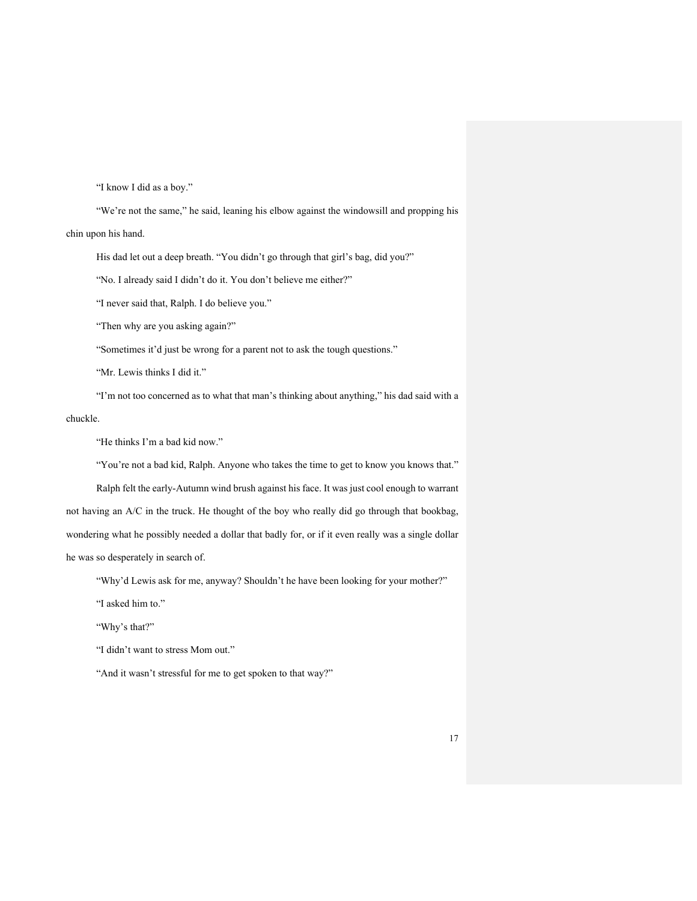"I know I did as a boy."

"We're not the same," he said, leaning his elbow against the windowsill and propping his chin upon his hand.

His dad let out a deep breath. "You didn't go through that girl's bag, did you?"

"No. I already said I didn't do it. You don't believe me either?"

"I never said that, Ralph. I do believe you."

"Then why are you asking again?"

"Sometimes it'd just be wrong for a parent not to ask the tough questions."

"Mr. Lewis thinks I did it."

"I'm not too concerned as to what that man's thinking about anything," his dad said with a

#### chuckle.

"He thinks I'm a bad kid now."

"You're not a bad kid, Ralph. Anyone who takes the time to get to know you knows that."

Ralph felt the early-Autumn wind brush against his face. It was just cool enough to warrant not having an A/C in the truck. He thought of the boy who really did go through that bookbag, wondering what he possibly needed a dollar that badly for, or if it even really was a single dollar he was so desperately in search of.

"Why'd Lewis ask for me, anyway? Shouldn't he have been looking for your mother?"

"I asked him to."

"Why's that?"

"I didn't want to stress Mom out."

"And it wasn't stressful for me to get spoken to that way?"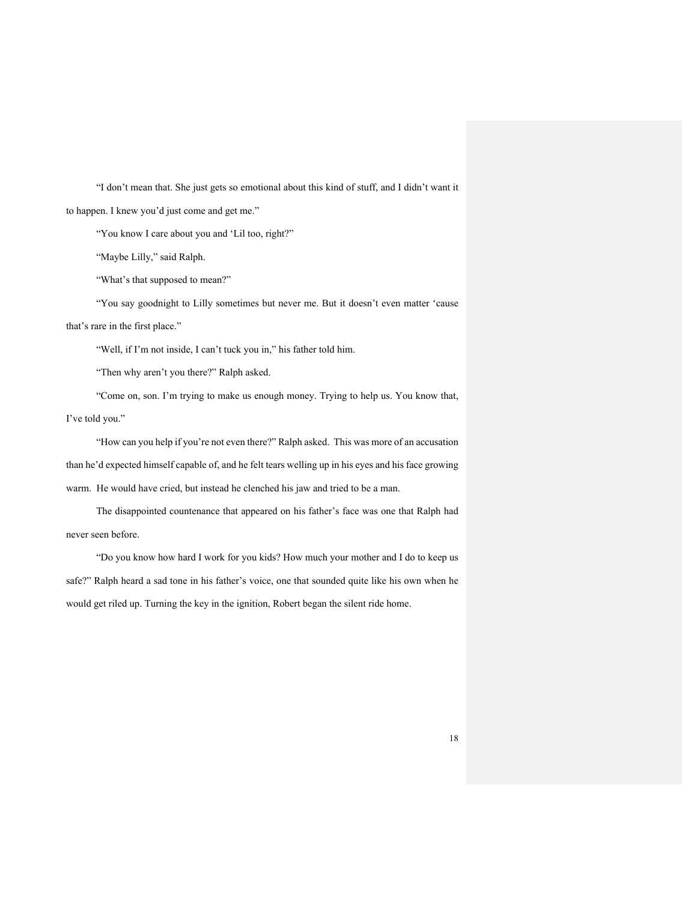"I don't mean that. She just gets so emotional about this kind of stuff, and I didn't want it to happen. I knew you'd just come and get me."

"You know I care about you and 'Lil too, right?"

"Maybe Lilly," said Ralph.

"What's that supposed to mean?"

"You say goodnight to Lilly sometimes but never me. But it doesn't even matter 'cause that's rare in the first place."

"Well, if I'm not inside, I can't tuck you in," his father told him.

"Then why aren't you there?" Ralph asked.

"Come on, son. I'm trying to make us enough money. Trying to help us. You know that, I've told you."

"How can you help if you're not even there?" Ralph asked. This was more of an accusation than he'd expected himself capable of, and he felt tears welling up in his eyes and his face growing warm. He would have cried, but instead he clenched his jaw and tried to be a man.

The disappointed countenance that appeared on his father's face was one that Ralph had never seen before.

"Do you know how hard I work for you kids? How much your mother and I do to keep us safe?" Ralph heard a sad tone in his father's voice, one that sounded quite like his own when he would get riled up. Turning the key in the ignition, Robert began the silent ride home.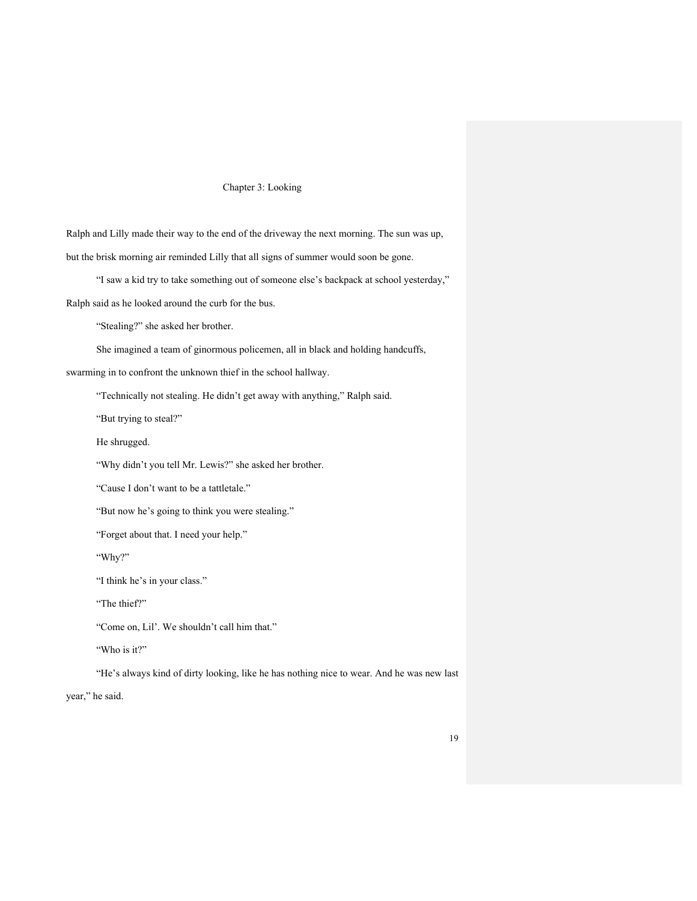#### Chapter 3: Looking

Ralph and Lilly made their way to the end of the driveway the next morning. The sun was up, but the brisk morning air reminded Lilly that all signs of summer would soon be gone.

"I saw a kid try to take something out of someone else's backpack at school yesterday,"

Ralph said as he looked around the curb for the bus.

"Stealing?" she asked her brother.

She imagined a team of ginormous policemen, all in black and holding handcuffs,

swarming in to confront the unknown thief in the school hallway.

"Technically not stealing. He didn't get away with anything," Ralph said.

"But trying to steal?"

He shrugged.

"Why didn't you tell Mr. Lewis?" she asked her brother.

"Cause I don't want to be a tattletale."

"But now he's going to think you were stealing."

"Forget about that. I need your help."

"Why?"

"I think he's in your class."

"The thief?"

"Come on, Lil'. We shouldn't call him that."

"Who is it?"

"He's always kind of dirty looking, like he has nothing nice to wear. And he was new last

year," he said.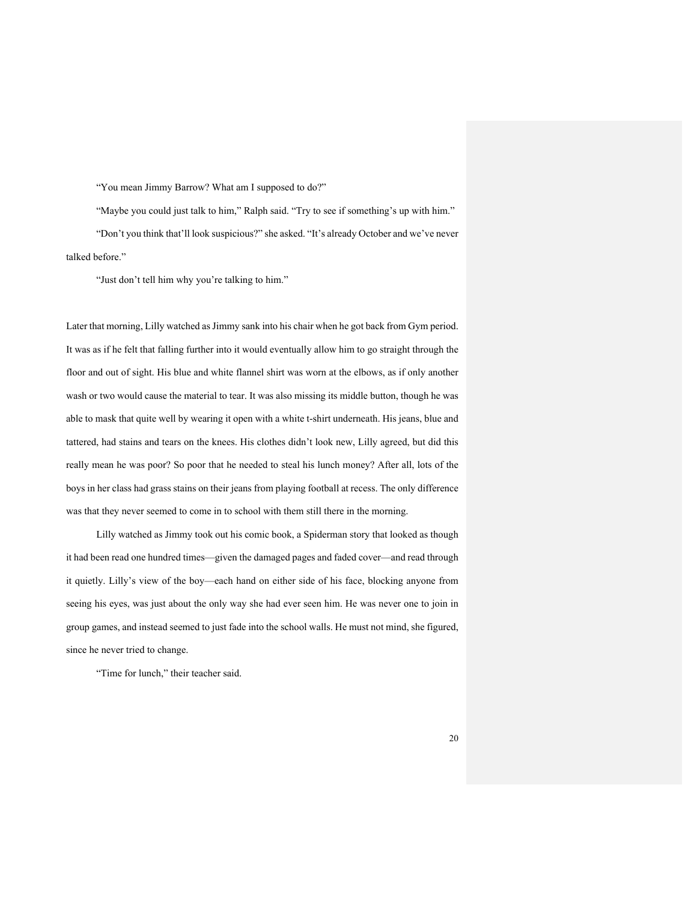#### "You mean Jimmy Barrow? What am I supposed to do?"

"Maybe you could just talk to him," Ralph said. "Try to see if something's up with him." "Don't you think that'll look suspicious?" she asked. "It's already October and we've never talked before."

"Just don't tell him why you're talking to him."

Later that morning, Lilly watched as Jimmy sank into his chair when he got back from Gym period. It was as if he felt that falling further into it would eventually allow him to go straight through the floor and out of sight. His blue and white flannel shirt was worn at the elbows, as if only another wash or two would cause the material to tear. It was also missing its middle button, though he was able to mask that quite well by wearing it open with a white t-shirt underneath. His jeans, blue and tattered, had stains and tears on the knees. His clothes didn't look new, Lilly agreed, but did this really mean he was poor? So poor that he needed to steal his lunch money? After all, lots of the boys in her class had grass stains on their jeans from playing football at recess. The only difference was that they never seemed to come in to school with them still there in the morning.

Lilly watched as Jimmy took out his comic book, a Spiderman story that looked as though it had been read one hundred times—given the damaged pages and faded cover—and read through it quietly. Lilly's view of the boy—each hand on either side of his face, blocking anyone from seeing his eyes, was just about the only way she had ever seen him. He was never one to join in group games, and instead seemed to just fade into the school walls. He must not mind, she figured, since he never tried to change.

"Time for lunch," their teacher said.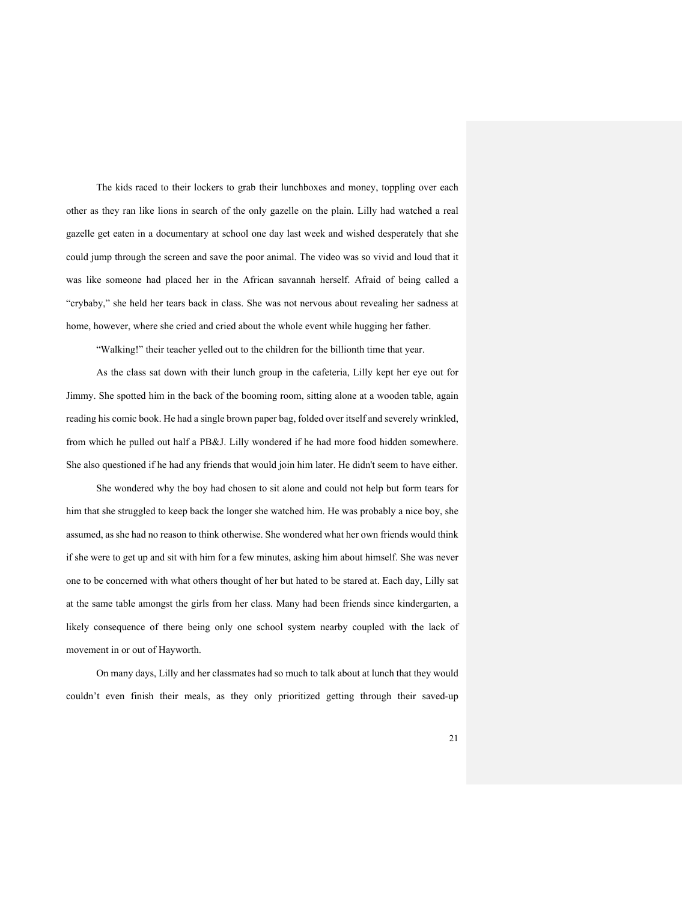The kids raced to their lockers to grab their lunchboxes and money, toppling over each other as they ran like lions in search of the only gazelle on the plain. Lilly had watched a real gazelle get eaten in a documentary at school one day last week and wished desperately that she could jump through the screen and save the poor animal. The video was so vivid and loud that it was like someone had placed her in the African savannah herself. Afraid of being called a "crybaby," she held her tears back in class. She was not nervous about revealing her sadness at home, however, where she cried and cried about the whole event while hugging her father.

"Walking!" their teacher yelled out to the children for the billionth time that year.

As the class sat down with their lunch group in the cafeteria, Lilly kept her eye out for Jimmy. She spotted him in the back of the booming room, sitting alone at a wooden table, again reading his comic book. He had a single brown paper bag, folded over itself and severely wrinkled, from which he pulled out half a PB&J. Lilly wondered if he had more food hidden somewhere. She also questioned if he had any friends that would join him later. He didn't seem to have either.

She wondered why the boy had chosen to sit alone and could not help but form tears for him that she struggled to keep back the longer she watched him. He was probably a nice boy, she assumed, as she had no reason to think otherwise. She wondered what her own friends would think if she were to get up and sit with him for a few minutes, asking him about himself. She was never one to be concerned with what others thought of her but hated to be stared at. Each day, Lilly sat at the same table amongst the girls from her class. Many had been friends since kindergarten, a likely consequence of there being only one school system nearby coupled with the lack of movement in or out of Hayworth.

On many days, Lilly and her classmates had so much to talk about at lunch that they would couldn't even finish their meals, as they only prioritized getting through their saved-up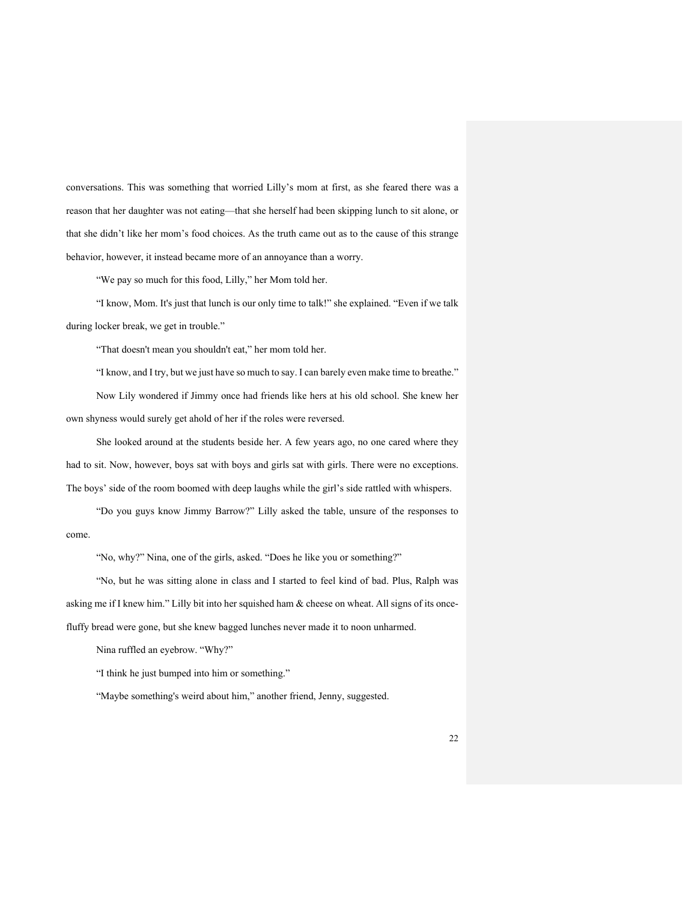conversations. This was something that worried Lilly's mom at first, as she feared there was a reason that her daughter was not eating—that she herself had been skipping lunch to sit alone, or that she didn't like her mom's food choices. As the truth came out as to the cause of this strange behavior, however, it instead became more of an annoyance than a worry.

"We pay so much for this food, Lilly," her Mom told her.

"I know, Mom. It's just that lunch is our only time to talk!" she explained. "Even if we talk during locker break, we get in trouble."

"That doesn't mean you shouldn't eat," her mom told her.

"I know, and I try, but we just have so much to say. I can barely even make time to breathe."

Now Lily wondered if Jimmy once had friends like hers at his old school. She knew her own shyness would surely get ahold of her if the roles were reversed.

She looked around at the students beside her. A few years ago, no one cared where they had to sit. Now, however, boys sat with boys and girls sat with girls. There were no exceptions. The boys' side of the room boomed with deep laughs while the girl's side rattled with whispers.

"Do you guys know Jimmy Barrow?" Lilly asked the table, unsure of the responses to come.

"No, why?" Nina, one of the girls, asked. "Does he like you or something?"

"No, but he was sitting alone in class and I started to feel kind of bad. Plus, Ralph was asking me if I knew him." Lilly bit into her squished ham & cheese on wheat. All signs of its oncefluffy bread were gone, but she knew bagged lunches never made it to noon unharmed.

Nina ruffled an eyebrow. "Why?"

"I think he just bumped into him or something."

"Maybe something's weird about him," another friend, Jenny, suggested.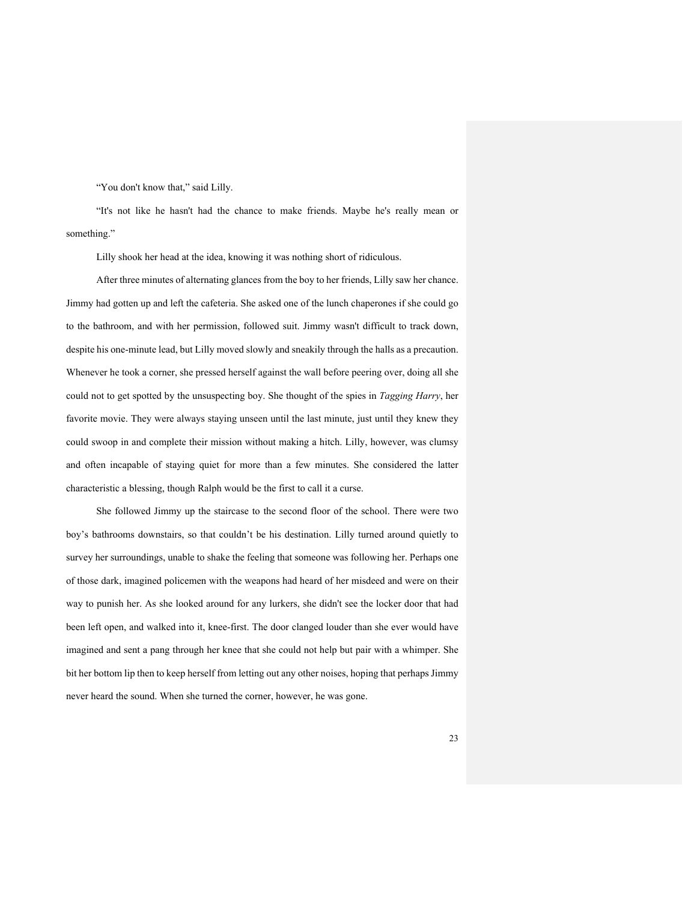"You don't know that," said Lilly.

"It's not like he hasn't had the chance to make friends. Maybe he's really mean or something."

Lilly shook her head at the idea, knowing it was nothing short of ridiculous.

After three minutes of alternating glances from the boy to her friends, Lilly saw her chance. Jimmy had gotten up and left the cafeteria. She asked one of the lunch chaperones if she could go to the bathroom, and with her permission, followed suit. Jimmy wasn't difficult to track down, despite his one-minute lead, but Lilly moved slowly and sneakily through the halls as a precaution. Whenever he took a corner, she pressed herself against the wall before peering over, doing all she could not to get spotted by the unsuspecting boy. She thought of the spies in *Tagging Harry*, her favorite movie. They were always staying unseen until the last minute, just until they knew they could swoop in and complete their mission without making a hitch. Lilly, however, was clumsy and often incapable of staying quiet for more than a few minutes. She considered the latter characteristic a blessing, though Ralph would be the first to call it a curse.

She followed Jimmy up the staircase to the second floor of the school. There were two boy's bathrooms downstairs, so that couldn't be his destination. Lilly turned around quietly to survey her surroundings, unable to shake the feeling that someone was following her. Perhaps one of those dark, imagined policemen with the weapons had heard of her misdeed and were on their way to punish her. As she looked around for any lurkers, she didn't see the locker door that had been left open, and walked into it, knee-first. The door clanged louder than she ever would have imagined and sent a pang through her knee that she could not help but pair with a whimper. She bit her bottom lip then to keep herself from letting out any other noises, hoping that perhaps Jimmy never heard the sound. When she turned the corner, however, he was gone.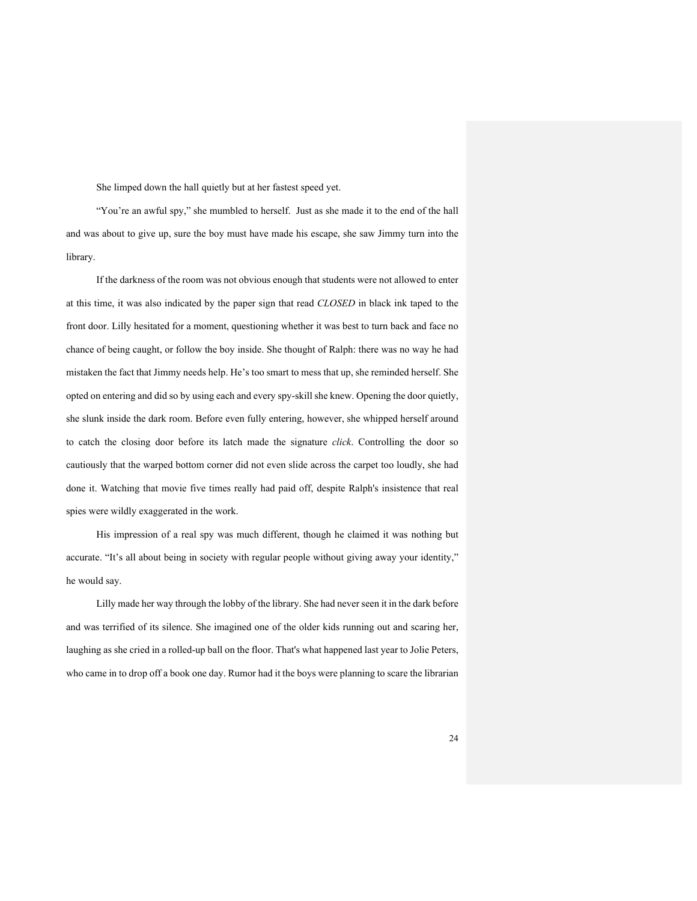She limped down the hall quietly but at her fastest speed yet.

"You're an awful spy," she mumbled to herself. Just as she made it to the end of the hall and was about to give up, sure the boy must have made his escape, she saw Jimmy turn into the library.

If the darkness of the room was not obvious enough that students were not allowed to enter at this time, it was also indicated by the paper sign that read *CLOSED* in black ink taped to the front door. Lilly hesitated for a moment, questioning whether it was best to turn back and face no chance of being caught, or follow the boy inside. She thought of Ralph: there was no way he had mistaken the fact that Jimmy needs help. He's too smart to mess that up, she reminded herself. She opted on entering and did so by using each and every spy-skill she knew. Opening the door quietly, she slunk inside the dark room. Before even fully entering, however, she whipped herself around to catch the closing door before its latch made the signature *click*. Controlling the door so cautiously that the warped bottom corner did not even slide across the carpet too loudly, she had done it. Watching that movie five times really had paid off, despite Ralph's insistence that real spies were wildly exaggerated in the work.

His impression of a real spy was much different, though he claimed it was nothing but accurate. "It's all about being in society with regular people without giving away your identity," he would say.

Lilly made her way through the lobby of the library. She had never seen it in the dark before and was terrified of its silence. She imagined one of the older kids running out and scaring her, laughing as she cried in a rolled-up ball on the floor. That's what happened last year to Jolie Peters, who came in to drop off a book one day. Rumor had it the boys were planning to scare the librarian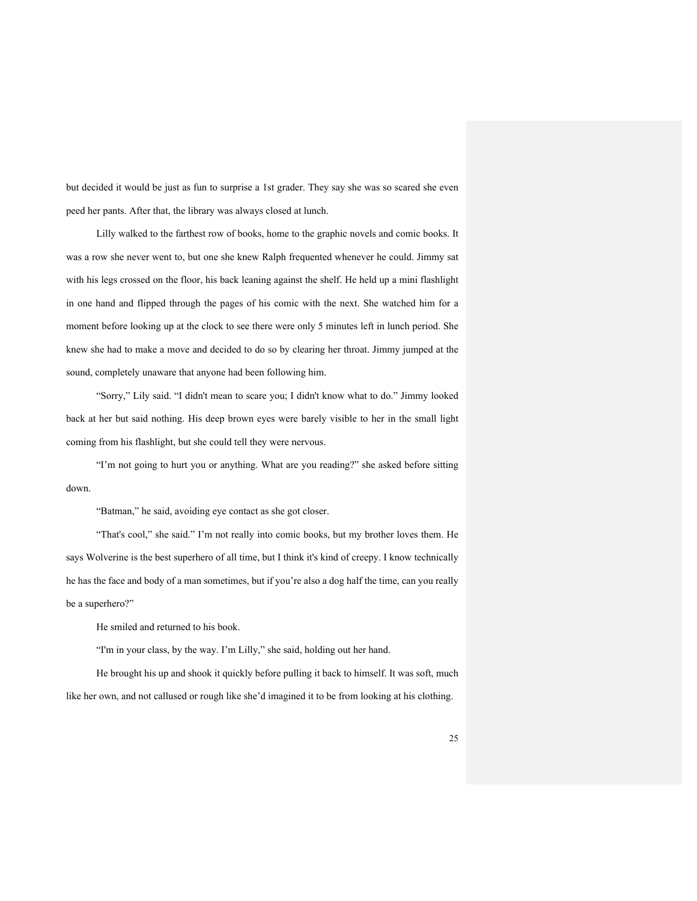but decided it would be just as fun to surprise a 1st grader. They say she was so scared she even peed her pants. After that, the library was always closed at lunch.

Lilly walked to the farthest row of books, home to the graphic novels and comic books. It was a row she never went to, but one she knew Ralph frequented whenever he could. Jimmy sat with his legs crossed on the floor, his back leaning against the shelf. He held up a mini flashlight in one hand and flipped through the pages of his comic with the next. She watched him for a moment before looking up at the clock to see there were only 5 minutes left in lunch period. She knew she had to make a move and decided to do so by clearing her throat. Jimmy jumped at the sound, completely unaware that anyone had been following him.

"Sorry," Lily said. "I didn't mean to scare you; I didn't know what to do." Jimmy looked back at her but said nothing. His deep brown eyes were barely visible to her in the small light coming from his flashlight, but she could tell they were nervous.

"I'm not going to hurt you or anything. What are you reading?" she asked before sitting down.

"Batman," he said, avoiding eye contact as she got closer.

"That's cool," she said." I'm not really into comic books, but my brother loves them. He says Wolverine is the best superhero of all time, but I think it's kind of creepy. I know technically he has the face and body of a man sometimes, but if you're also a dog half the time, can you really be a superhero?"

He smiled and returned to his book.

"I'm in your class, by the way. I'm Lilly," she said, holding out her hand.

He brought his up and shook it quickly before pulling it back to himself. It was soft, much like her own, and not callused or rough like she'd imagined it to be from looking at his clothing.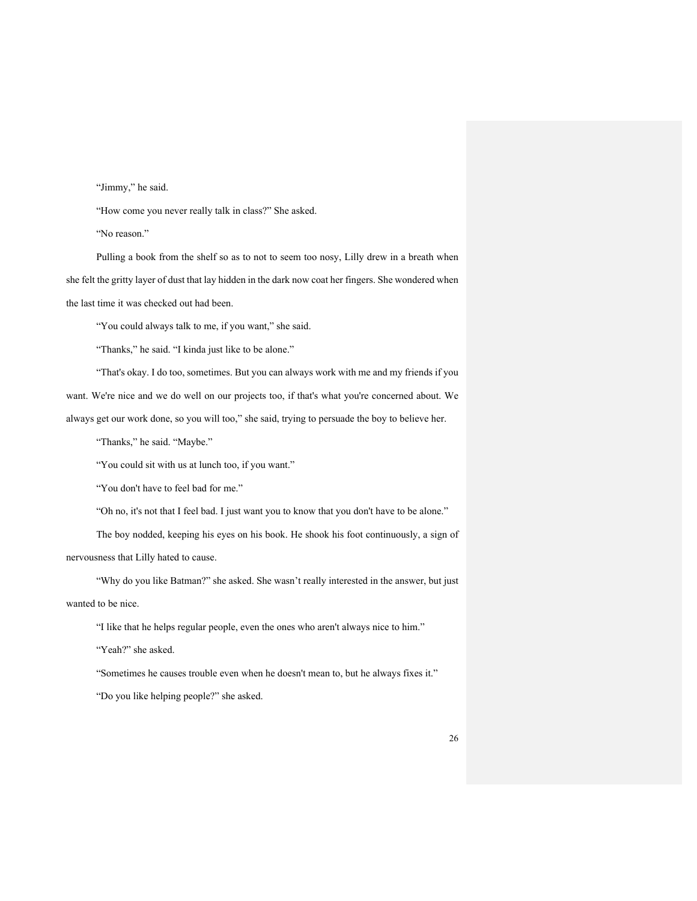"Jimmy," he said.

"How come you never really talk in class?" She asked.

"No reason."

Pulling a book from the shelf so as to not to seem too nosy, Lilly drew in a breath when she felt the gritty layer of dust that lay hidden in the dark now coat her fingers. She wondered when the last time it was checked out had been.

"You could always talk to me, if you want," she said.

"Thanks," he said. "I kinda just like to be alone."

"That's okay. I do too, sometimes. But you can always work with me and my friends if you want. We're nice and we do well on our projects too, if that's what you're concerned about. We

always get our work done, so you will too," she said, trying to persuade the boy to believe her.

"Thanks," he said. "Maybe."

"You could sit with us at lunch too, if you want."

"You don't have to feel bad for me."

"Oh no, it's not that I feel bad. I just want you to know that you don't have to be alone."

The boy nodded, keeping his eyes on his book. He shook his foot continuously, a sign of nervousness that Lilly hated to cause.

"Why do you like Batman?" she asked. She wasn't really interested in the answer, but just wanted to be nice.

"I like that he helps regular people, even the ones who aren't always nice to him."

"Yeah?" she asked.

"Sometimes he causes trouble even when he doesn't mean to, but he always fixes it."

"Do you like helping people?" she asked.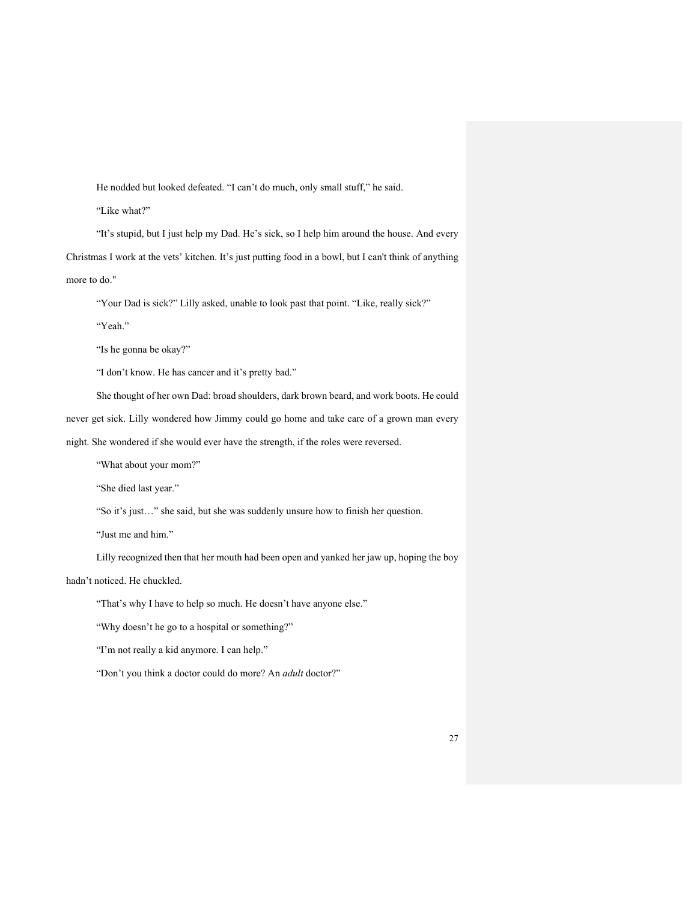He nodded but looked defeated. "I can't do much, only small stuff," he said.

"Like what?"

"It's stupid, but I just help my Dad. He's sick, so I help him around the house. And every Christmas I work at the vets' kitchen. It's just putting food in a bowl, but I can't think of anything more to do."

"Your Dad is sick?" Lilly asked, unable to look past that point. "Like, really sick?"

"Yeah."

"Is he gonna be okay?"

"I don't know. He has cancer and it's pretty bad."

She thought of her own Dad: broad shoulders, dark brown beard, and work boots. He could

never get sick. Lilly wondered how Jimmy could go home and take care of a grown man every

night. She wondered if she would ever have the strength, if the roles were reversed.

"What about your mom?"

"She died last year."

"So it's just…" she said, but she was suddenly unsure how to finish her question.

"Just me and him."

Lilly recognized then that her mouth had been open and yanked her jaw up, hoping the boy

hadn't noticed. He chuckled.

"That's why I have to help so much. He doesn't have anyone else."

"Why doesn't he go to a hospital or something?"

"I'm not really a kid anymore. I can help."

"Don't you think a doctor could do more? An *adult* doctor?"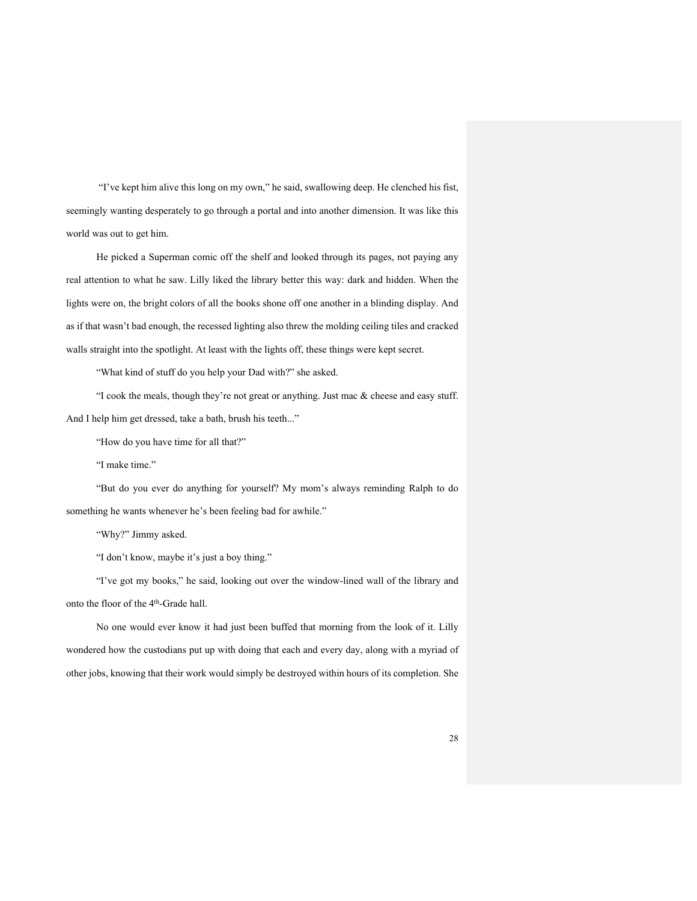"I've kept him alive this long on my own," he said, swallowing deep. He clenched his fist, seemingly wanting desperately to go through a portal and into another dimension. It was like this world was out to get him.

He picked a Superman comic off the shelf and looked through its pages, not paying any real attention to what he saw. Lilly liked the library better this way: dark and hidden. When the lights were on, the bright colors of all the books shone off one another in a blinding display. And as if that wasn't bad enough, the recessed lighting also threw the molding ceiling tiles and cracked walls straight into the spotlight. At least with the lights off, these things were kept secret.

"What kind of stuff do you help your Dad with?" she asked.

"I cook the meals, though they're not great or anything. Just mac & cheese and easy stuff. And I help him get dressed, take a bath, brush his teeth..."

"How do you have time for all that?"

"I make time."

"But do you ever do anything for yourself? My mom's always reminding Ralph to do something he wants whenever he's been feeling bad for awhile."

"Why?" Jimmy asked.

"I don't know, maybe it's just a boy thing."

"I've got my books," he said, looking out over the window-lined wall of the library and onto the floor of the 4<sup>th</sup>-Grade hall.

No one would ever know it had just been buffed that morning from the look of it. Lilly wondered how the custodians put up with doing that each and every day, along with a myriad of other jobs, knowing that their work would simply be destroyed within hours of its completion. She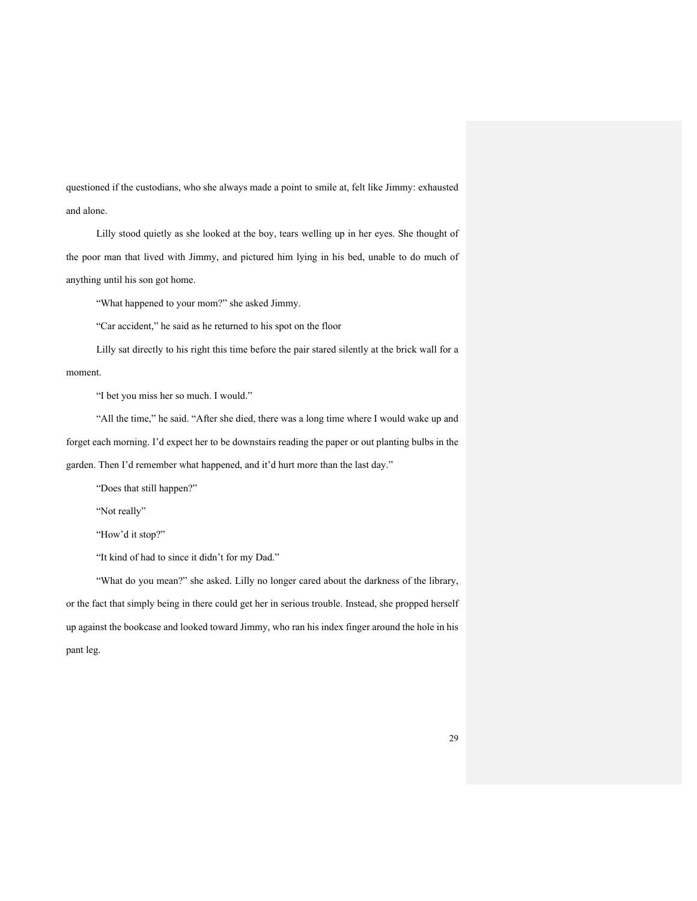questioned if the custodians, who she always made a point to smile at, felt like Jimmy: exhausted and alone.

Lilly stood quietly as she looked at the boy, tears welling up in her eyes. She thought of the poor man that lived with Jimmy, and pictured him lying in his bed, unable to do much of anything until his son got home.

"What happened to your mom?" she asked Jimmy.

"Car accident," he said as he returned to his spot on the floor

Lilly sat directly to his right this time before the pair stared silently at the brick wall for a moment.

"I bet you miss her so much. I would."

"All the time," he said. "After she died, there was a long time where I would wake up and forget each morning. I'd expect her to be downstairs reading the paper or out planting bulbs in the garden. Then I'd remember what happened, and it'd hurt more than the last day."

"Does that still happen?"

"Not really"

"How'd it stop?"

"It kind of had to since it didn't for my Dad."

"What do you mean?" she asked. Lilly no longer cared about the darkness of the library, or the fact that simply being in there could get her in serious trouble. Instead, she propped herself up against the bookcase and looked toward Jimmy, who ran his index finger around the hole in his pant leg.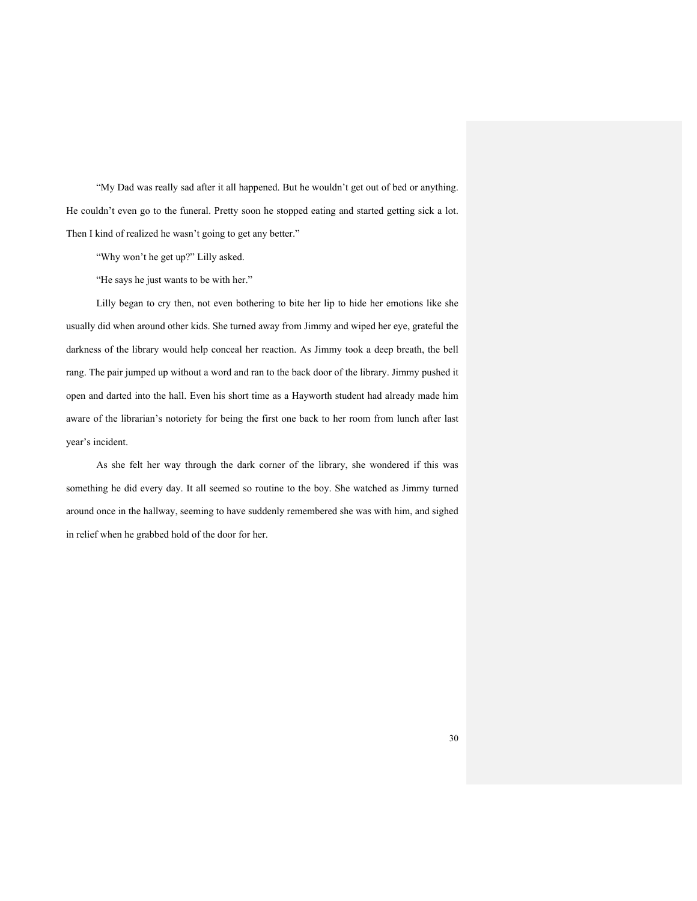"My Dad was really sad after it all happened. But he wouldn't get out of bed or anything. He couldn't even go to the funeral. Pretty soon he stopped eating and started getting sick a lot. Then I kind of realized he wasn't going to get any better."

"Why won't he get up?" Lilly asked.

"He says he just wants to be with her."

Lilly began to cry then, not even bothering to bite her lip to hide her emotions like she usually did when around other kids. She turned away from Jimmy and wiped her eye, grateful the darkness of the library would help conceal her reaction. As Jimmy took a deep breath, the bell rang. The pair jumped up without a word and ran to the back door of the library. Jimmy pushed it open and darted into the hall. Even his short time as a Hayworth student had already made him aware of the librarian's notoriety for being the first one back to her room from lunch after last year's incident.

As she felt her way through the dark corner of the library, she wondered if this was something he did every day. It all seemed so routine to the boy. She watched as Jimmy turned around once in the hallway, seeming to have suddenly remembered she was with him, and sighed in relief when he grabbed hold of the door for her.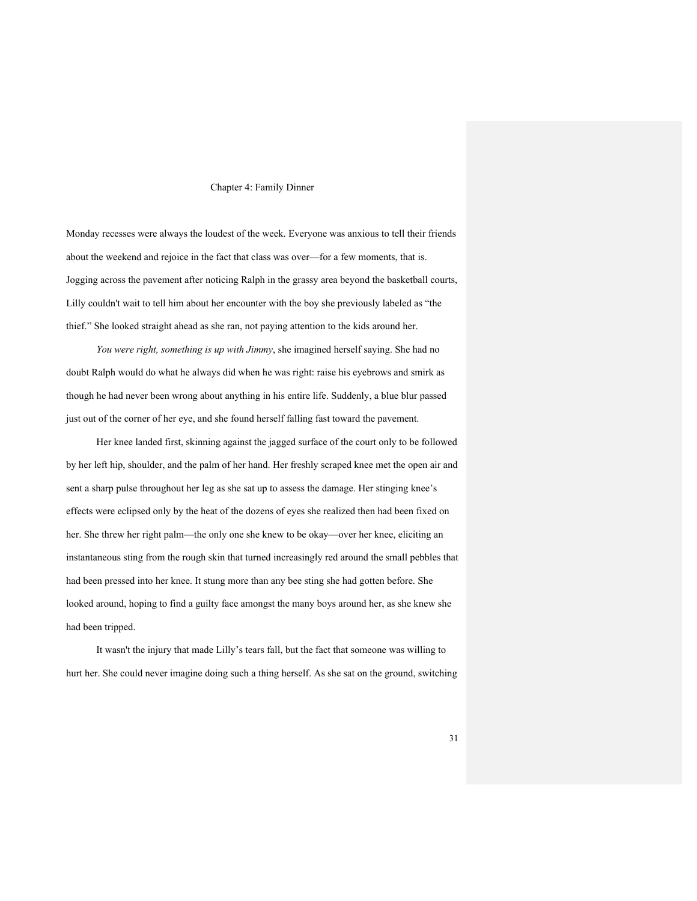#### Chapter 4: Family Dinner

Monday recesses were always the loudest of the week. Everyone was anxious to tell their friends about the weekend and rejoice in the fact that class was over—for a few moments, that is. Jogging across the pavement after noticing Ralph in the grassy area beyond the basketball courts, Lilly couldn't wait to tell him about her encounter with the boy she previously labeled as "the thief." She looked straight ahead as she ran, not paying attention to the kids around her.

*You were right, something is up with Jimmy*, she imagined herself saying. She had no doubt Ralph would do what he always did when he was right: raise his eyebrows and smirk as though he had never been wrong about anything in his entire life. Suddenly, a blue blur passed just out of the corner of her eye, and she found herself falling fast toward the pavement.

Her knee landed first, skinning against the jagged surface of the court only to be followed by her left hip, shoulder, and the palm of her hand. Her freshly scraped knee met the open air and sent a sharp pulse throughout her leg as she sat up to assess the damage. Her stinging knee's effects were eclipsed only by the heat of the dozens of eyes she realized then had been fixed on her. She threw her right palm—the only one she knew to be okay—over her knee, eliciting an instantaneous sting from the rough skin that turned increasingly red around the small pebbles that had been pressed into her knee. It stung more than any bee sting she had gotten before. She looked around, hoping to find a guilty face amongst the many boys around her, as she knew she had been tripped.

It wasn't the injury that made Lilly's tears fall, but the fact that someone was willing to hurt her. She could never imagine doing such a thing herself. As she sat on the ground, switching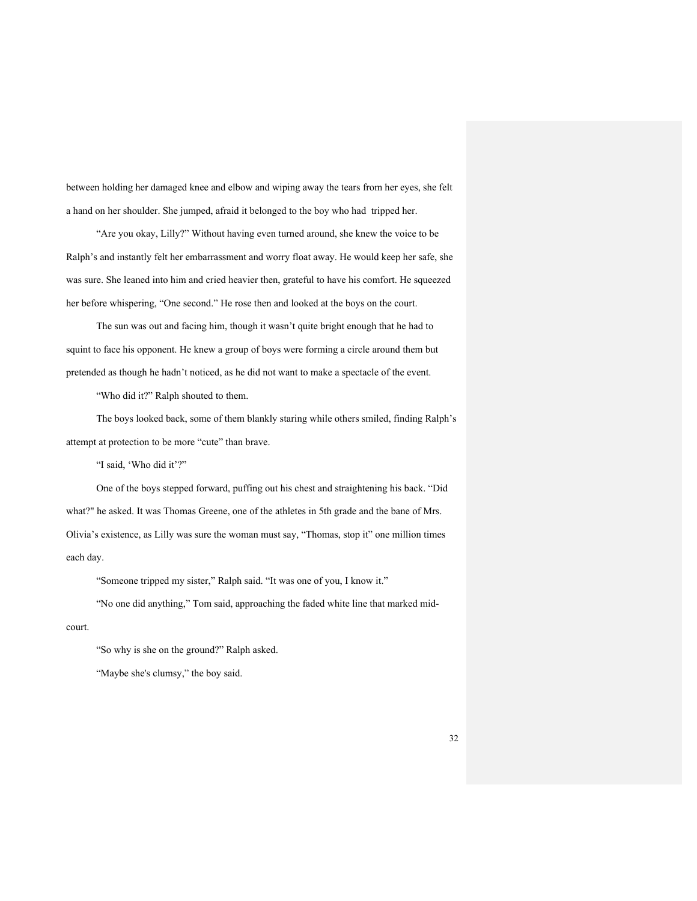between holding her damaged knee and elbow and wiping away the tears from her eyes, she felt a hand on her shoulder. She jumped, afraid it belonged to the boy who had tripped her.

"Are you okay, Lilly?" Without having even turned around, she knew the voice to be Ralph's and instantly felt her embarrassment and worry float away. He would keep her safe, she was sure. She leaned into him and cried heavier then, grateful to have his comfort. He squeezed her before whispering, "One second." He rose then and looked at the boys on the court.

The sun was out and facing him, though it wasn't quite bright enough that he had to squint to face his opponent. He knew a group of boys were forming a circle around them but pretended as though he hadn't noticed, as he did not want to make a spectacle of the event.

"Who did it?" Ralph shouted to them.

The boys looked back, some of them blankly staring while others smiled, finding Ralph's attempt at protection to be more "cute" than brave.

"I said, 'Who did it'?"

One of the boys stepped forward, puffing out his chest and straightening his back. "Did what?" he asked. It was Thomas Greene, one of the athletes in 5th grade and the bane of Mrs. Olivia's existence, as Lilly was sure the woman must say, "Thomas, stop it" one million times each day.

"Someone tripped my sister," Ralph said. "It was one of you, I know it."

"No one did anything," Tom said, approaching the faded white line that marked midcourt.

"So why is she on the ground?" Ralph asked.

"Maybe she's clumsy," the boy said.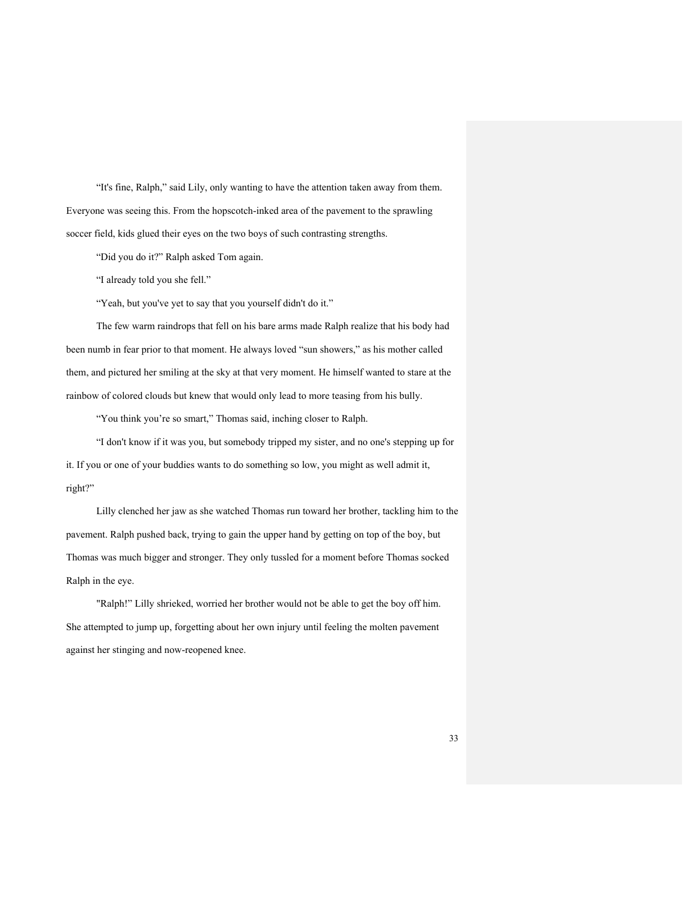"It's fine, Ralph," said Lily, only wanting to have the attention taken away from them. Everyone was seeing this. From the hopscotch-inked area of the pavement to the sprawling soccer field, kids glued their eyes on the two boys of such contrasting strengths.

"Did you do it?" Ralph asked Tom again.

"I already told you she fell."

"Yeah, but you've yet to say that you yourself didn't do it."

The few warm raindrops that fell on his bare arms made Ralph realize that his body had been numb in fear prior to that moment. He always loved "sun showers," as his mother called them, and pictured her smiling at the sky at that very moment. He himself wanted to stare at the rainbow of colored clouds but knew that would only lead to more teasing from his bully.

"You think you're so smart," Thomas said, inching closer to Ralph.

"I don't know if it was you, but somebody tripped my sister, and no one's stepping up for it. If you or one of your buddies wants to do something so low, you might as well admit it, right?"

Lilly clenched her jaw as she watched Thomas run toward her brother, tackling him to the pavement. Ralph pushed back, trying to gain the upper hand by getting on top of the boy, but Thomas was much bigger and stronger. They only tussled for a moment before Thomas socked Ralph in the eye.

"Ralph!" Lilly shrieked, worried her brother would not be able to get the boy off him. She attempted to jump up, forgetting about her own injury until feeling the molten pavement against her stinging and now-reopened knee.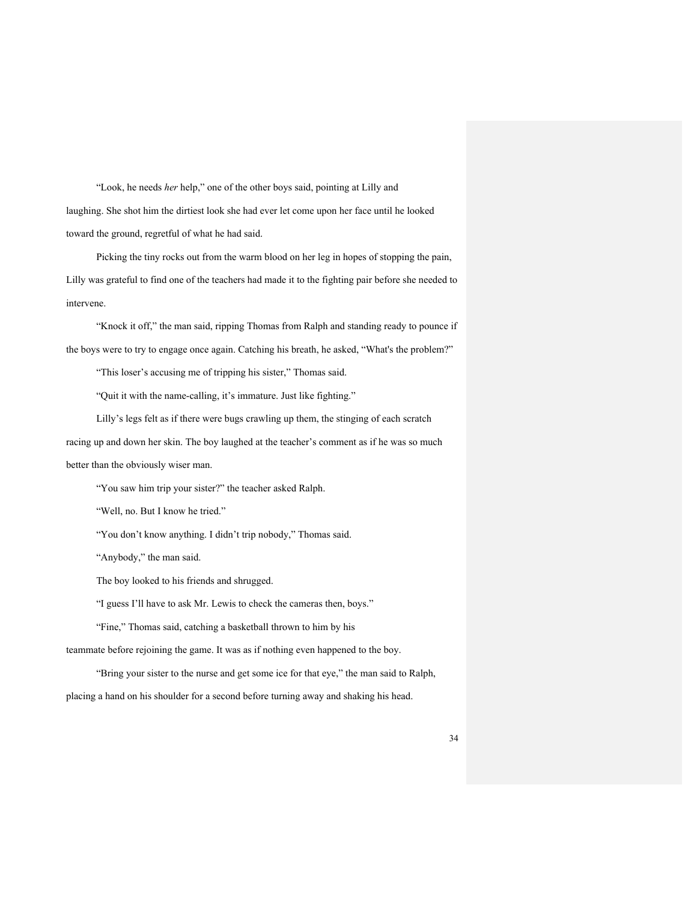"Look, he needs *her* help," one of the other boys said, pointing at Lilly and laughing. She shot him the dirtiest look she had ever let come upon her face until he looked toward the ground, regretful of what he had said.

Picking the tiny rocks out from the warm blood on her leg in hopes of stopping the pain, Lilly was grateful to find one of the teachers had made it to the fighting pair before she needed to intervene.

"Knock it off," the man said, ripping Thomas from Ralph and standing ready to pounce if the boys were to try to engage once again. Catching his breath, he asked, "What's the problem?"

"This loser's accusing me of tripping his sister," Thomas said.

"Quit it with the name-calling, it's immature. Just like fighting."

Lilly's legs felt as if there were bugs crawling up them, the stinging of each scratch racing up and down her skin. The boy laughed at the teacher's comment as if he was so much better than the obviously wiser man.

"You saw him trip your sister?" the teacher asked Ralph.

"Well, no. But I know he tried."

"You don't know anything. I didn't trip nobody," Thomas said.

"Anybody," the man said.

The boy looked to his friends and shrugged.

"I guess I'll have to ask Mr. Lewis to check the cameras then, boys."

"Fine," Thomas said, catching a basketball thrown to him by his

teammate before rejoining the game. It was as if nothing even happened to the boy.

"Bring your sister to the nurse and get some ice for that eye," the man said to Ralph,

placing a hand on his shoulder for a second before turning away and shaking his head.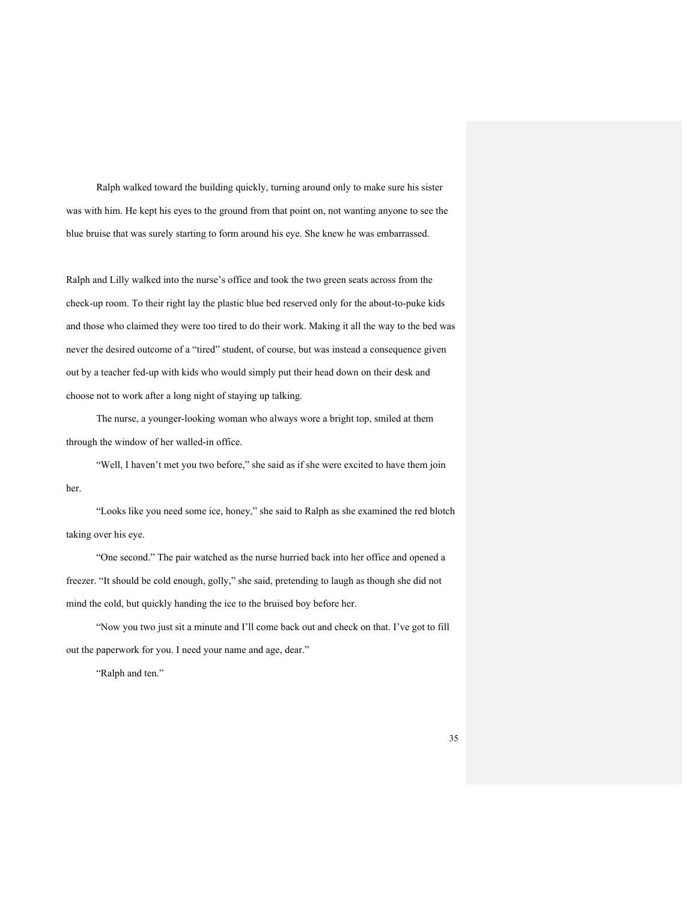Ralph walked toward the building quickly, turning around only to make sure his sister was with him. He kept his eyes to the ground from that point on, not wanting anyone to see the blue bruise that was surely starting to form around his eye. She knew he was embarrassed.

Ralph and Lilly walked into the nurse's office and took the two green seats across from the check-up room. To their right lay the plastic blue bed reserved only for the about-to-puke kids and those who claimed they were too tired to do their work. Making it all the way to the bed was never the desired outcome of a "tired" student, of course, but was instead a consequence given out by a teacher fed-up with kids who would simply put their head down on their desk and choose not to work after a long night of staying up talking.

The nurse, a younger-looking woman who always wore a bright top, smiled at them through the window of her walled-in office.

"Well, I haven't met you two before," she said as if she were excited to have them join her.

"Looks like you need some ice, honey," she said to Ralph as she examined the red blotch taking over his eye.

"One second." The pair watched as the nurse hurried back into her office and opened a freezer. "It should be cold enough, golly," she said, pretending to laugh as though she did not mind the cold, but quickly handing the ice to the bruised boy before her.

"Now you two just sit a minute and I'll come back out and check on that. I've got to fill out the paperwork for you. I need your name and age, dear."

"Ralph and ten."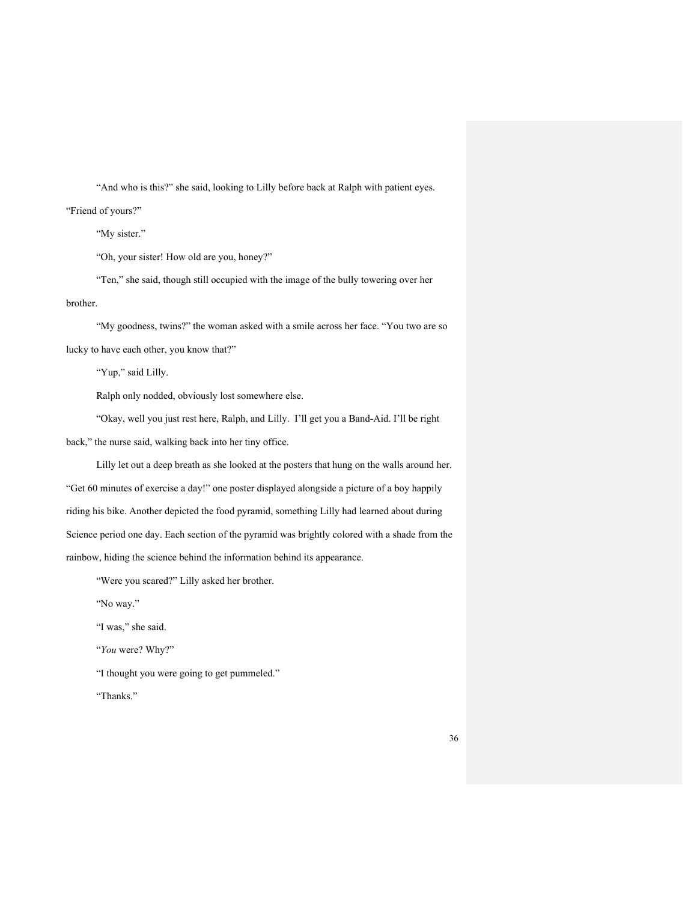"And who is this?" she said, looking to Lilly before back at Ralph with patient eyes.

"Friend of yours?"

"My sister."

"Oh, your sister! How old are you, honey?"

"Ten," she said, though still occupied with the image of the bully towering over her brother.

"My goodness, twins?" the woman asked with a smile across her face. "You two are so lucky to have each other, you know that?"

"Yup," said Lilly.

Ralph only nodded, obviously lost somewhere else.

"Okay, well you just rest here, Ralph, and Lilly. I'll get you a Band-Aid. I'll be right back," the nurse said, walking back into her tiny office.

Lilly let out a deep breath as she looked at the posters that hung on the walls around her. "Get 60 minutes of exercise a day!" one poster displayed alongside a picture of a boy happily riding his bike. Another depicted the food pyramid, something Lilly had learned about during Science period one day. Each section of the pyramid was brightly colored with a shade from the rainbow, hiding the science behind the information behind its appearance.

"Were you scared?" Lilly asked her brother.

"No way."

"I was," she said.

"*You* were? Why?"

"I thought you were going to get pummeled."

"Thanks."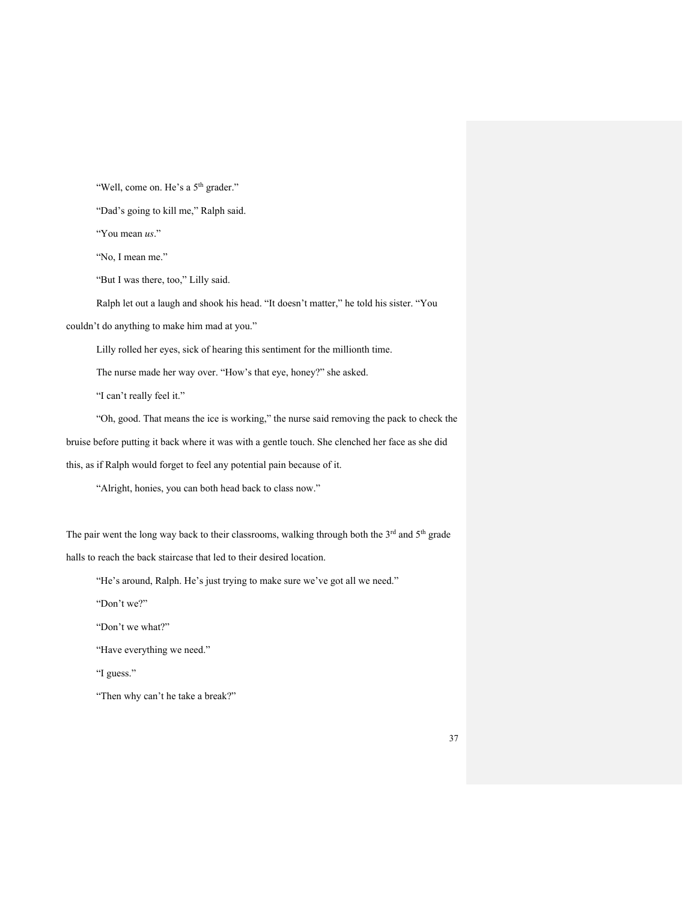"Well, come on. He's a 5<sup>th</sup> grader."

"Dad's going to kill me," Ralph said.

"You mean *us*."

"No, I mean me."

"But I was there, too," Lilly said.

Ralph let out a laugh and shook his head. "It doesn't matter," he told his sister. "You

couldn't do anything to make him mad at you."

Lilly rolled her eyes, sick of hearing this sentiment for the millionth time.

The nurse made her way over. "How's that eye, honey?" she asked.

"I can't really feel it."

"Oh, good. That means the ice is working," the nurse said removing the pack to check the bruise before putting it back where it was with a gentle touch. She clenched her face as she did this, as if Ralph would forget to feel any potential pain because of it.

"Alright, honies, you can both head back to class now."

The pair went the long way back to their classrooms, walking through both the 3<sup>rd</sup> and 5<sup>th</sup> grade halls to reach the back staircase that led to their desired location.

"He's around, Ralph. He's just trying to make sure we've got all we need."

"Don't we?"

"Don't we what?"

"Have everything we need."

"I guess."

"Then why can't he take a break?"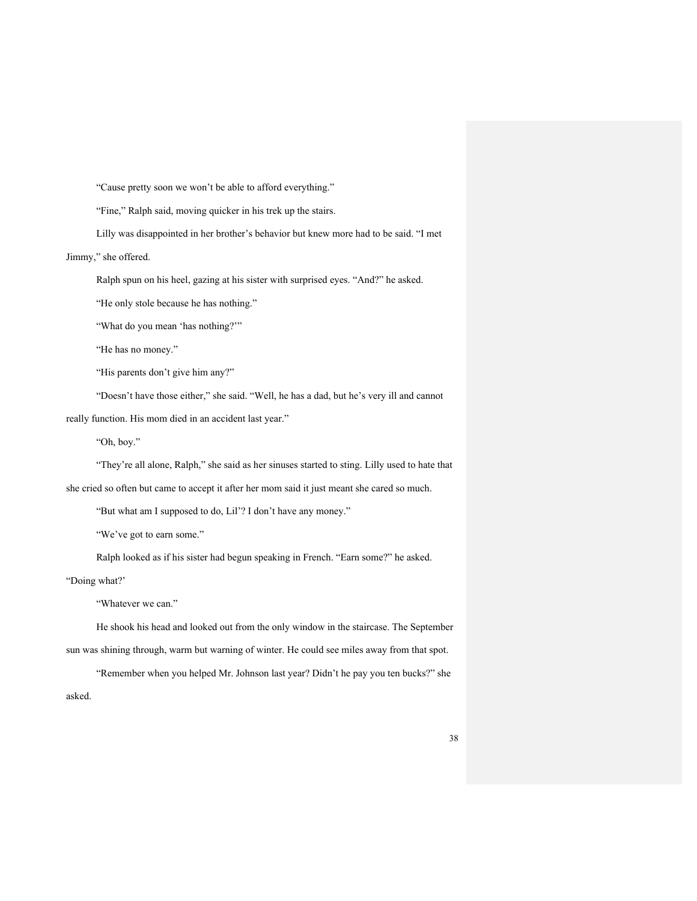"Cause pretty soon we won't be able to afford everything."

"Fine," Ralph said, moving quicker in his trek up the stairs.

Lilly was disappointed in her brother's behavior but knew more had to be said. "I met

Jimmy," she offered.

Ralph spun on his heel, gazing at his sister with surprised eyes. "And?" he asked.

"He only stole because he has nothing."

"What do you mean 'has nothing?""

"He has no money."

"His parents don't give him any?"

"Doesn't have those either," she said. "Well, he has a dad, but he's very ill and cannot

really function. His mom died in an accident last year."

"Oh, boy."

"They're all alone, Ralph," she said as her sinuses started to sting. Lilly used to hate that she cried so often but came to accept it after her mom said it just meant she cared so much.

"But what am I supposed to do, Lil'? I don't have any money."

"We've got to earn some."

Ralph looked as if his sister had begun speaking in French. "Earn some?" he asked. "Doing what?'

"Whatever we can."

He shook his head and looked out from the only window in the staircase. The September sun was shining through, warm but warning of winter. He could see miles away from that spot.

"Remember when you helped Mr. Johnson last year? Didn't he pay you ten bucks?" she asked.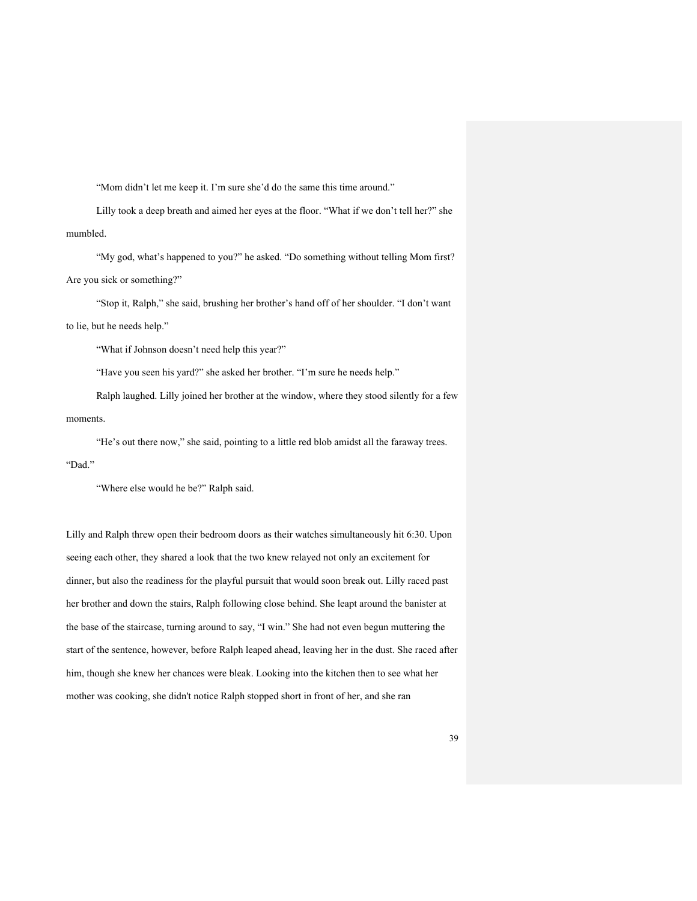"Mom didn't let me keep it. I'm sure she'd do the same this time around."

Lilly took a deep breath and aimed her eyes at the floor. "What if we don't tell her?" she mumbled.

"My god, what's happened to you?" he asked. "Do something without telling Mom first? Are you sick or something?"

"Stop it, Ralph," she said, brushing her brother's hand off of her shoulder. "I don't want to lie, but he needs help."

"What if Johnson doesn't need help this year?"

"Have you seen his yard?" she asked her brother. "I'm sure he needs help."

Ralph laughed. Lilly joined her brother at the window, where they stood silently for a few moments.

"He's out there now," she said, pointing to a little red blob amidst all the faraway trees. "Dad."

"Where else would he be?" Ralph said.

Lilly and Ralph threw open their bedroom doors as their watches simultaneously hit 6:30. Upon seeing each other, they shared a look that the two knew relayed not only an excitement for dinner, but also the readiness for the playful pursuit that would soon break out. Lilly raced past her brother and down the stairs, Ralph following close behind. She leapt around the banister at the base of the staircase, turning around to say, "I win." She had not even begun muttering the start of the sentence, however, before Ralph leaped ahead, leaving her in the dust. She raced after him, though she knew her chances were bleak. Looking into the kitchen then to see what her mother was cooking, she didn't notice Ralph stopped short in front of her, and she ran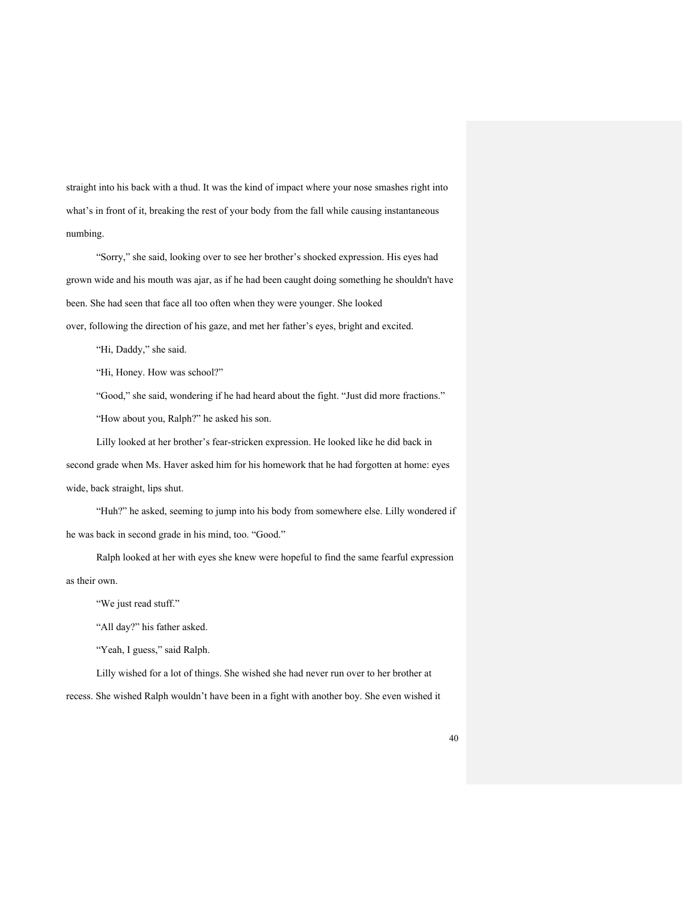straight into his back with a thud. It was the kind of impact where your nose smashes right into what's in front of it, breaking the rest of your body from the fall while causing instantaneous numbing.

"Sorry," she said, looking over to see her brother's shocked expression. His eyes had grown wide and his mouth was ajar, as if he had been caught doing something he shouldn't have been. She had seen that face all too often when they were younger. She looked over, following the direction of his gaze, and met her father's eyes, bright and excited.

"Hi, Daddy," she said.

"Hi, Honey. How was school?"

"Good," she said, wondering if he had heard about the fight. "Just did more fractions." "How about you, Ralph?" he asked his son.

Lilly looked at her brother's fear-stricken expression. He looked like he did back in second grade when Ms. Haver asked him for his homework that he had forgotten at home: eyes wide, back straight, lips shut.

"Huh?" he asked, seeming to jump into his body from somewhere else. Lilly wondered if he was back in second grade in his mind, too. "Good."

Ralph looked at her with eyes she knew were hopeful to find the same fearful expression as their own.

"We just read stuff."

"All day?" his father asked.

"Yeah, I guess," said Ralph.

Lilly wished for a lot of things. She wished she had never run over to her brother at

recess. She wished Ralph wouldn't have been in a fight with another boy. She even wished it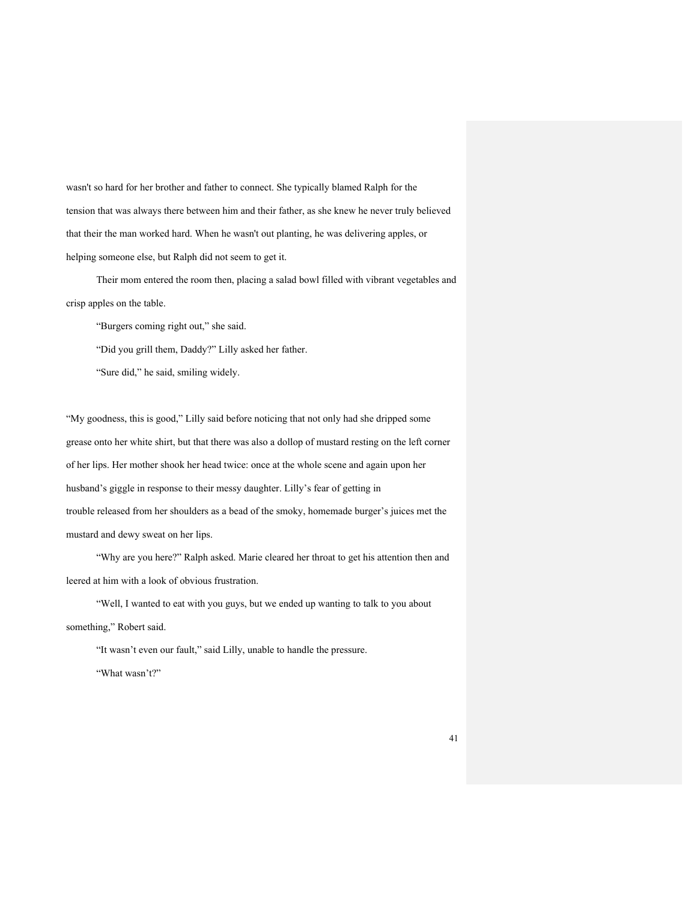wasn't so hard for her brother and father to connect. She typically blamed Ralph for the tension that was always there between him and their father, as she knew he never truly believed that their the man worked hard. When he wasn't out planting, he was delivering apples, or helping someone else, but Ralph did not seem to get it.

Their mom entered the room then, placing a salad bowl filled with vibrant vegetables and crisp apples on the table.

"Burgers coming right out," she said.

"Did you grill them, Daddy?" Lilly asked her father.

"Sure did," he said, smiling widely.

"My goodness, this is good," Lilly said before noticing that not only had she dripped some grease onto her white shirt, but that there was also a dollop of mustard resting on the left corner of her lips. Her mother shook her head twice: once at the whole scene and again upon her husband's giggle in response to their messy daughter. Lilly's fear of getting in trouble released from her shoulders as a bead of the smoky, homemade burger's juices met the mustard and dewy sweat on her lips.

"Why are you here?" Ralph asked. Marie cleared her throat to get his attention then and leered at him with a look of obvious frustration.

"Well, I wanted to eat with you guys, but we ended up wanting to talk to you about something," Robert said.

"It wasn't even our fault," said Lilly, unable to handle the pressure.

"What wasn't?"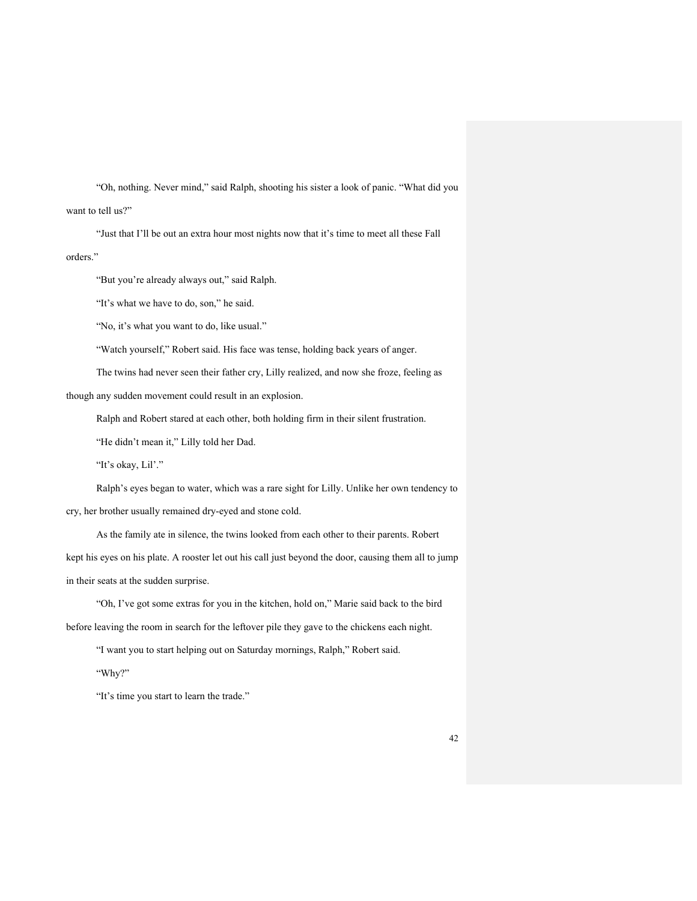"Oh, nothing. Never mind," said Ralph, shooting his sister a look of panic. "What did you want to tell us?"

"Just that I'll be out an extra hour most nights now that it's time to meet all these Fall orders."

"But you're already always out," said Ralph.

"It's what we have to do, son," he said.

"No, it's what you want to do, like usual."

"Watch yourself," Robert said. His face was tense, holding back years of anger.

The twins had never seen their father cry, Lilly realized, and now she froze, feeling as

though any sudden movement could result in an explosion.

Ralph and Robert stared at each other, both holding firm in their silent frustration.

"He didn't mean it," Lilly told her Dad.

"It's okay, Lil'."

Ralph's eyes began to water, which was a rare sight for Lilly. Unlike her own tendency to cry, her brother usually remained dry-eyed and stone cold.

As the family ate in silence, the twins looked from each other to their parents. Robert kept his eyes on his plate. A rooster let out his call just beyond the door, causing them all to jump in their seats at the sudden surprise.

"Oh, I've got some extras for you in the kitchen, hold on," Marie said back to the bird before leaving the room in search for the leftover pile they gave to the chickens each night.

"I want you to start helping out on Saturday mornings, Ralph," Robert said.

"Why?"

"It's time you start to learn the trade."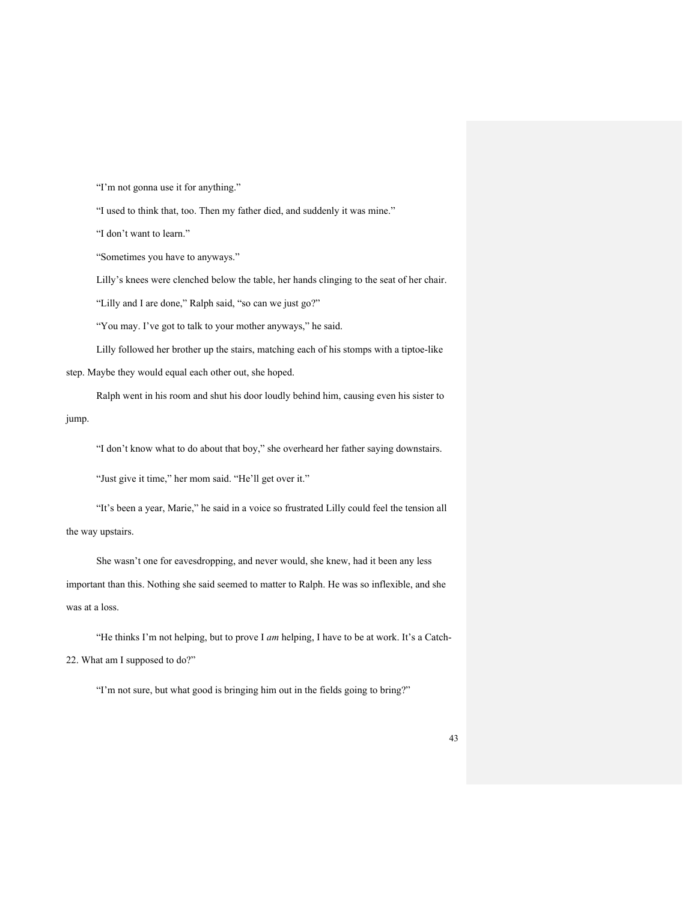"I'm not gonna use it for anything."

"I used to think that, too. Then my father died, and suddenly it was mine."

"I don't want to learn."

"Sometimes you have to anyways."

Lilly's knees were clenched below the table, her hands clinging to the seat of her chair.

"Lilly and I are done," Ralph said, "so can we just go?"

"You may. I've got to talk to your mother anyways," he said.

Lilly followed her brother up the stairs, matching each of his stomps with a tiptoe-like step. Maybe they would equal each other out, she hoped.

Ralph went in his room and shut his door loudly behind him, causing even his sister to jump.

"I don't know what to do about that boy," she overheard her father saying downstairs.

"Just give it time," her mom said. "He'll get over it."

"It's been a year, Marie," he said in a voice so frustrated Lilly could feel the tension all the way upstairs.

She wasn't one for eavesdropping, and never would, she knew, had it been any less important than this. Nothing she said seemed to matter to Ralph. He was so inflexible, and she was at a loss.

"He thinks I'm not helping, but to prove I *am* helping, I have to be at work. It's a Catch-22. What am I supposed to do?"

"I'm not sure, but what good is bringing him out in the fields going to bring?"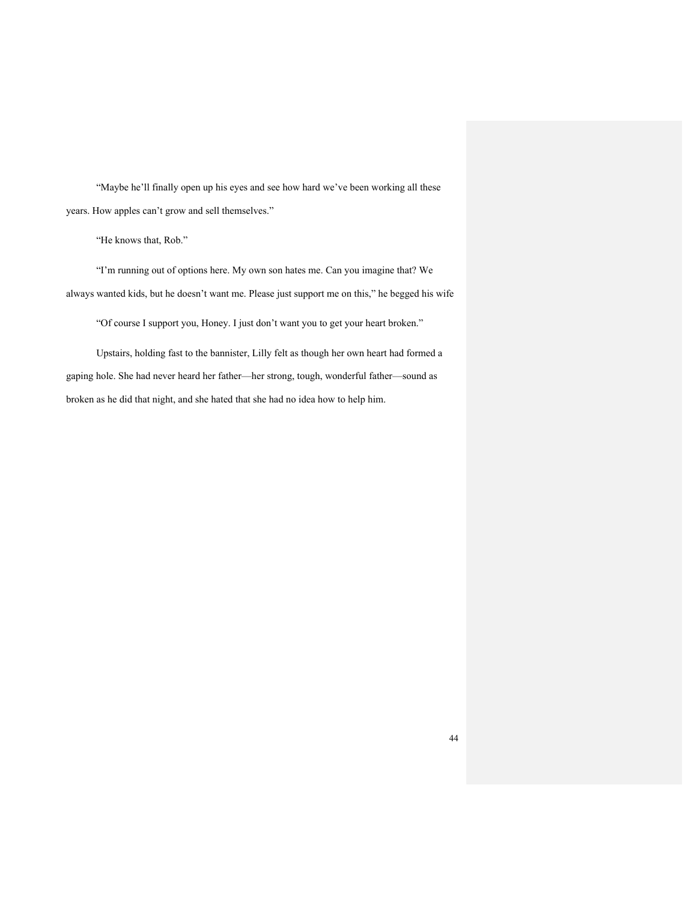"Maybe he'll finally open up his eyes and see how hard we've been working all these years. How apples can't grow and sell themselves."

"He knows that, Rob."

"I'm running out of options here. My own son hates me. Can you imagine that? We always wanted kids, but he doesn't want me. Please just support me on this," he begged his wife

"Of course I support you, Honey. I just don't want you to get your heart broken."

Upstairs, holding fast to the bannister, Lilly felt as though her own heart had formed a gaping hole. She had never heard her father—her strong, tough, wonderful father—sound as broken as he did that night, and she hated that she had no idea how to help him.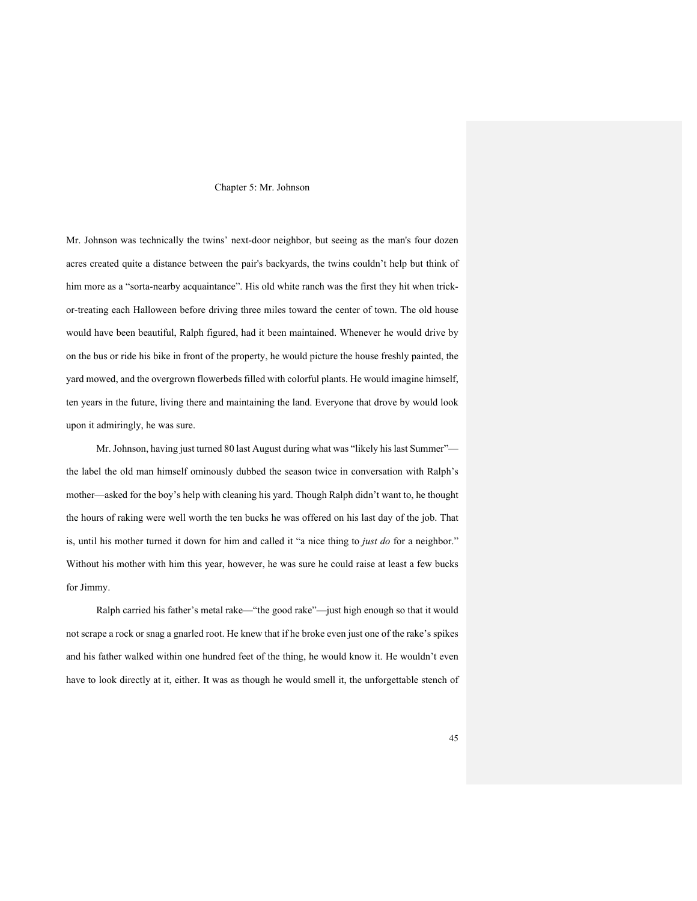## Chapter 5: Mr. Johnson

Mr. Johnson was technically the twins' next-door neighbor, but seeing as the man's four dozen acres created quite a distance between the pair's backyards, the twins couldn't help but think of him more as a "sorta-nearby acquaintance". His old white ranch was the first they hit when trickor-treating each Halloween before driving three miles toward the center of town. The old house would have been beautiful, Ralph figured, had it been maintained. Whenever he would drive by on the bus or ride his bike in front of the property, he would picture the house freshly painted, the yard mowed, and the overgrown flowerbeds filled with colorful plants. He would imagine himself, ten years in the future, living there and maintaining the land. Everyone that drove by would look upon it admiringly, he was sure.

Mr. Johnson, having just turned 80 last August during what was "likely his last Summer" the label the old man himself ominously dubbed the season twice in conversation with Ralph's mother—asked for the boy's help with cleaning his yard. Though Ralph didn't want to, he thought the hours of raking were well worth the ten bucks he was offered on his last day of the job. That is, until his mother turned it down for him and called it "a nice thing to *just do* for a neighbor." Without his mother with him this year, however, he was sure he could raise at least a few bucks for Jimmy.

Ralph carried his father's metal rake—"the good rake"—just high enough so that it would not scrape a rock or snag a gnarled root. He knew that if he broke even just one of the rake's spikes and his father walked within one hundred feet of the thing, he would know it. He wouldn't even have to look directly at it, either. It was as though he would smell it, the unforgettable stench of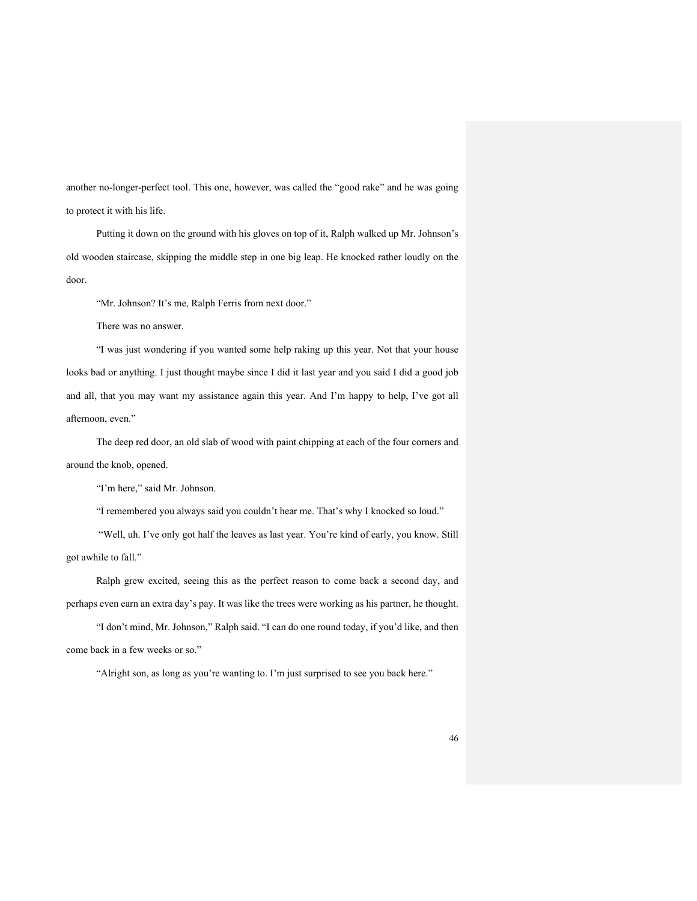another no-longer-perfect tool. This one, however, was called the "good rake" and he was going to protect it with his life.

Putting it down on the ground with his gloves on top of it, Ralph walked up Mr. Johnson's old wooden staircase, skipping the middle step in one big leap. He knocked rather loudly on the door.

"Mr. Johnson? It's me, Ralph Ferris from next door."

There was no answer.

"I was just wondering if you wanted some help raking up this year. Not that your house looks bad or anything. I just thought maybe since I did it last year and you said I did a good job and all, that you may want my assistance again this year. And I'm happy to help, I've got all afternoon, even."

The deep red door, an old slab of wood with paint chipping at each of the four corners and around the knob, opened.

"I'm here," said Mr. Johnson.

"I remembered you always said you couldn't hear me. That's why I knocked so loud."

"Well, uh. I've only got half the leaves as last year. You're kind of early, you know. Still got awhile to fall."

Ralph grew excited, seeing this as the perfect reason to come back a second day, and perhaps even earn an extra day's pay. It was like the trees were working as his partner, he thought.

"I don't mind, Mr. Johnson," Ralph said. "I can do one round today, if you'd like, and then come back in a few weeks or so."

"Alright son, as long as you're wanting to. I'm just surprised to see you back here."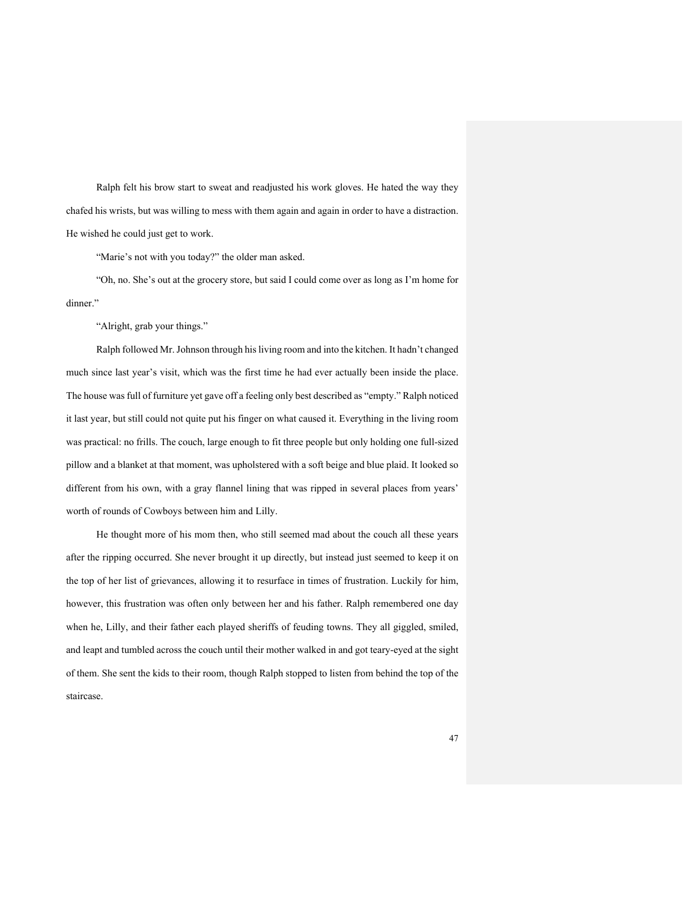Ralph felt his brow start to sweat and readjusted his work gloves. He hated the way they chafed his wrists, but was willing to mess with them again and again in order to have a distraction. He wished he could just get to work.

"Marie's not with you today?" the older man asked.

"Oh, no. She's out at the grocery store, but said I could come over as long as I'm home for dinner."

"Alright, grab your things."

Ralph followed Mr. Johnson through his living room and into the kitchen. It hadn't changed much since last year's visit, which was the first time he had ever actually been inside the place. The house was full of furniture yet gave off a feeling only best described as "empty." Ralph noticed it last year, but still could not quite put his finger on what caused it. Everything in the living room was practical: no frills. The couch, large enough to fit three people but only holding one full-sized pillow and a blanket at that moment, was upholstered with a soft beige and blue plaid. It looked so different from his own, with a gray flannel lining that was ripped in several places from years' worth of rounds of Cowboys between him and Lilly.

He thought more of his mom then, who still seemed mad about the couch all these years after the ripping occurred. She never brought it up directly, but instead just seemed to keep it on the top of her list of grievances, allowing it to resurface in times of frustration. Luckily for him, however, this frustration was often only between her and his father. Ralph remembered one day when he, Lilly, and their father each played sheriffs of feuding towns. They all giggled, smiled, and leapt and tumbled across the couch until their mother walked in and got teary-eyed at the sight of them. She sent the kids to their room, though Ralph stopped to listen from behind the top of the staircase.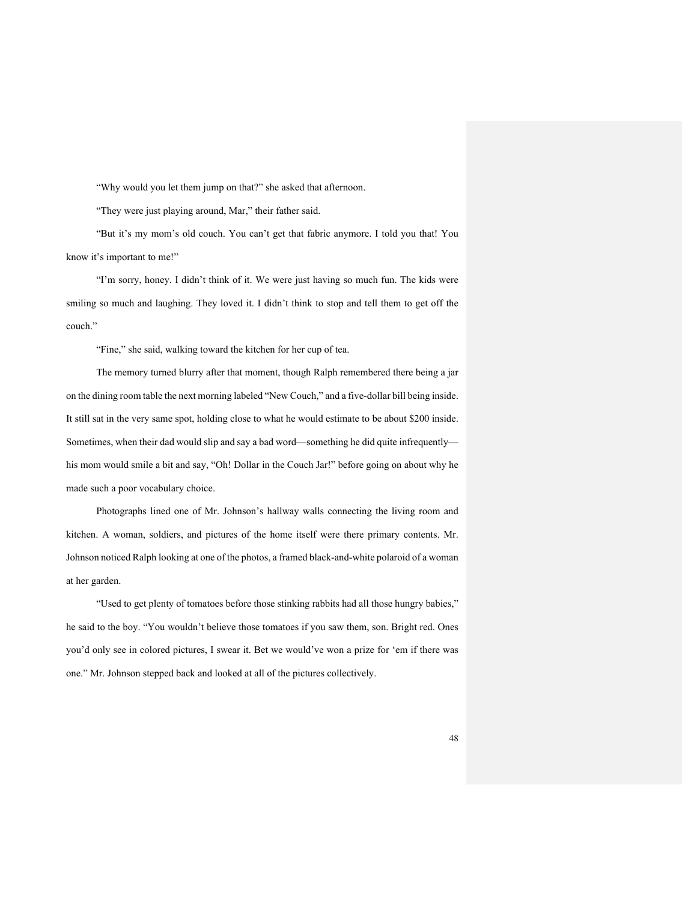"Why would you let them jump on that?" she asked that afternoon.

"They were just playing around, Mar," their father said.

"But it's my mom's old couch. You can't get that fabric anymore. I told you that! You know it's important to me!"

"I'm sorry, honey. I didn't think of it. We were just having so much fun. The kids were smiling so much and laughing. They loved it. I didn't think to stop and tell them to get off the couch."

"Fine," she said, walking toward the kitchen for her cup of tea.

The memory turned blurry after that moment, though Ralph remembered there being a jar on the dining room table the next morning labeled "New Couch," and a five-dollar bill being inside. It still sat in the very same spot, holding close to what he would estimate to be about \$200 inside. Sometimes, when their dad would slip and say a bad word—something he did quite infrequently his mom would smile a bit and say, "Oh! Dollar in the Couch Jar!" before going on about why he made such a poor vocabulary choice.

Photographs lined one of Mr. Johnson's hallway walls connecting the living room and kitchen. A woman, soldiers, and pictures of the home itself were there primary contents. Mr. Johnson noticed Ralph looking at one of the photos, a framed black-and-white polaroid of a woman at her garden.

"Used to get plenty of tomatoes before those stinking rabbits had all those hungry babies," he said to the boy. "You wouldn't believe those tomatoes if you saw them, son. Bright red. Ones you'd only see in colored pictures, I swear it. Bet we would've won a prize for 'em if there was one." Mr. Johnson stepped back and looked at all of the pictures collectively.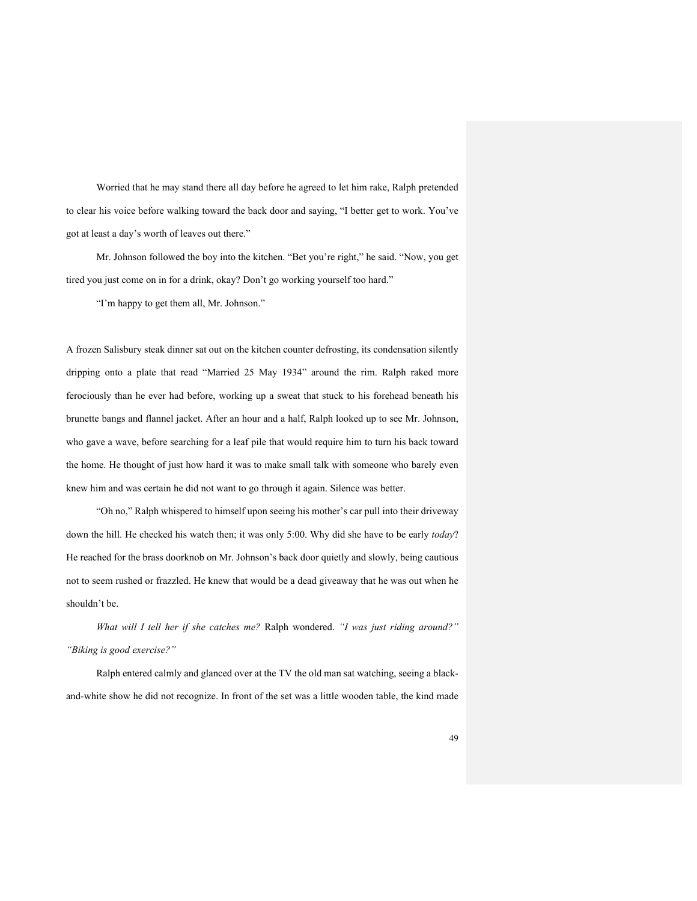Worried that he may stand there all day before he agreed to let him rake, Ralph pretended to clear his voice before walking toward the back door and saying, "I better get to work. You've got at least a day's worth of leaves out there."

Mr. Johnson followed the boy into the kitchen. "Bet you're right," he said. "Now, you get tired you just come on in for a drink, okay? Don't go working yourself too hard."

"I'm happy to get them all, Mr. Johnson."

A frozen Salisbury steak dinner sat out on the kitchen counter defrosting, its condensation silently dripping onto a plate that read "Married 25 May 1934" around the rim. Ralph raked more ferociously than he ever had before, working up a sweat that stuck to his forehead beneath his brunette bangs and flannel jacket. After an hour and a half, Ralph looked up to see Mr. Johnson, who gave a wave, before searching for a leaf pile that would require him to turn his back toward the home. He thought of just how hard it was to make small talk with someone who barely even knew him and was certain he did not want to go through it again. Silence was better.

"Oh no," Ralph whispered to himself upon seeing his mother's car pull into their driveway down the hill. He checked his watch then; it was only 5:00. Why did she have to be early *today*? He reached for the brass doorknob on Mr. Johnson's back door quietly and slowly, being cautious not to seem rushed or frazzled. He knew that would be a dead giveaway that he was out when he shouldn't be.

*What will I tell her if she catches me?* Ralph wondered. *"I was just riding around?" "Biking is good exercise?"*

Ralph entered calmly and glanced over at the TV the old man sat watching, seeing a blackand-white show he did not recognize. In front of the set was a little wooden table, the kind made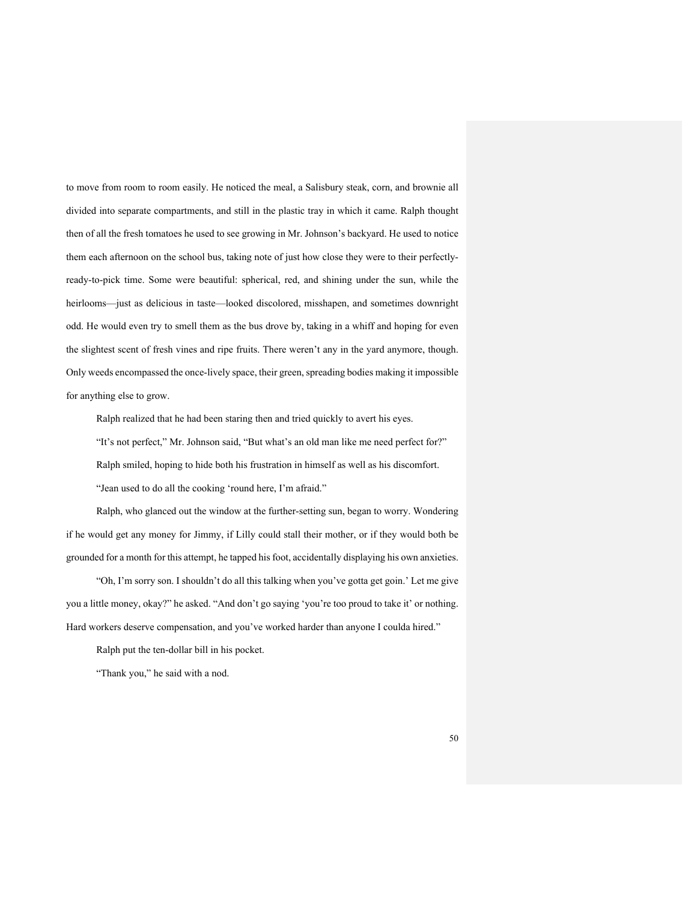to move from room to room easily. He noticed the meal, a Salisbury steak, corn, and brownie all divided into separate compartments, and still in the plastic tray in which it came. Ralph thought then of all the fresh tomatoes he used to see growing in Mr. Johnson's backyard. He used to notice them each afternoon on the school bus, taking note of just how close they were to their perfectlyready-to-pick time. Some were beautiful: spherical, red, and shining under the sun, while the heirlooms—just as delicious in taste—looked discolored, misshapen, and sometimes downright odd. He would even try to smell them as the bus drove by, taking in a whiff and hoping for even the slightest scent of fresh vines and ripe fruits. There weren't any in the yard anymore, though. Only weeds encompassed the once-lively space, their green, spreading bodies making it impossible for anything else to grow.

Ralph realized that he had been staring then and tried quickly to avert his eyes.

"It's not perfect," Mr. Johnson said, "But what's an old man like me need perfect for?" Ralph smiled, hoping to hide both his frustration in himself as well as his discomfort. "Jean used to do all the cooking 'round here, I'm afraid."

Ralph, who glanced out the window at the further-setting sun, began to worry. Wondering if he would get any money for Jimmy, if Lilly could stall their mother, or if they would both be grounded for a month for this attempt, he tapped his foot, accidentally displaying his own anxieties.

"Oh, I'm sorry son. I shouldn't do all this talking when you've gotta get goin.' Let me give you a little money, okay?" he asked. "And don't go saying 'you're too proud to take it' or nothing. Hard workers deserve compensation, and you've worked harder than anyone I coulda hired."

Ralph put the ten-dollar bill in his pocket.

"Thank you," he said with a nod.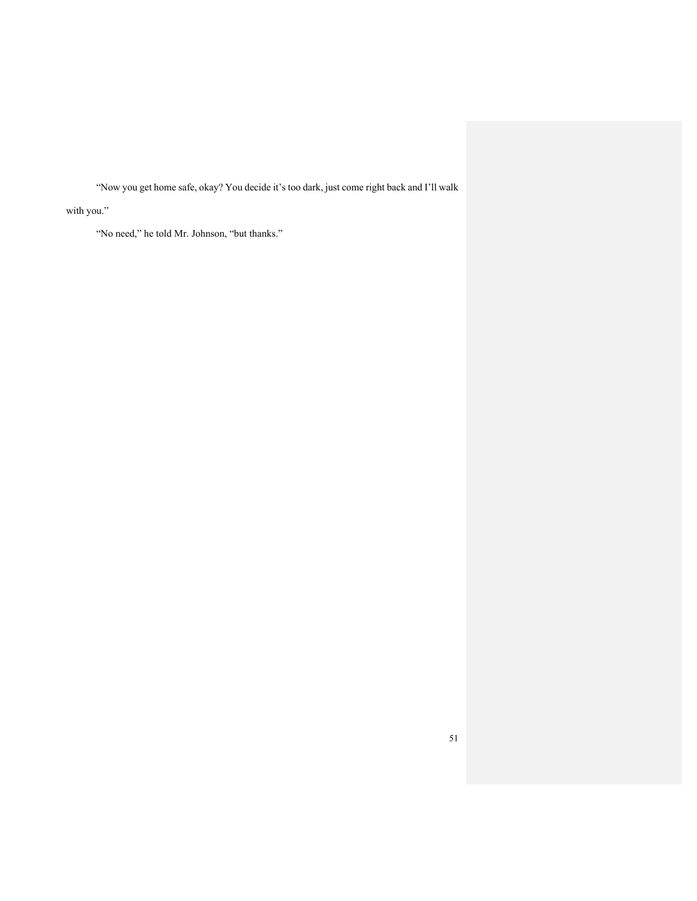"Now you get home safe, okay? You decide it's too dark, just come right back and I'll walk

with you."

"No need," he told Mr. Johnson, "but thanks."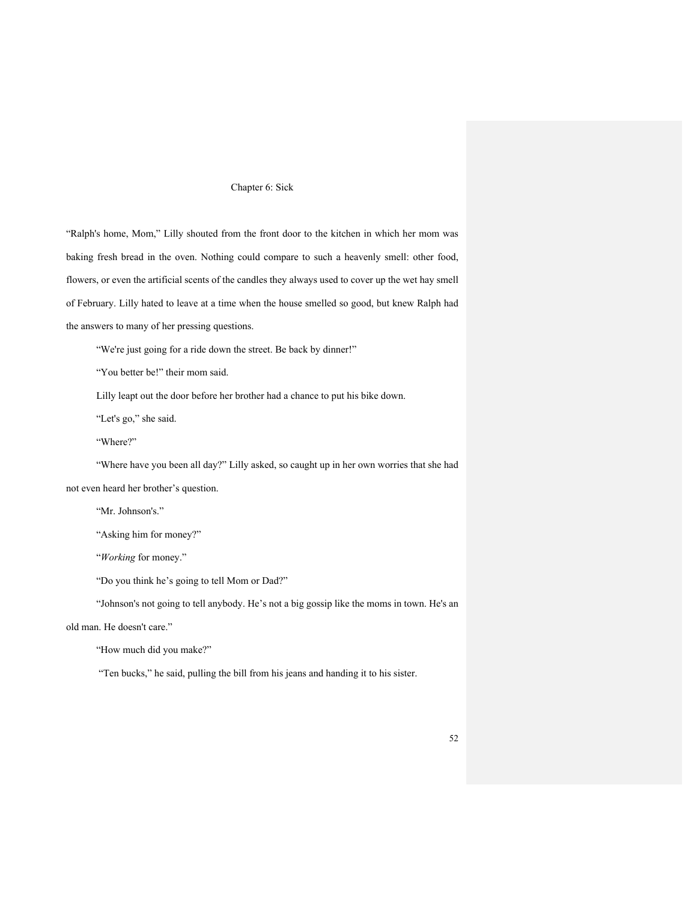## Chapter 6: Sick

"Ralph's home, Mom," Lilly shouted from the front door to the kitchen in which her mom was baking fresh bread in the oven. Nothing could compare to such a heavenly smell: other food, flowers, or even the artificial scents of the candles they always used to cover up the wet hay smell of February. Lilly hated to leave at a time when the house smelled so good, but knew Ralph had the answers to many of her pressing questions.

"We're just going for a ride down the street. Be back by dinner!"

"You better be!" their mom said.

Lilly leapt out the door before her brother had a chance to put his bike down.

"Let's go," she said.

"Where?"

"Where have you been all day?" Lilly asked, so caught up in her own worries that she had not even heard her brother's question.

"Mr. Johnson's."

"Asking him for money?"

"*Working* for money."

"Do you think he's going to tell Mom or Dad?"

"Johnson's not going to tell anybody. He's not a big gossip like the moms in town. He's an

old man. He doesn't care."

"How much did you make?"

"Ten bucks," he said, pulling the bill from his jeans and handing it to his sister.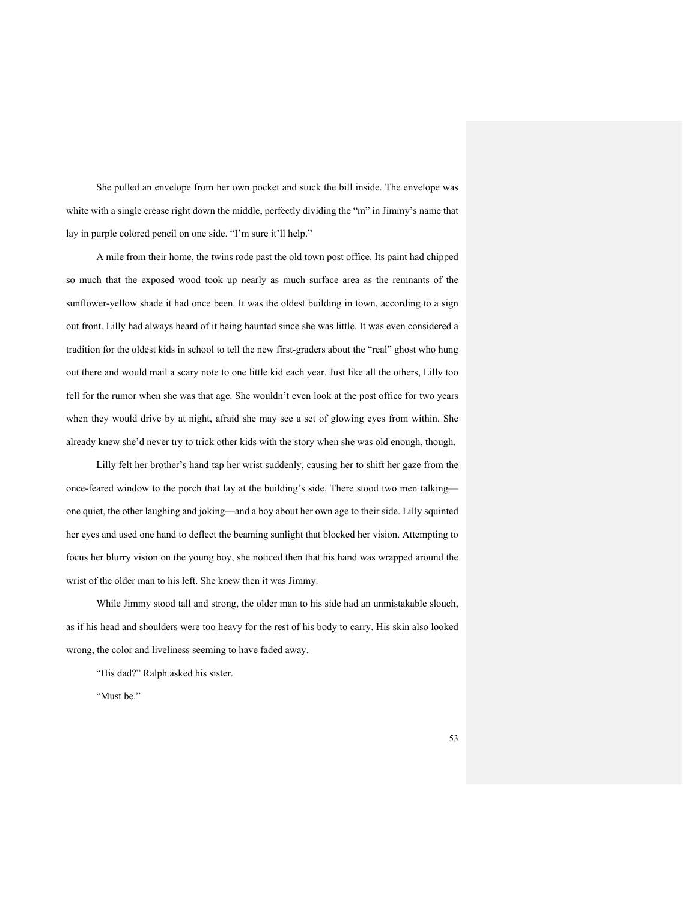She pulled an envelope from her own pocket and stuck the bill inside. The envelope was white with a single crease right down the middle, perfectly dividing the "m" in Jimmy's name that lay in purple colored pencil on one side. "I'm sure it'll help."

A mile from their home, the twins rode past the old town post office. Its paint had chipped so much that the exposed wood took up nearly as much surface area as the remnants of the sunflower-yellow shade it had once been. It was the oldest building in town, according to a sign out front. Lilly had always heard of it being haunted since she was little. It was even considered a tradition for the oldest kids in school to tell the new first-graders about the "real" ghost who hung out there and would mail a scary note to one little kid each year. Just like all the others, Lilly too fell for the rumor when she was that age. She wouldn't even look at the post office for two years when they would drive by at night, afraid she may see a set of glowing eyes from within. She already knew she'd never try to trick other kids with the story when she was old enough, though.

Lilly felt her brother's hand tap her wrist suddenly, causing her to shift her gaze from the once-feared window to the porch that lay at the building's side. There stood two men talking one quiet, the other laughing and joking—and a boy about her own age to their side. Lilly squinted her eyes and used one hand to deflect the beaming sunlight that blocked her vision. Attempting to focus her blurry vision on the young boy, she noticed then that his hand was wrapped around the wrist of the older man to his left. She knew then it was Jimmy.

While Jimmy stood tall and strong, the older man to his side had an unmistakable slouch, as if his head and shoulders were too heavy for the rest of his body to carry. His skin also looked wrong, the color and liveliness seeming to have faded away.

"His dad?" Ralph asked his sister.

"Must be."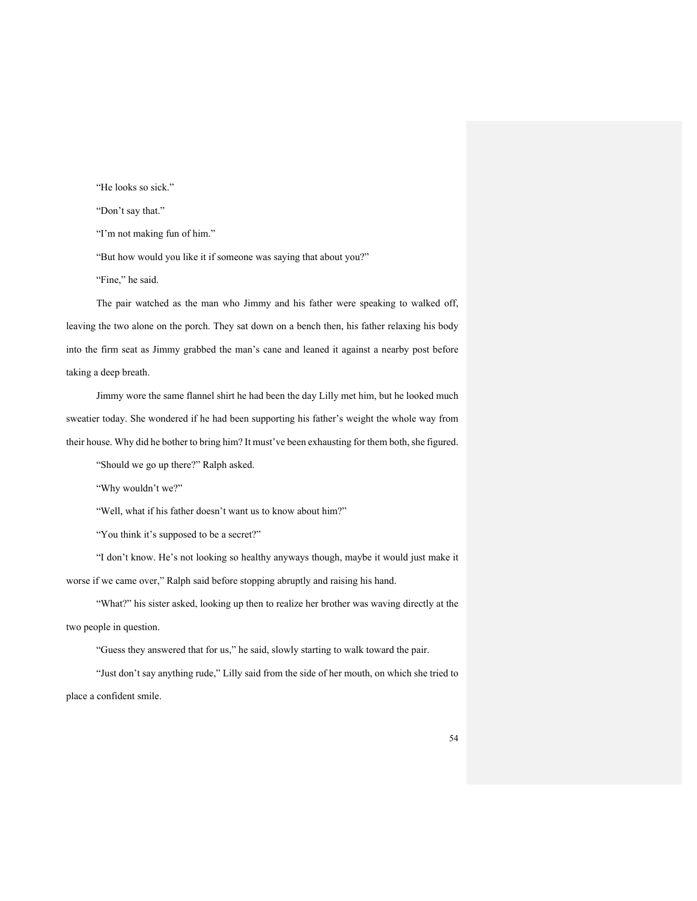"He looks so sick."

"Don't say that."

"I'm not making fun of him."

"But how would you like it if someone was saying that about you?"

"Fine," he said.

The pair watched as the man who Jimmy and his father were speaking to walked off, leaving the two alone on the porch. They sat down on a bench then, his father relaxing his body into the firm seat as Jimmy grabbed the man's cane and leaned it against a nearby post before taking a deep breath.

Jimmy wore the same flannel shirt he had been the day Lilly met him, but he looked much sweatier today. She wondered if he had been supporting his father's weight the whole way from their house. Why did he bother to bring him? It must've been exhausting for them both, she figured.

"Should we go up there?" Ralph asked.

"Why wouldn't we?"

"Well, what if his father doesn't want us to know about him?"

"You think it's supposed to be a secret?"

"I don't know. He's not looking so healthy anyways though, maybe it would just make it worse if we came over," Ralph said before stopping abruptly and raising his hand.

"What?" his sister asked, looking up then to realize her brother was waving directly at the two people in question.

"Guess they answered that for us," he said, slowly starting to walk toward the pair.

"Just don't say anything rude," Lilly said from the side of her mouth, on which she tried to place a confident smile.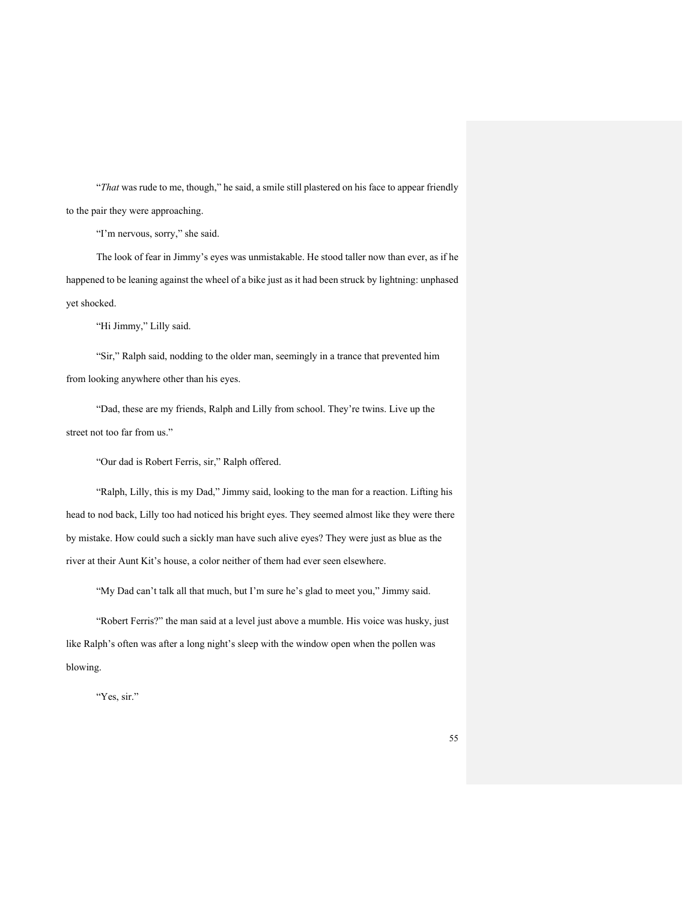"*That* was rude to me, though," he said, a smile still plastered on his face to appear friendly to the pair they were approaching.

"I'm nervous, sorry," she said.

The look of fear in Jimmy's eyes was unmistakable. He stood taller now than ever, as if he happened to be leaning against the wheel of a bike just as it had been struck by lightning: unphased yet shocked.

"Hi Jimmy," Lilly said.

"Sir," Ralph said, nodding to the older man, seemingly in a trance that prevented him from looking anywhere other than his eyes.

"Dad, these are my friends, Ralph and Lilly from school. They're twins. Live up the street not too far from us."

"Our dad is Robert Ferris, sir," Ralph offered.

"Ralph, Lilly, this is my Dad," Jimmy said, looking to the man for a reaction. Lifting his head to nod back, Lilly too had noticed his bright eyes. They seemed almost like they were there by mistake. How could such a sickly man have such alive eyes? They were just as blue as the river at their Aunt Kit's house, a color neither of them had ever seen elsewhere.

"My Dad can't talk all that much, but I'm sure he's glad to meet you," Jimmy said.

"Robert Ferris?" the man said at a level just above a mumble. His voice was husky, just like Ralph's often was after a long night's sleep with the window open when the pollen was blowing.

"Yes, sir."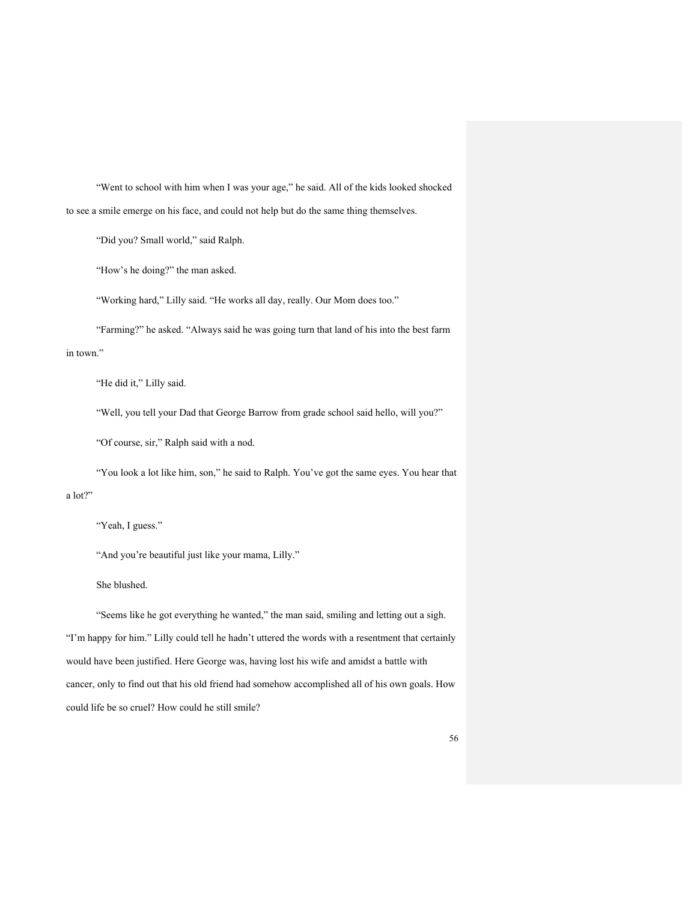"Went to school with him when I was your age," he said. All of the kids looked shocked to see a smile emerge on his face, and could not help but do the same thing themselves.

"Did you? Small world," said Ralph.

"How's he doing?" the man asked.

"Working hard," Lilly said. "He works all day, really. Our Mom does too."

"Farming?" he asked. "Always said he was going turn that land of his into the best farm in town."

"He did it," Lilly said.

"Well, you tell your Dad that George Barrow from grade school said hello, will you?"

"Of course, sir," Ralph said with a nod.

"You look a lot like him, son," he said to Ralph. You've got the same eyes. You hear that a lot?"

"Yeah, I guess."

"And you're beautiful just like your mama, Lilly."

She blushed.

"Seems like he got everything he wanted," the man said, smiling and letting out a sigh. "I'm happy for him." Lilly could tell he hadn't uttered the words with a resentment that certainly would have been justified. Here George was, having lost his wife and amidst a battle with cancer, only to find out that his old friend had somehow accomplished all of his own goals. How could life be so cruel? How could he still smile?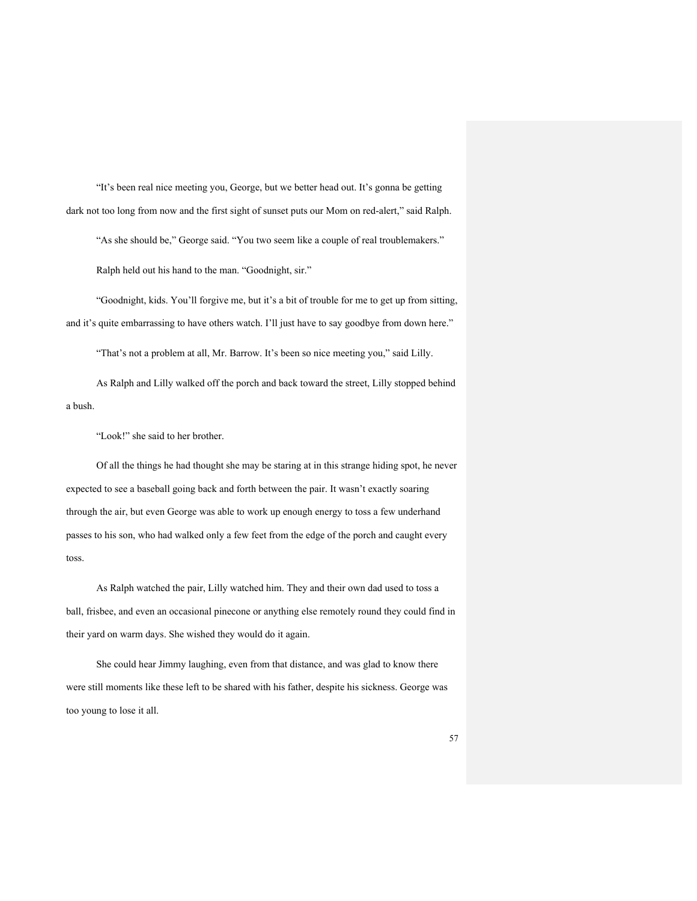"It's been real nice meeting you, George, but we better head out. It's gonna be getting dark not too long from now and the first sight of sunset puts our Mom on red-alert," said Ralph.

"As she should be," George said. "You two seem like a couple of real troublemakers."

Ralph held out his hand to the man. "Goodnight, sir."

"Goodnight, kids. You'll forgive me, but it's a bit of trouble for me to get up from sitting, and it's quite embarrassing to have others watch. I'll just have to say goodbye from down here."

"That's not a problem at all, Mr. Barrow. It's been so nice meeting you," said Lilly.

As Ralph and Lilly walked off the porch and back toward the street, Lilly stopped behind a bush.

"Look!" she said to her brother.

Of all the things he had thought she may be staring at in this strange hiding spot, he never expected to see a baseball going back and forth between the pair. It wasn't exactly soaring through the air, but even George was able to work up enough energy to toss a few underhand passes to his son, who had walked only a few feet from the edge of the porch and caught every toss.

As Ralph watched the pair, Lilly watched him. They and their own dad used to toss a ball, frisbee, and even an occasional pinecone or anything else remotely round they could find in their yard on warm days. She wished they would do it again.

She could hear Jimmy laughing, even from that distance, and was glad to know there were still moments like these left to be shared with his father, despite his sickness. George was too young to lose it all.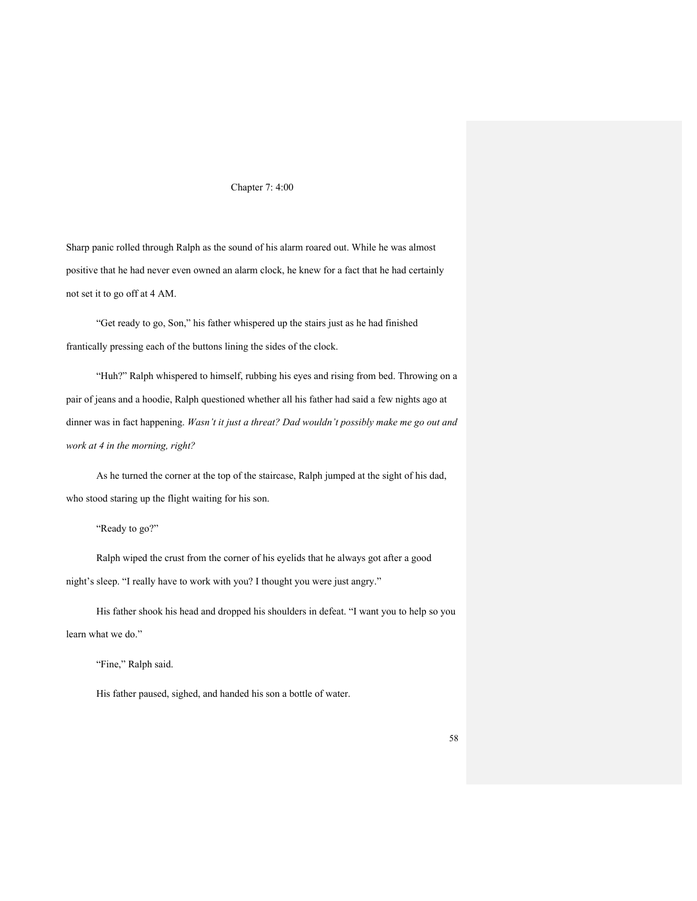## Chapter 7: 4:00

Sharp panic rolled through Ralph as the sound of his alarm roared out. While he was almost positive that he had never even owned an alarm clock, he knew for a fact that he had certainly not set it to go off at 4 AM.

"Get ready to go, Son," his father whispered up the stairs just as he had finished frantically pressing each of the buttons lining the sides of the clock.

"Huh?" Ralph whispered to himself, rubbing his eyes and rising from bed. Throwing on a pair of jeans and a hoodie, Ralph questioned whether all his father had said a few nights ago at dinner was in fact happening. *Wasn't it just a threat? Dad wouldn't possibly make me go out and work at 4 in the morning, right?*

As he turned the corner at the top of the staircase, Ralph jumped at the sight of his dad, who stood staring up the flight waiting for his son.

"Ready to go?"

Ralph wiped the crust from the corner of his eyelids that he always got after a good night's sleep. "I really have to work with you? I thought you were just angry."

His father shook his head and dropped his shoulders in defeat. "I want you to help so you learn what we do."

"Fine," Ralph said.

His father paused, sighed, and handed his son a bottle of water.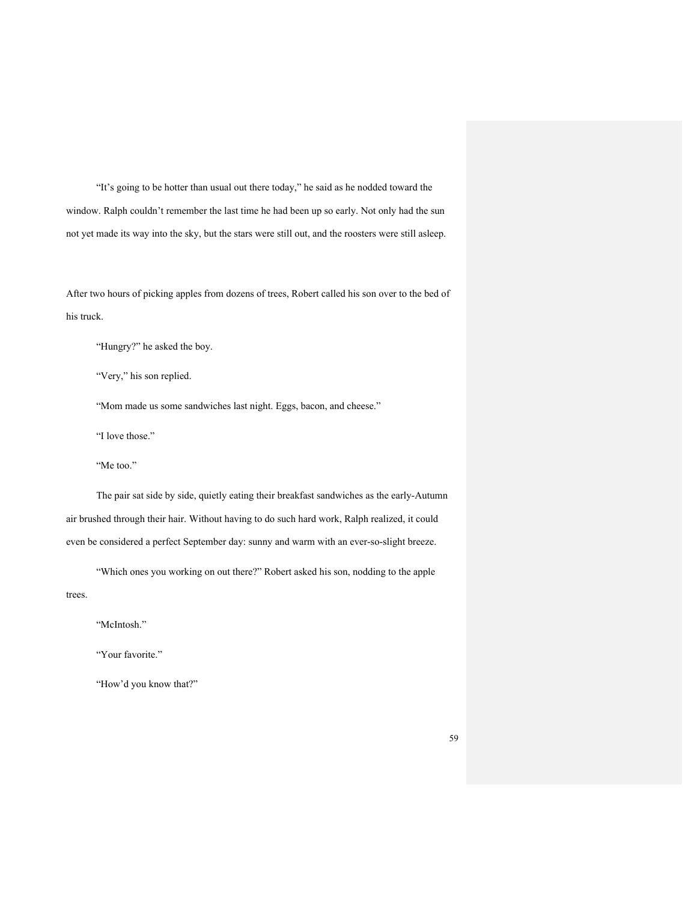"It's going to be hotter than usual out there today," he said as he nodded toward the window. Ralph couldn't remember the last time he had been up so early. Not only had the sun not yet made its way into the sky, but the stars were still out, and the roosters were still asleep.

After two hours of picking apples from dozens of trees, Robert called his son over to the bed of his truck.

"Hungry?" he asked the boy.

"Very," his son replied.

"Mom made us some sandwiches last night. Eggs, bacon, and cheese."

"I love those."

"Me too."

The pair sat side by side, quietly eating their breakfast sandwiches as the early-Autumn air brushed through their hair. Without having to do such hard work, Ralph realized, it could even be considered a perfect September day: sunny and warm with an ever-so-slight breeze.

"Which ones you working on out there?" Robert asked his son, nodding to the apple trees.

"McIntosh."

"Your favorite."

"How'd you know that?"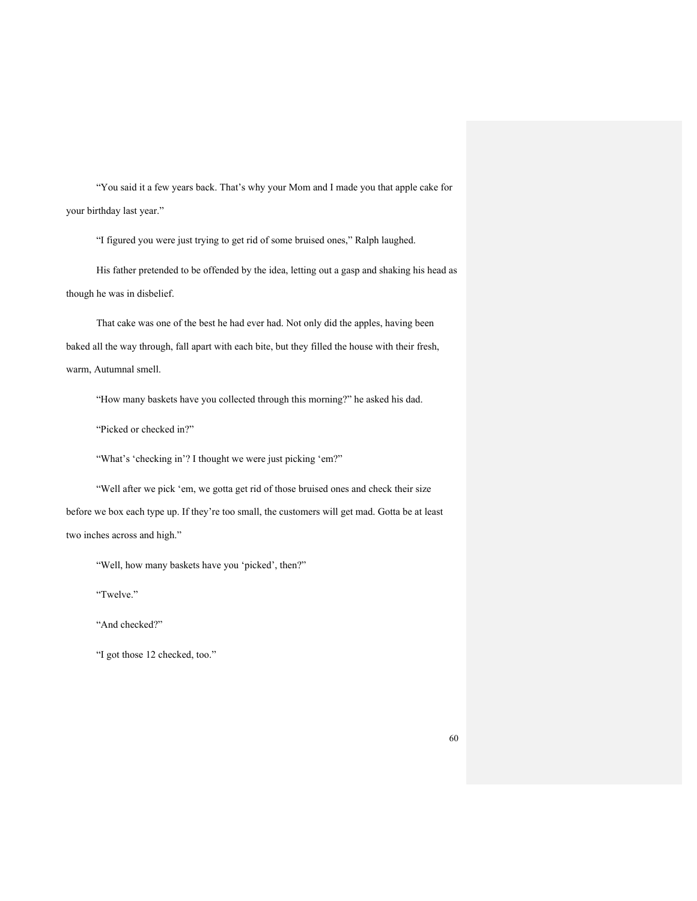"You said it a few years back. That's why your Mom and I made you that apple cake for your birthday last year."

"I figured you were just trying to get rid of some bruised ones," Ralph laughed.

His father pretended to be offended by the idea, letting out a gasp and shaking his head as though he was in disbelief.

That cake was one of the best he had ever had. Not only did the apples, having been baked all the way through, fall apart with each bite, but they filled the house with their fresh, warm, Autumnal smell.

"How many baskets have you collected through this morning?" he asked his dad.

"Picked or checked in?"

"What's 'checking in'? I thought we were just picking 'em?"

"Well after we pick 'em, we gotta get rid of those bruised ones and check their size before we box each type up. If they're too small, the customers will get mad. Gotta be at least two inches across and high."

"Well, how many baskets have you 'picked', then?"

"Twelve."

"And checked?"

"I got those 12 checked, too."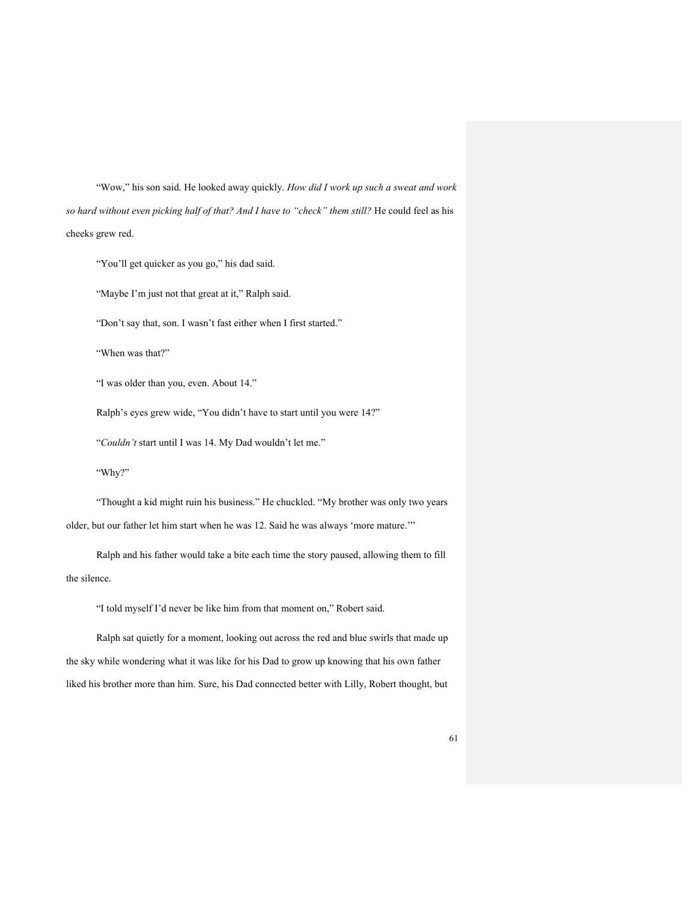"Wow," his son said. He looked away quickly. *How did I work up such a sweat and work so hard without even picking half of that? And I have to "check" them still?* He could feel as his cheeks grew red.

"You'll get quicker as you go," his dad said.

"Maybe I'm just not that great at it," Ralph said.

"Don't say that, son. I wasn't fast either when I first started."

"When was that?"

"I was older than you, even. About 14."

Ralph's eyes grew wide, "You didn't have to start until you were 14?"

"*Couldn't* start until I was 14. My Dad wouldn't let me."

"Why?"

"Thought a kid might ruin his business." He chuckled. "My brother was only two years older, but our father let him start when he was 12. Said he was always 'more mature.'"

Ralph and his father would take a bite each time the story paused, allowing them to fill the silence.

"I told myself I'd never be like him from that moment on," Robert said.

Ralph sat quietly for a moment, looking out across the red and blue swirls that made up the sky while wondering what it was like for his Dad to grow up knowing that his own father liked his brother more than him. Sure, his Dad connected better with Lilly, Robert thought, but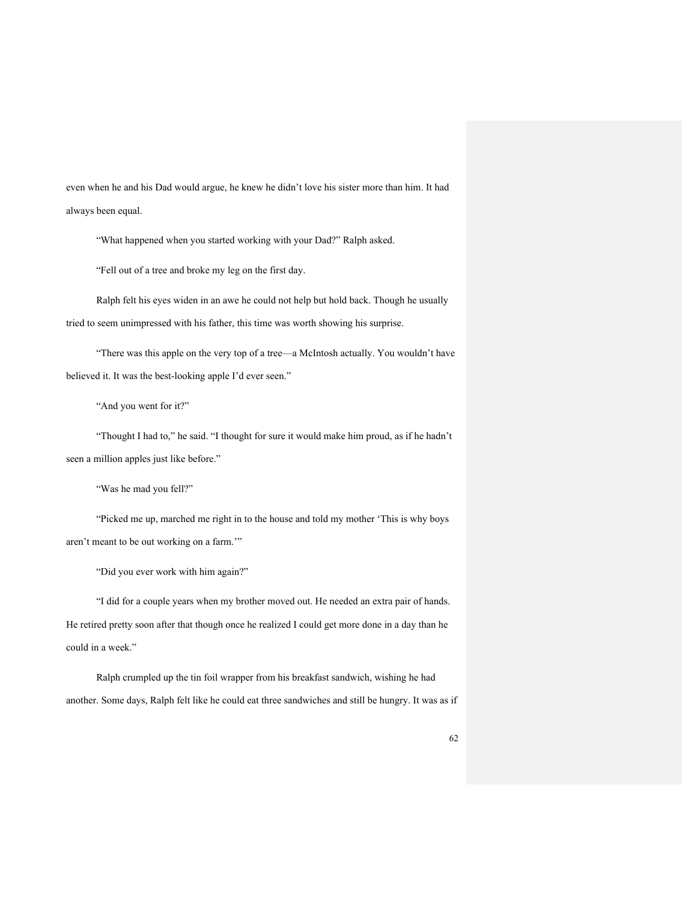even when he and his Dad would argue, he knew he didn't love his sister more than him. It had always been equal.

"What happened when you started working with your Dad?" Ralph asked.

"Fell out of a tree and broke my leg on the first day.

Ralph felt his eyes widen in an awe he could not help but hold back. Though he usually tried to seem unimpressed with his father, this time was worth showing his surprise.

"There was this apple on the very top of a tree—a McIntosh actually. You wouldn't have believed it. It was the best-looking apple I'd ever seen."

"And you went for it?"

"Thought I had to," he said. "I thought for sure it would make him proud, as if he hadn't seen a million apples just like before."

"Was he mad you fell?"

"Picked me up, marched me right in to the house and told my mother 'This is why boys aren't meant to be out working on a farm.'"

"Did you ever work with him again?"

"I did for a couple years when my brother moved out. He needed an extra pair of hands. He retired pretty soon after that though once he realized I could get more done in a day than he could in a week."

Ralph crumpled up the tin foil wrapper from his breakfast sandwich, wishing he had another. Some days, Ralph felt like he could eat three sandwiches and still be hungry. It was as if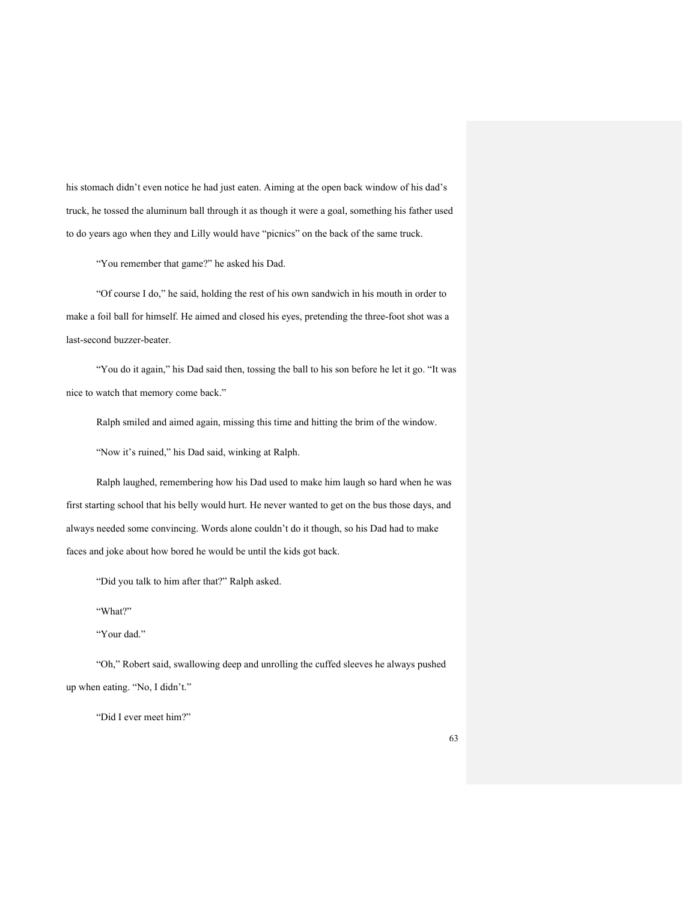his stomach didn't even notice he had just eaten. Aiming at the open back window of his dad's truck, he tossed the aluminum ball through it as though it were a goal, something his father used to do years ago when they and Lilly would have "picnics" on the back of the same truck.

"You remember that game?" he asked his Dad.

"Of course I do," he said, holding the rest of his own sandwich in his mouth in order to make a foil ball for himself. He aimed and closed his eyes, pretending the three-foot shot was a last-second buzzer-beater.

"You do it again," his Dad said then, tossing the ball to his son before he let it go. "It was nice to watch that memory come back."

Ralph smiled and aimed again, missing this time and hitting the brim of the window.

"Now it's ruined," his Dad said, winking at Ralph.

Ralph laughed, remembering how his Dad used to make him laugh so hard when he was first starting school that his belly would hurt. He never wanted to get on the bus those days, and always needed some convincing. Words alone couldn't do it though, so his Dad had to make faces and joke about how bored he would be until the kids got back.

"Did you talk to him after that?" Ralph asked.

"What?"

"Your dad."

"Oh," Robert said, swallowing deep and unrolling the cuffed sleeves he always pushed up when eating. "No, I didn't."

"Did I ever meet him?"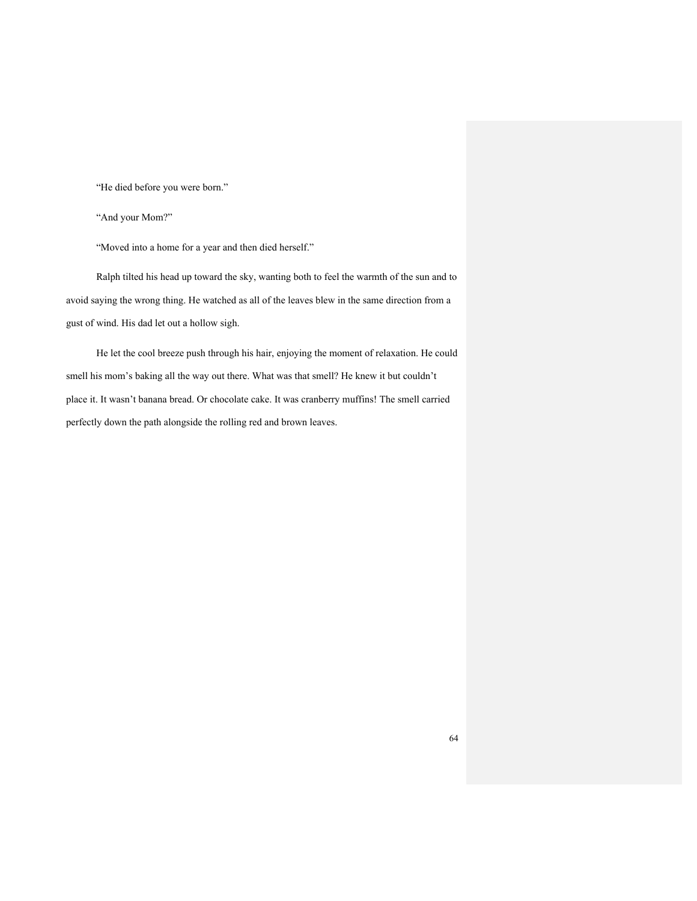"He died before you were born."

"And your Mom?"

"Moved into a home for a year and then died herself."

Ralph tilted his head up toward the sky, wanting both to feel the warmth of the sun and to avoid saying the wrong thing. He watched as all of the leaves blew in the same direction from a gust of wind. His dad let out a hollow sigh.

He let the cool breeze push through his hair, enjoying the moment of relaxation. He could smell his mom's baking all the way out there. What was that smell? He knew it but couldn't place it. It wasn't banana bread. Or chocolate cake. It was cranberry muffins! The smell carried perfectly down the path alongside the rolling red and brown leaves.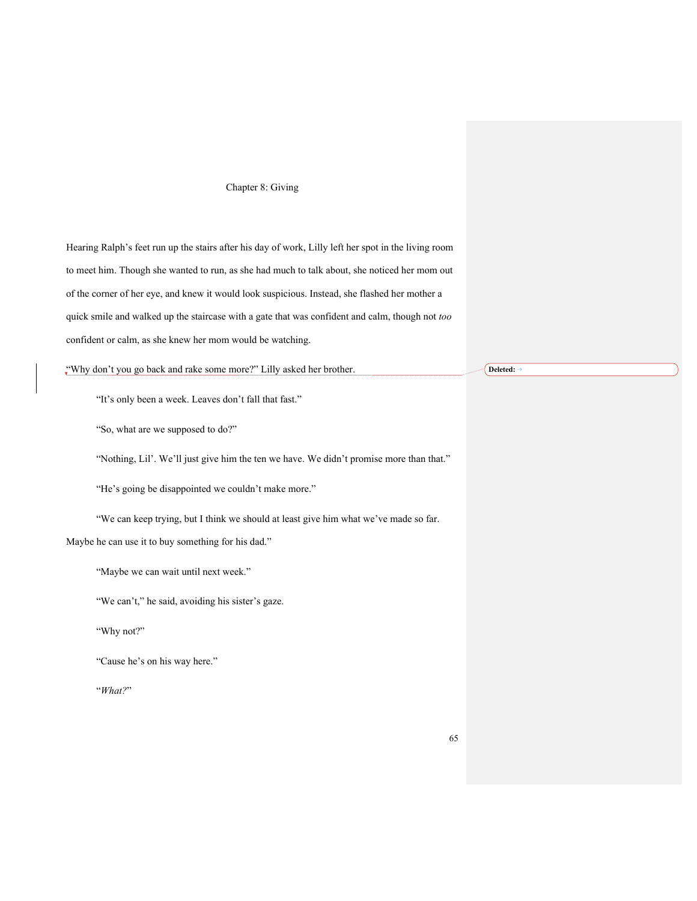## Chapter 8: Giving

Hearing Ralph's feet run up the stairs after his day of work, Lilly left her spot in the living room to meet him. Though she wanted to run, as she had much to talk about, she noticed her mom out of the corner of her eye, and knew it would look suspicious. Instead, she flashed her mother a quick smile and walked up the staircase with a gate that was confident and calm, though not *too* confident or calm, as she knew her mom would be watching.

"Why don't you go back and rake some more?" Lilly asked her brother.

"It's only been a week. Leaves don't fall that fast."

"So, what are we supposed to do?"

"Nothing, Lil'. We'll just give him the ten we have. We didn't promise more than that."

"He's going be disappointed we couldn't make more."

"We can keep trying, but I think we should at least give him what we've made so far.

Maybe he can use it to buy something for his dad."

"Maybe we can wait until next week."

"We can't," he said, avoiding his sister's gaze.

"Why not?"

"Cause he's on his way here."

"*What?*"

Deleted: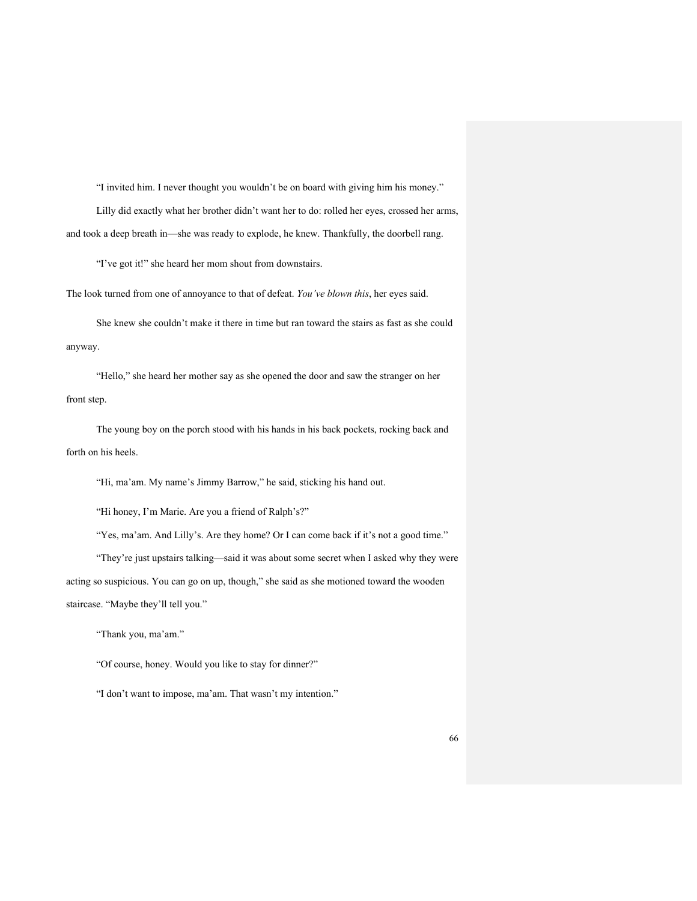"I invited him. I never thought you wouldn't be on board with giving him his money." Lilly did exactly what her brother didn't want her to do: rolled her eyes, crossed her arms, and took a deep breath in—she was ready to explode, he knew. Thankfully, the doorbell rang.

"I've got it!" she heard her mom shout from downstairs.

The look turned from one of annoyance to that of defeat. *You've blown this*, her eyes said.

She knew she couldn't make it there in time but ran toward the stairs as fast as she could anyway.

"Hello," she heard her mother say as she opened the door and saw the stranger on her front step.

The young boy on the porch stood with his hands in his back pockets, rocking back and forth on his heels.

"Hi, ma'am. My name's Jimmy Barrow," he said, sticking his hand out.

"Hi honey, I'm Marie. Are you a friend of Ralph's?"

"Yes, ma'am. And Lilly's. Are they home? Or I can come back if it's not a good time."

"They're just upstairs talking—said it was about some secret when I asked why they were acting so suspicious. You can go on up, though," she said as she motioned toward the wooden staircase. "Maybe they'll tell you."

"Thank you, ma'am."

"Of course, honey. Would you like to stay for dinner?"

"I don't want to impose, ma'am. That wasn't my intention."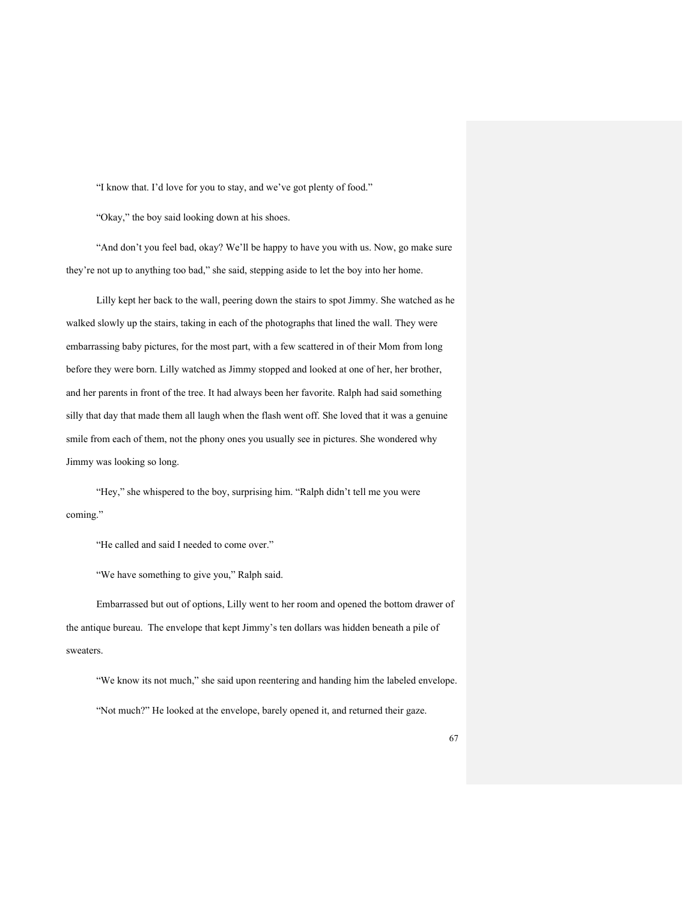"I know that. I'd love for you to stay, and we've got plenty of food."

"Okay," the boy said looking down at his shoes.

"And don't you feel bad, okay? We'll be happy to have you with us. Now, go make sure they're not up to anything too bad," she said, stepping aside to let the boy into her home.

Lilly kept her back to the wall, peering down the stairs to spot Jimmy. She watched as he walked slowly up the stairs, taking in each of the photographs that lined the wall. They were embarrassing baby pictures, for the most part, with a few scattered in of their Mom from long before they were born. Lilly watched as Jimmy stopped and looked at one of her, her brother, and her parents in front of the tree. It had always been her favorite. Ralph had said something silly that day that made them all laugh when the flash went off. She loved that it was a genuine smile from each of them, not the phony ones you usually see in pictures. She wondered why Jimmy was looking so long.

"Hey," she whispered to the boy, surprising him. "Ralph didn't tell me you were coming."

"He called and said I needed to come over."

"We have something to give you," Ralph said.

Embarrassed but out of options, Lilly went to her room and opened the bottom drawer of the antique bureau. The envelope that kept Jimmy's ten dollars was hidden beneath a pile of sweaters.

"We know its not much," she said upon reentering and handing him the labeled envelope. "Not much?" He looked at the envelope, barely opened it, and returned their gaze.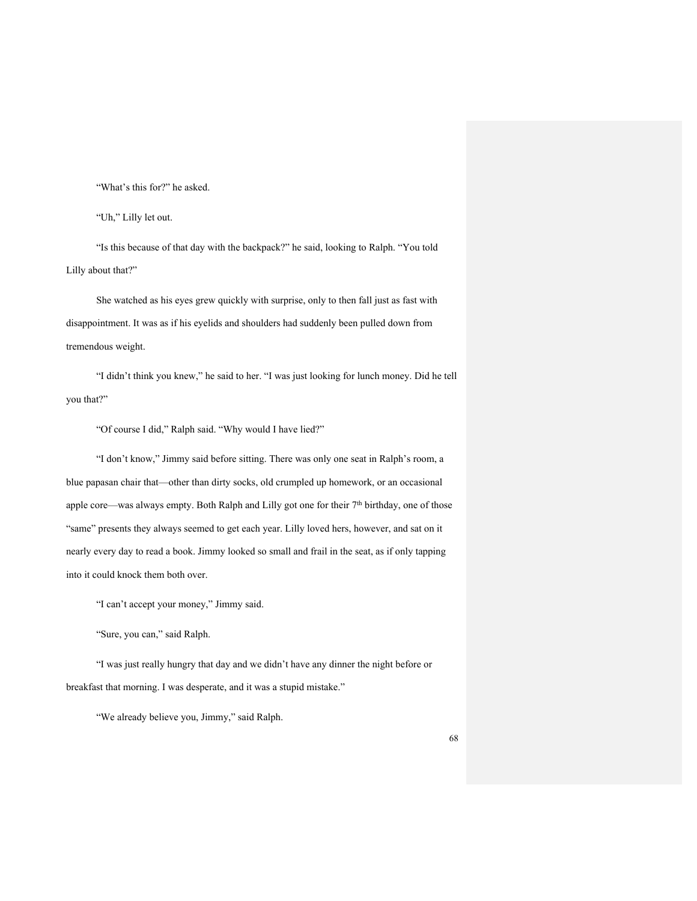"What's this for?" he asked.

"Uh," Lilly let out.

"Is this because of that day with the backpack?" he said, looking to Ralph. "You told Lilly about that?"

She watched as his eyes grew quickly with surprise, only to then fall just as fast with disappointment. It was as if his eyelids and shoulders had suddenly been pulled down from tremendous weight.

"I didn't think you knew," he said to her. "I was just looking for lunch money. Did he tell you that?"

"Of course I did," Ralph said. "Why would I have lied?"

"I don't know," Jimmy said before sitting. There was only one seat in Ralph's room, a blue papasan chair that—other than dirty socks, old crumpled up homework, or an occasional apple core—was always empty. Both Ralph and Lilly got one for their 7<sup>th</sup> birthday, one of those "same" presents they always seemed to get each year. Lilly loved hers, however, and sat on it nearly every day to read a book. Jimmy looked so small and frail in the seat, as if only tapping into it could knock them both over.

"I can't accept your money," Jimmy said.

"Sure, you can," said Ralph.

"I was just really hungry that day and we didn't have any dinner the night before or breakfast that morning. I was desperate, and it was a stupid mistake."

"We already believe you, Jimmy," said Ralph.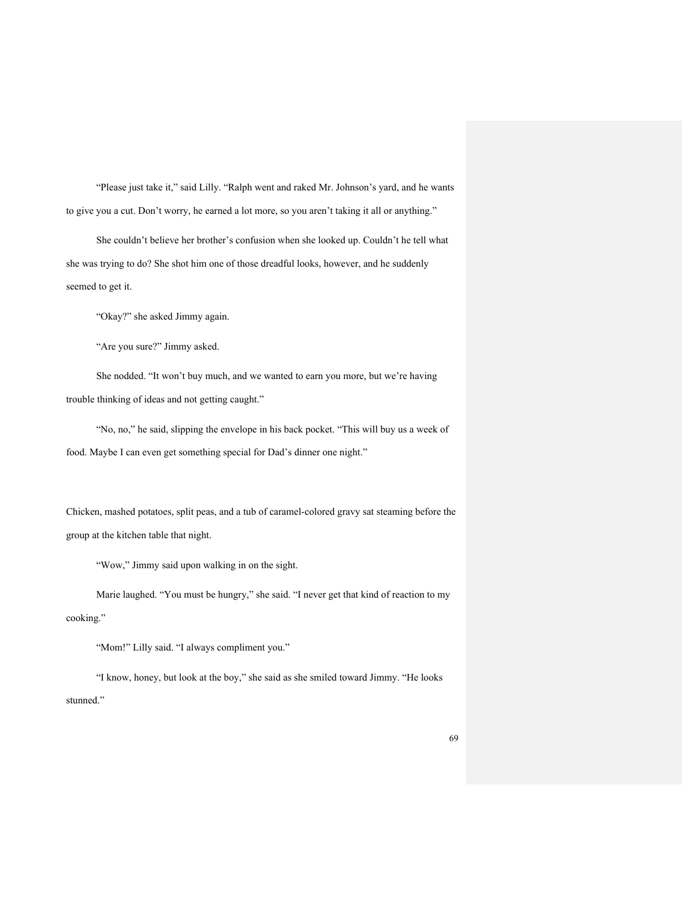"Please just take it," said Lilly. "Ralph went and raked Mr. Johnson's yard, and he wants to give you a cut. Don't worry, he earned a lot more, so you aren't taking it all or anything."

She couldn't believe her brother's confusion when she looked up. Couldn't he tell what she was trying to do? She shot him one of those dreadful looks, however, and he suddenly seemed to get it.

"Okay?" she asked Jimmy again.

"Are you sure?" Jimmy asked.

She nodded. "It won't buy much, and we wanted to earn you more, but we're having trouble thinking of ideas and not getting caught."

"No, no," he said, slipping the envelope in his back pocket. "This will buy us a week of food. Maybe I can even get something special for Dad's dinner one night."

Chicken, mashed potatoes, split peas, and a tub of caramel-colored gravy sat steaming before the group at the kitchen table that night.

"Wow," Jimmy said upon walking in on the sight.

Marie laughed. "You must be hungry," she said. "I never get that kind of reaction to my cooking."

"Mom!" Lilly said. "I always compliment you."

"I know, honey, but look at the boy," she said as she smiled toward Jimmy. "He looks stunned."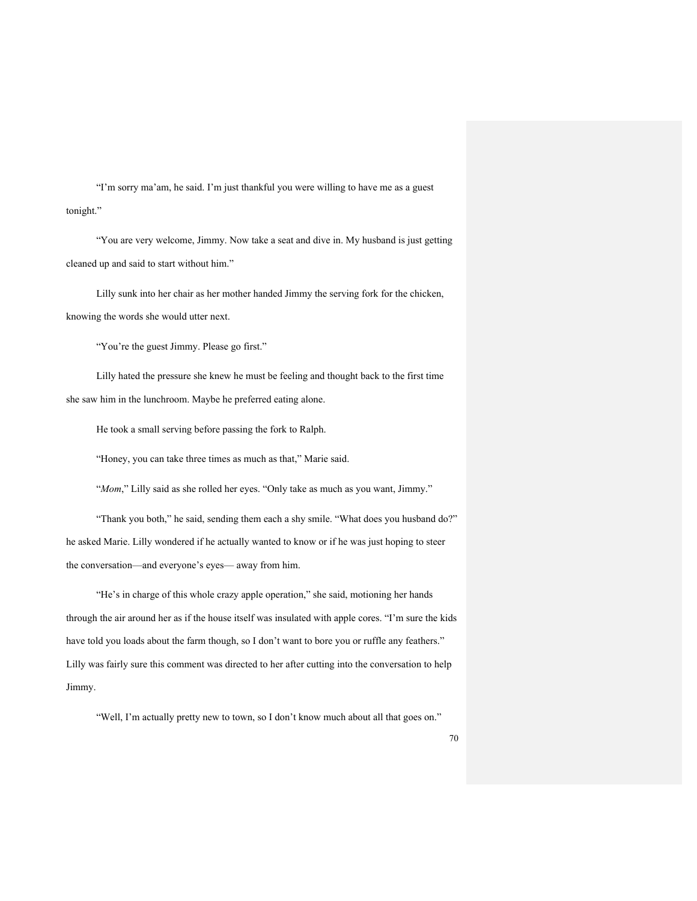"I'm sorry ma'am, he said. I'm just thankful you were willing to have me as a guest tonight."

"You are very welcome, Jimmy. Now take a seat and dive in. My husband is just getting cleaned up and said to start without him."

Lilly sunk into her chair as her mother handed Jimmy the serving fork for the chicken, knowing the words she would utter next.

"You're the guest Jimmy. Please go first."

Lilly hated the pressure she knew he must be feeling and thought back to the first time she saw him in the lunchroom. Maybe he preferred eating alone.

He took a small serving before passing the fork to Ralph.

"Honey, you can take three times as much as that," Marie said.

"*Mom*," Lilly said as she rolled her eyes. "Only take as much as you want, Jimmy."

"Thank you both," he said, sending them each a shy smile. "What does you husband do?" he asked Marie. Lilly wondered if he actually wanted to know or if he was just hoping to steer the conversation—and everyone's eyes— away from him.

"He's in charge of this whole crazy apple operation," she said, motioning her hands through the air around her as if the house itself was insulated with apple cores. "I'm sure the kids have told you loads about the farm though, so I don't want to bore you or ruffle any feathers." Lilly was fairly sure this comment was directed to her after cutting into the conversation to help Jimmy.

"Well, I'm actually pretty new to town, so I don't know much about all that goes on."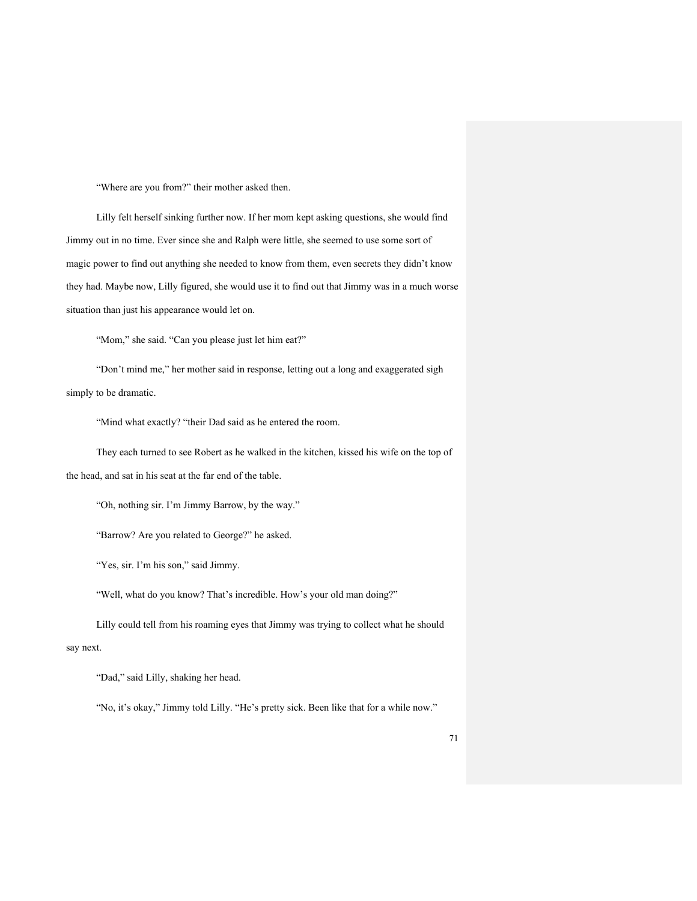"Where are you from?" their mother asked then.

Lilly felt herself sinking further now. If her mom kept asking questions, she would find Jimmy out in no time. Ever since she and Ralph were little, she seemed to use some sort of magic power to find out anything she needed to know from them, even secrets they didn't know they had. Maybe now, Lilly figured, she would use it to find out that Jimmy was in a much worse situation than just his appearance would let on.

"Mom," she said. "Can you please just let him eat?"

"Don't mind me," her mother said in response, letting out a long and exaggerated sigh simply to be dramatic.

"Mind what exactly? "their Dad said as he entered the room.

They each turned to see Robert as he walked in the kitchen, kissed his wife on the top of the head, and sat in his seat at the far end of the table.

"Oh, nothing sir. I'm Jimmy Barrow, by the way."

"Barrow? Are you related to George?" he asked.

"Yes, sir. I'm his son," said Jimmy.

"Well, what do you know? That's incredible. How's your old man doing?"

Lilly could tell from his roaming eyes that Jimmy was trying to collect what he should say next.

"Dad," said Lilly, shaking her head.

"No, it's okay," Jimmy told Lilly. "He's pretty sick. Been like that for a while now."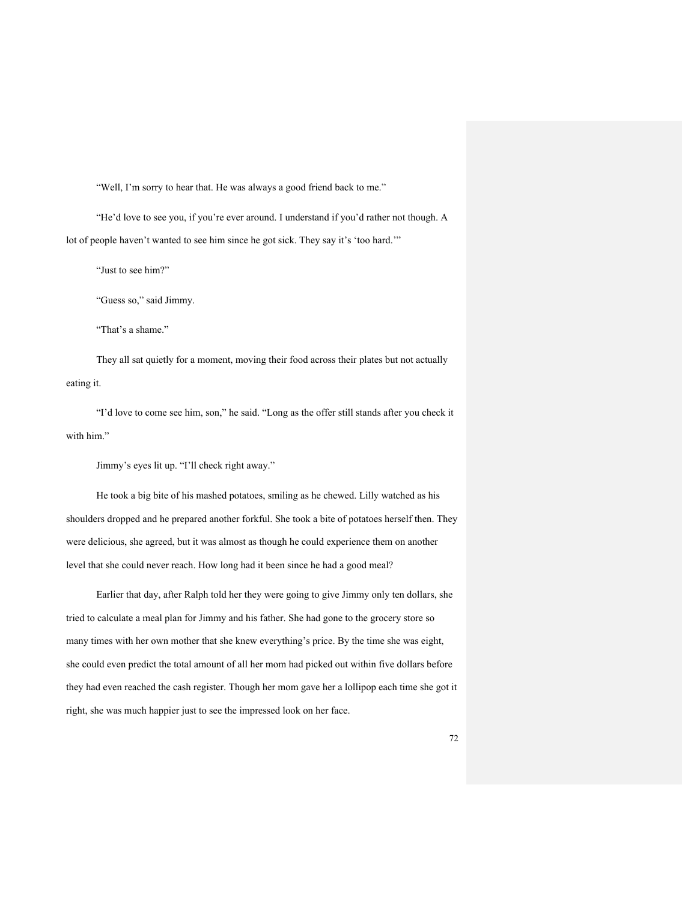"Well, I'm sorry to hear that. He was always a good friend back to me."

"He'd love to see you, if you're ever around. I understand if you'd rather not though. A lot of people haven't wanted to see him since he got sick. They say it's 'too hard.'"

"Just to see him?"

"Guess so," said Jimmy.

"That's a shame."

They all sat quietly for a moment, moving their food across their plates but not actually eating it.

"I'd love to come see him, son," he said. "Long as the offer still stands after you check it with him."

Jimmy's eyes lit up. "I'll check right away."

He took a big bite of his mashed potatoes, smiling as he chewed. Lilly watched as his shoulders dropped and he prepared another forkful. She took a bite of potatoes herself then. They were delicious, she agreed, but it was almost as though he could experience them on another level that she could never reach. How long had it been since he had a good meal?

Earlier that day, after Ralph told her they were going to give Jimmy only ten dollars, she tried to calculate a meal plan for Jimmy and his father. She had gone to the grocery store so many times with her own mother that she knew everything's price. By the time she was eight, she could even predict the total amount of all her mom had picked out within five dollars before they had even reached the cash register. Though her mom gave her a lollipop each time she got it right, she was much happier just to see the impressed look on her face.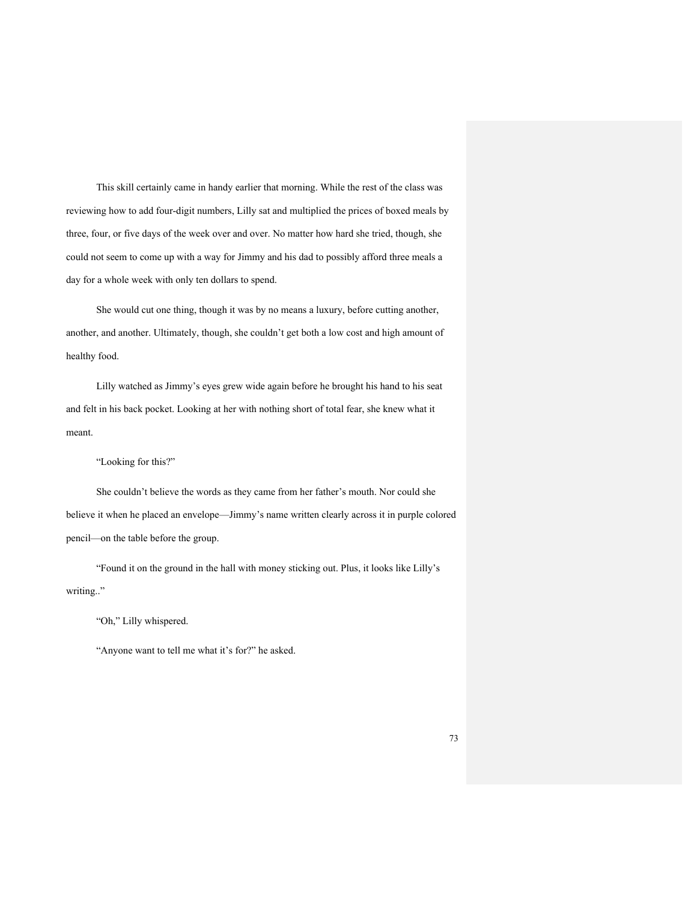This skill certainly came in handy earlier that morning. While the rest of the class was reviewing how to add four-digit numbers, Lilly sat and multiplied the prices of boxed meals by three, four, or five days of the week over and over. No matter how hard she tried, though, she could not seem to come up with a way for Jimmy and his dad to possibly afford three meals a day for a whole week with only ten dollars to spend.

She would cut one thing, though it was by no means a luxury, before cutting another, another, and another. Ultimately, though, she couldn't get both a low cost and high amount of healthy food.

Lilly watched as Jimmy's eyes grew wide again before he brought his hand to his seat and felt in his back pocket. Looking at her with nothing short of total fear, she knew what it meant.

"Looking for this?"

She couldn't believe the words as they came from her father's mouth. Nor could she believe it when he placed an envelope—Jimmy's name written clearly across it in purple colored pencil—on the table before the group.

"Found it on the ground in the hall with money sticking out. Plus, it looks like Lilly's writing.."

"Oh," Lilly whispered.

"Anyone want to tell me what it's for?" he asked.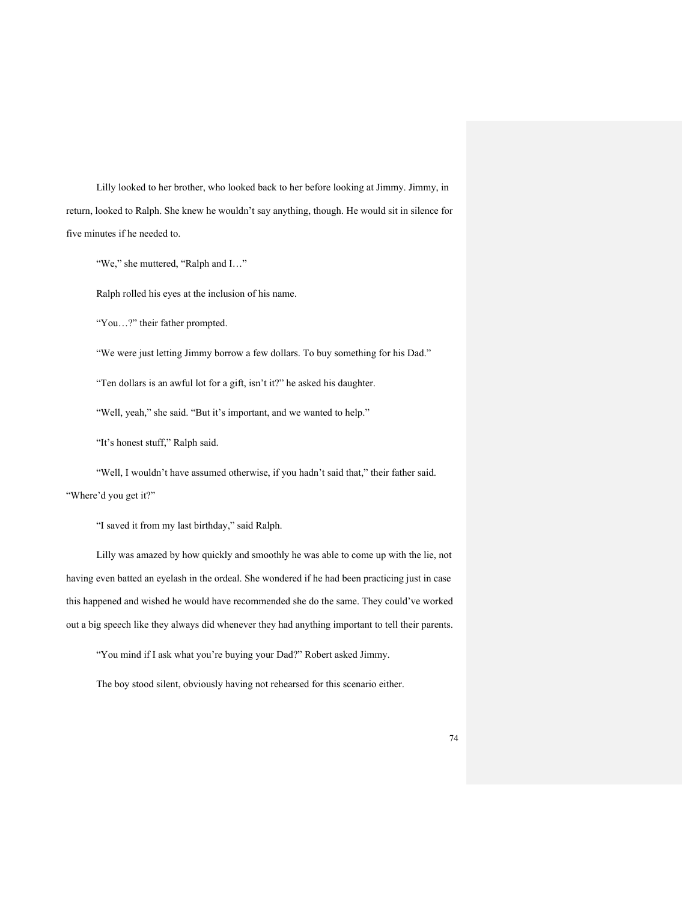Lilly looked to her brother, who looked back to her before looking at Jimmy. Jimmy, in return, looked to Ralph. She knew he wouldn't say anything, though. He would sit in silence for five minutes if he needed to.

"We," she muttered, "Ralph and I…"

Ralph rolled his eyes at the inclusion of his name.

"You…?" their father prompted.

"We were just letting Jimmy borrow a few dollars. To buy something for his Dad."

"Ten dollars is an awful lot for a gift, isn't it?" he asked his daughter.

"Well, yeah," she said. "But it's important, and we wanted to help."

"It's honest stuff," Ralph said.

"Well, I wouldn't have assumed otherwise, if you hadn't said that," their father said. "Where'd you get it?"

"I saved it from my last birthday," said Ralph.

Lilly was amazed by how quickly and smoothly he was able to come up with the lie, not having even batted an eyelash in the ordeal. She wondered if he had been practicing just in case this happened and wished he would have recommended she do the same. They could've worked out a big speech like they always did whenever they had anything important to tell their parents.

"You mind if I ask what you're buying your Dad?" Robert asked Jimmy.

The boy stood silent, obviously having not rehearsed for this scenario either.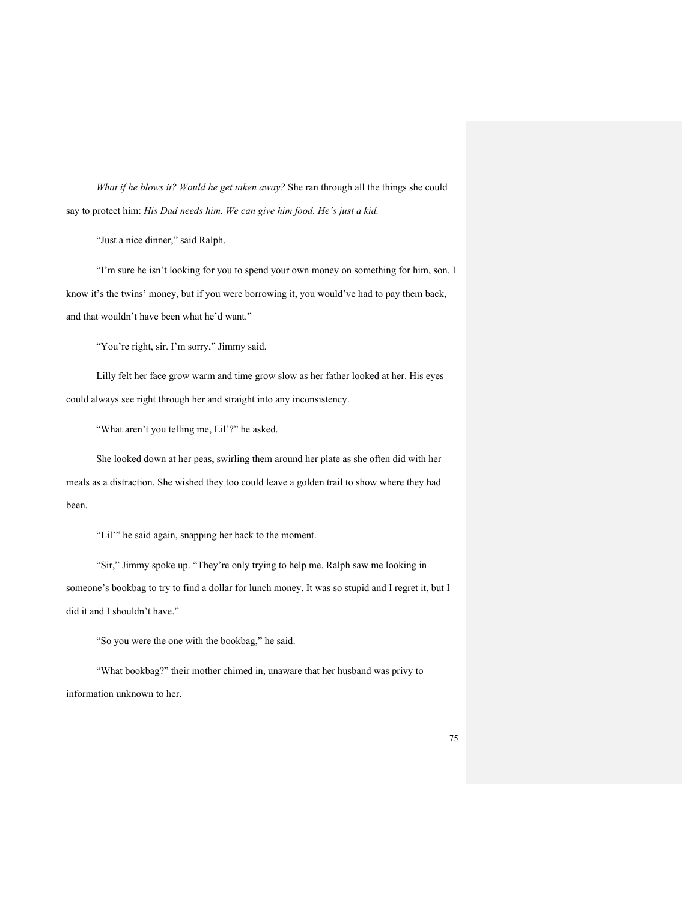*What if he blows it? Would he get taken away?* She ran through all the things she could say to protect him: *His Dad needs him. We can give him food. He's just a kid.*

"Just a nice dinner," said Ralph.

"I'm sure he isn't looking for you to spend your own money on something for him, son. I know it's the twins' money, but if you were borrowing it, you would've had to pay them back, and that wouldn't have been what he'd want."

"You're right, sir. I'm sorry," Jimmy said.

Lilly felt her face grow warm and time grow slow as her father looked at her. His eyes could always see right through her and straight into any inconsistency.

"What aren't you telling me, Lil'?" he asked.

She looked down at her peas, swirling them around her plate as she often did with her meals as a distraction. She wished they too could leave a golden trail to show where they had been.

"Lil'" he said again, snapping her back to the moment.

"Sir," Jimmy spoke up. "They're only trying to help me. Ralph saw me looking in someone's bookbag to try to find a dollar for lunch money. It was so stupid and I regret it, but I did it and I shouldn't have."

"So you were the one with the bookbag," he said.

"What bookbag?" their mother chimed in, unaware that her husband was privy to information unknown to her.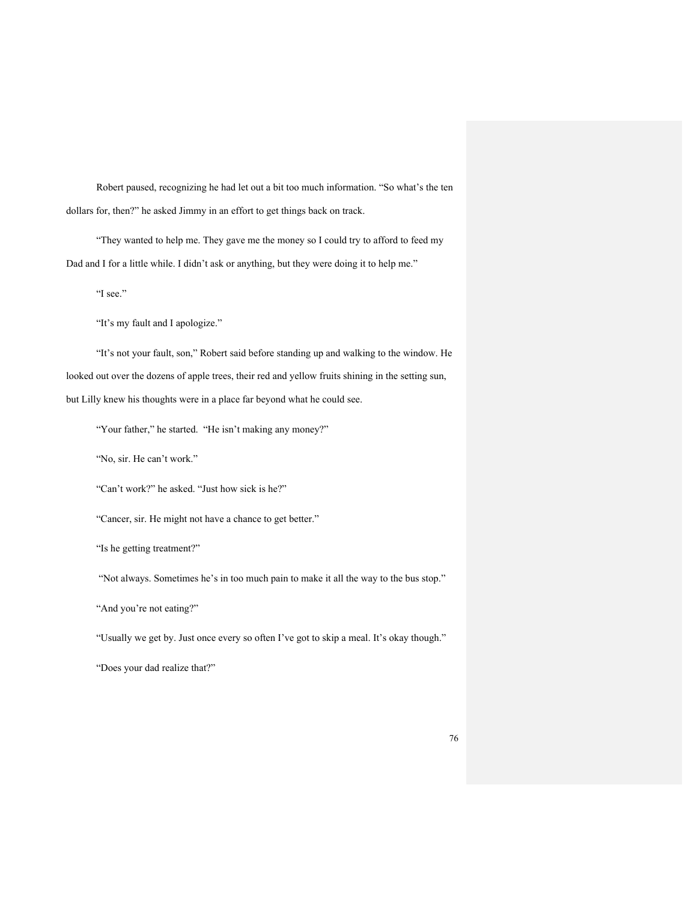Robert paused, recognizing he had let out a bit too much information. "So what's the ten dollars for, then?" he asked Jimmy in an effort to get things back on track.

"They wanted to help me. They gave me the money so I could try to afford to feed my Dad and I for a little while. I didn't ask or anything, but they were doing it to help me."

"I see."

"It's my fault and I apologize."

"It's not your fault, son," Robert said before standing up and walking to the window. He looked out over the dozens of apple trees, their red and yellow fruits shining in the setting sun, but Lilly knew his thoughts were in a place far beyond what he could see.

"Your father," he started. "He isn't making any money?"

"No, sir. He can't work."

"Can't work?" he asked. "Just how sick is he?"

"Cancer, sir. He might not have a chance to get better."

"Is he getting treatment?"

"Not always. Sometimes he's in too much pain to make it all the way to the bus stop."

"And you're not eating?"

"Usually we get by. Just once every so often I've got to skip a meal. It's okay though."

"Does your dad realize that?"